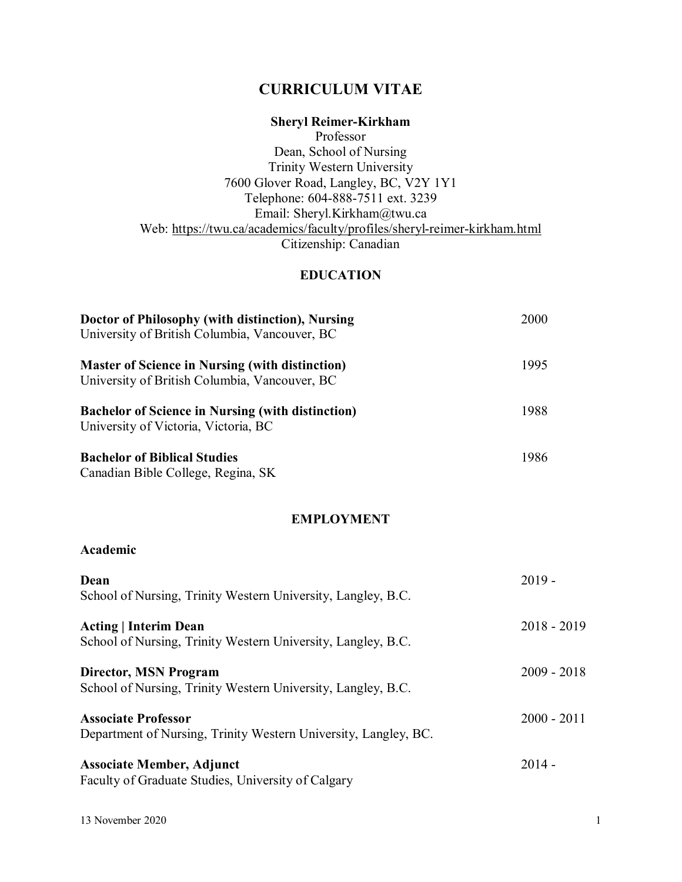# **CURRICULUM VITAE**

# **Sheryl Reimer-Kirkham**

Professor Dean, School of Nursing Trinity Western University 7600 Glover Road, Langley, BC, V2Y 1Y1 Telephone: 604-888-7511 ext. 3239 Email: Sheryl.Kirkham@twu.ca Web:<https://twu.ca/academics/faculty/profiles/sheryl-reimer-kirkham.html> Citizenship: Canadian

## **EDUCATION**

| Doctor of Philosophy (with distinction), Nursing<br>University of British Columbia, Vancouver, BC       | 2000 |
|---------------------------------------------------------------------------------------------------------|------|
| <b>Master of Science in Nursing (with distinction)</b><br>University of British Columbia, Vancouver, BC | 1995 |
| <b>Bachelor of Science in Nursing (with distinction)</b><br>University of Victoria, Victoria, BC        | 1988 |
| <b>Bachelor of Biblical Studies</b><br>Canadian Bible College, Regina, SK                               | 1986 |

#### **EMPLOYMENT**

## **Academic**

| Dean<br>School of Nursing, Trinity Western University, Langley, B.C.                          | $2019 -$      |
|-----------------------------------------------------------------------------------------------|---------------|
| <b>Acting   Interim Dean</b><br>School of Nursing, Trinity Western University, Langley, B.C.  | $2018 - 2019$ |
| <b>Director, MSN Program</b><br>School of Nursing, Trinity Western University, Langley, B.C.  | $2009 - 2018$ |
| <b>Associate Professor</b><br>Department of Nursing, Trinity Western University, Langley, BC. | $2000 - 2011$ |
| <b>Associate Member, Adjunct</b><br>Faculty of Graduate Studies, University of Calgary        | $2014 -$      |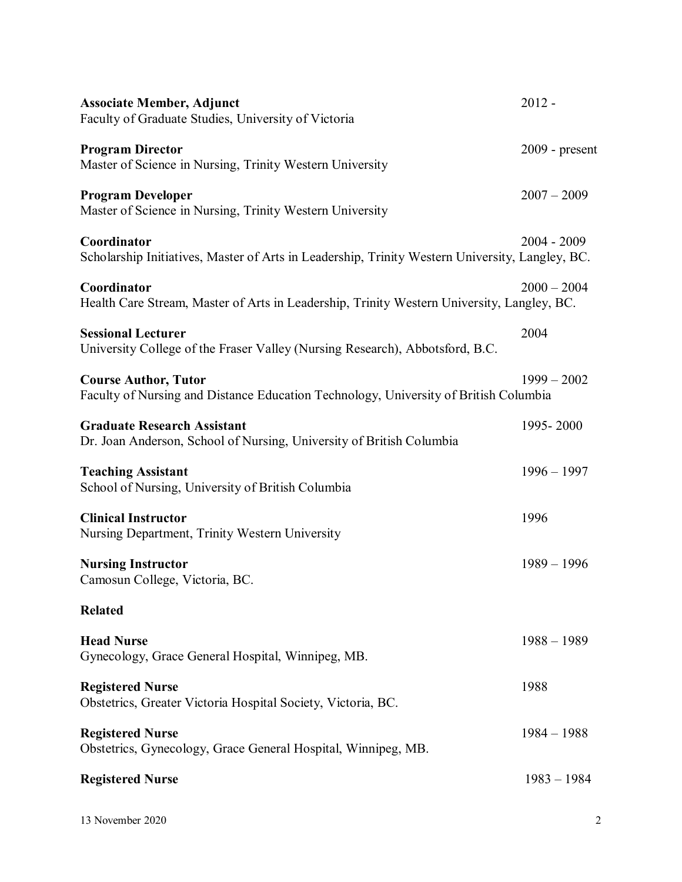| <b>Associate Member, Adjunct</b><br>Faculty of Graduate Studies, University of Victoria                             | $2012 -$       |
|---------------------------------------------------------------------------------------------------------------------|----------------|
| <b>Program Director</b><br>Master of Science in Nursing, Trinity Western University                                 | 2009 - present |
| <b>Program Developer</b><br>Master of Science in Nursing, Trinity Western University                                | $2007 - 2009$  |
| Coordinator<br>Scholarship Initiatives, Master of Arts in Leadership, Trinity Western University, Langley, BC.      | $2004 - 2009$  |
| Coordinator<br>Health Care Stream, Master of Arts in Leadership, Trinity Western University, Langley, BC.           | $2000 - 2004$  |
| <b>Sessional Lecturer</b><br>University College of the Fraser Valley (Nursing Research), Abbotsford, B.C.           | 2004           |
| <b>Course Author, Tutor</b><br>Faculty of Nursing and Distance Education Technology, University of British Columbia | $1999 - 2002$  |
| <b>Graduate Research Assistant</b><br>Dr. Joan Anderson, School of Nursing, University of British Columbia          | 1995-2000      |
| <b>Teaching Assistant</b><br>School of Nursing, University of British Columbia                                      | $1996 - 1997$  |
| <b>Clinical Instructor</b><br>Nursing Department, Trinity Western University                                        | 1996           |
| <b>Nursing Instructor</b><br>Camosun College, Victoria, BC.                                                         | $1989 - 1996$  |
| <b>Related</b>                                                                                                      |                |
| <b>Head Nurse</b><br>Gynecology, Grace General Hospital, Winnipeg, MB.                                              | $1988 - 1989$  |
| <b>Registered Nurse</b><br>Obstetrics, Greater Victoria Hospital Society, Victoria, BC.                             | 1988           |
| <b>Registered Nurse</b><br>Obstetrics, Gynecology, Grace General Hospital, Winnipeg, MB.                            | $1984 - 1988$  |
| <b>Registered Nurse</b>                                                                                             | $1983 - 1984$  |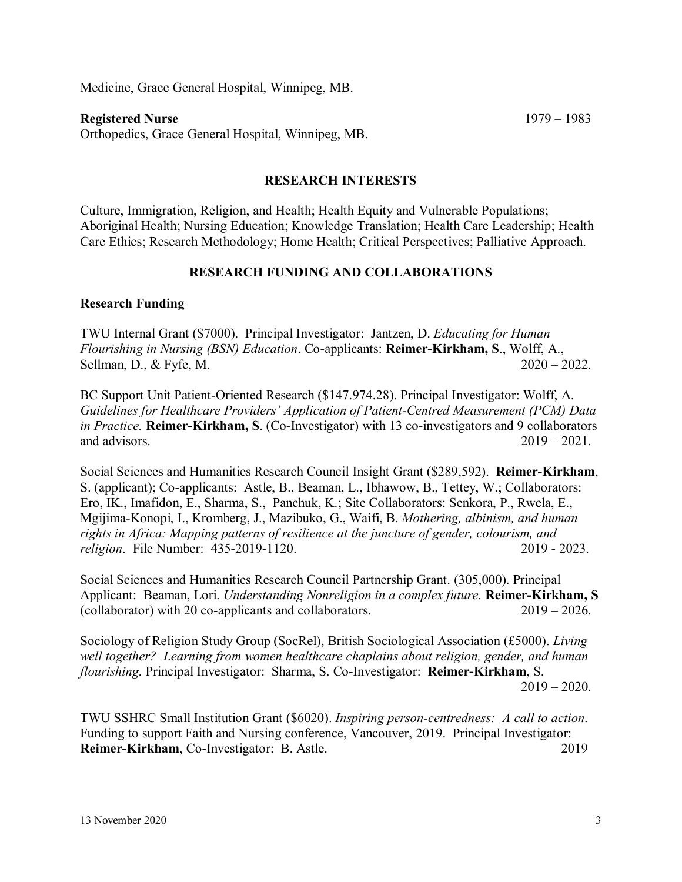Medicine, Grace General Hospital, Winnipeg, MB.

#### **Registered Nurse** 1979 – 1983

Orthopedics, Grace General Hospital, Winnipeg, MB.

#### **RESEARCH INTERESTS**

Culture, Immigration, Religion, and Health; Health Equity and Vulnerable Populations; Aboriginal Health; Nursing Education; Knowledge Translation; Health Care Leadership; Health Care Ethics; Research Methodology; Home Health; Critical Perspectives; Palliative Approach.

## **RESEARCH FUNDING AND COLLABORATIONS**

#### **Research Funding**

TWU Internal Grant (\$7000). Principal Investigator: Jantzen, D. *Educating for Human Flourishing in Nursing (BSN) Education*. Co-applicants: **Reimer-Kirkham, S**., Wolff, A., Sellman, D., & Fyfe, M. 2020 – 2022.

BC Support Unit Patient-Oriented Research (\$147.974.28). Principal Investigator: Wolff, A. *Guidelines for Healthcare Providers' Application of Patient‐Centred Measurement (PCM) Data in Practice.* **Reimer-Kirkham, S**. (Co-Investigator) with 13 co-investigators and 9 collaborators and advisors.  $2019 - 2021$ .

Social Sciences and Humanities Research Council Insight Grant (\$289,592). **Reimer-Kirkham**, S. (applicant); Co-applicants: Astle, B., Beaman, L., Ibhawow, B., Tettey, W.; Collaborators: Ero, IK., Imafidon, E., Sharma, S., Panchuk, K.; Site Collaborators: Senkora, P., Rwela, E., Mgijima-Konopi, I., Kromberg, J., Mazibuko, G., Waifi, B. *Mothering, albinism, and human rights in Africa: Mapping patterns of resilience at the juncture of gender, colourism, and religion*. File Number: 435-2019-1120. 2019 - 2023.

Social Sciences and Humanities Research Council Partnership Grant. (305,000). Principal Applicant: Beaman, Lori. *Understanding Nonreligion in a complex future.* **Reimer-Kirkham, S** (collaborator) with 20 co-applicants and collaborators. 2019 – 2026.

Sociology of Religion Study Group (SocRel), British Sociological Association (£5000). *Living well together? Learning from women healthcare chaplains about religion, gender, and human flourishing.* Principal Investigator: Sharma, S. Co-Investigator: **Reimer-Kirkham**, S.  $2019 - 2020$ .

TWU SSHRC Small Institution Grant (\$6020). *Inspiring person-centredness: A call to action*. Funding to support Faith and Nursing conference, Vancouver, 2019. Principal Investigator: **Reimer-Kirkham**, Co-Investigator: B. Astle. 2019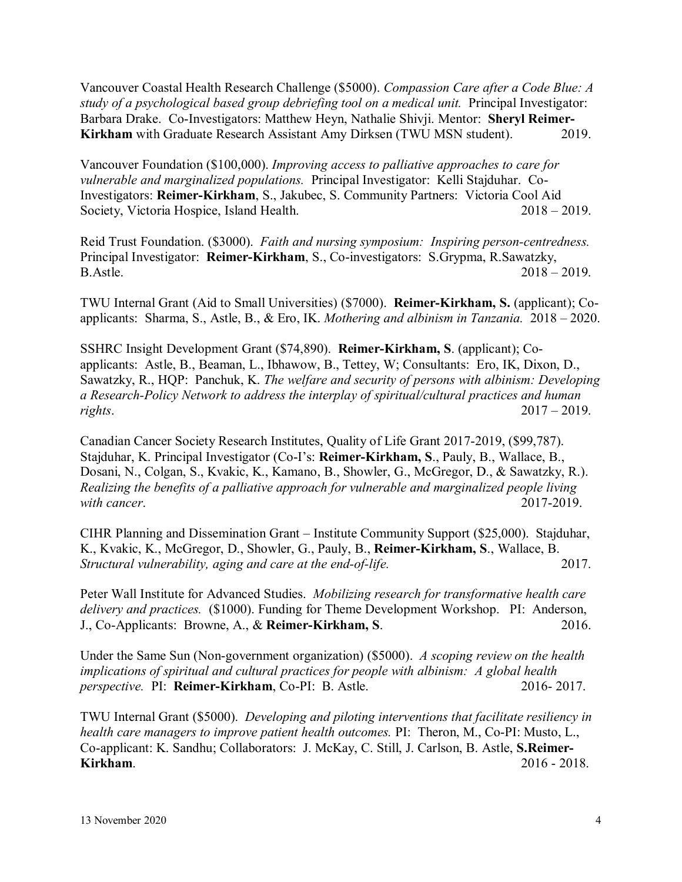Vancouver Coastal Health Research Challenge (\$5000). *Compassion Care after a Code Blue: A study of a psychological based group debriefing tool on a medical unit.* Principal Investigator: Barbara Drake. Co-Investigators: Matthew Heyn, Nathalie Shivji. Mentor: **Sheryl Reimer-Kirkham** with Graduate Research Assistant Amy Dirksen (TWU MSN student). 2019.

Vancouver Foundation (\$100,000). *Improving access to palliative approaches to care for vulnerable and marginalized populations.* Principal Investigator: Kelli Stajduhar. Co-Investigators: **Reimer-Kirkham**, S., Jakubec, S. Community Partners: Victoria Cool Aid Society, Victoria Hospice, Island Health. 2018 – 2019.

Reid Trust Foundation. (\$3000). *Faith and nursing symposium: Inspiring person-centredness.*  Principal Investigator: **Reimer-Kirkham**, S., Co-investigators: S.Grypma, R.Sawatzky, B.Astle. 2018 – 2019.

TWU Internal Grant (Aid to Small Universities) (\$7000). **Reimer-Kirkham, S.** (applicant); Coapplicants: Sharma, S., Astle, B., & Ero, IK. *Mothering and albinism in Tanzania.* 2018 – 2020.

SSHRC Insight Development Grant (\$74,890). **Reimer-Kirkham, S**. (applicant); Coapplicants: Astle, B., Beaman, L., Ibhawow, B., Tettey, W; Consultants: Ero, IK, Dixon, D., Sawatzky, R., HQP: Panchuk, K. *The welfare and security of persons with albinism: Developing a Research-Policy Network to address the interplay of spiritual/cultural practices and human rights*. 2017 – 2019.

Canadian Cancer Society Research Institutes, Quality of Life Grant 2017-2019, (\$99,787). Stajduhar, K. Principal Investigator (Co-I's: **Reimer-Kirkham, S**., Pauly, B., Wallace, B., Dosani, N., Colgan, S., Kvakic, K., Kamano, B., Showler, G., McGregor, D., & Sawatzky, R.). *Realizing the benefits of a palliative approach for vulnerable and marginalized people living with cancer*. 2017-2019.

CIHR Planning and Dissemination Grant – Institute Community Support (\$25,000). Stajduhar, K., Kvakic, K., McGregor, D., Showler, G., Pauly, B., **Reimer-Kirkham, S**., Wallace, B. *Structural vulnerability, aging and care at the end-of-life.* 2017.

Peter Wall Institute for Advanced Studies. *Mobilizing research for transformative health care delivery and practices.* (\$1000). Funding for Theme Development Workshop. PI: Anderson, J., Co-Applicants: Browne, A., & **Reimer-Kirkham, S**. 2016.

Under the Same Sun (Non-government organization) (\$5000). *A scoping review on the health implications of spiritual and cultural practices for people with albinism: A global health perspective.* PI: **Reimer-Kirkham**, Co-PI: B. Astle. 2016- 2017.

TWU Internal Grant (\$5000). *Developing and piloting interventions that facilitate resiliency in health care managers to improve patient health outcomes.* PI: Theron, M., Co-PI: Musto, L., Co-applicant: K. Sandhu; Collaborators: J. McKay, C. Still, J. Carlson, B. Astle, **S.Reimer-Kirkham.** 2016 - 2018.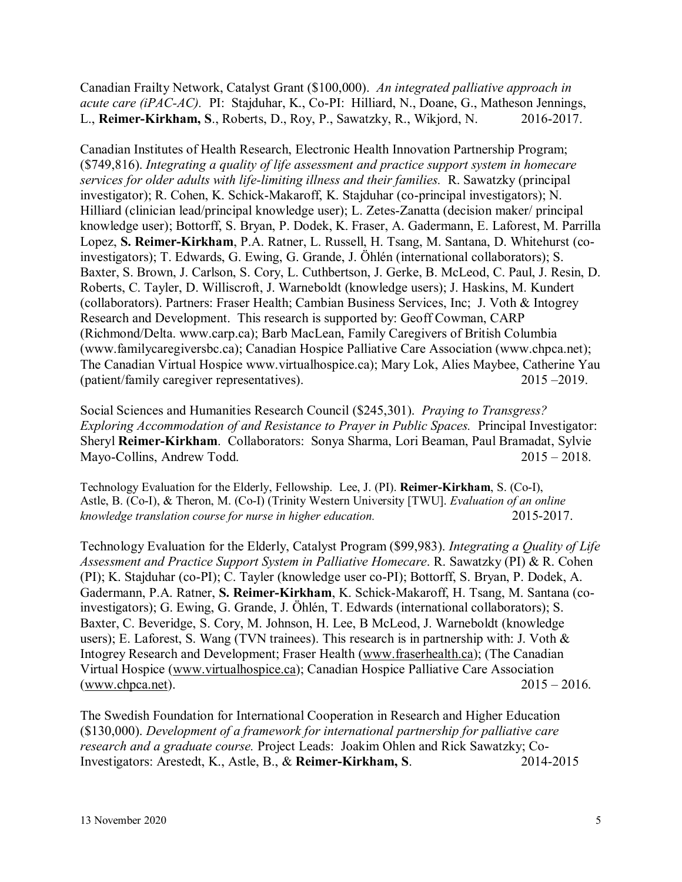Canadian Frailty Network, Catalyst Grant (\$100,000). *An integrated palliative approach in acute care (iPAC-AC).* PI: Stajduhar, K., Co-PI: Hilliard, N., Doane, G., Matheson Jennings, L., **Reimer-Kirkham, S**., Roberts, D., Roy, P., Sawatzky, R., Wikjord, N. 2016-2017.

Canadian Institutes of Health Research, Electronic Health Innovation Partnership Program; (\$749,816). *Integrating a quality of life assessment and practice support system in homecare services for older adults with life-limiting illness and their families.* R. Sawatzky (principal investigator); R. Cohen, K. Schick-Makaroff, K. Stajduhar (co-principal investigators); N. Hilliard (clinician lead/principal knowledge user); L. Zetes-Zanatta (decision maker/ principal knowledge user); Bottorff, S. Bryan, P. Dodek, K. Fraser, A. Gadermann, E. Laforest, M. Parrilla Lopez, **S. Reimer-Kirkham**, P.A. Ratner, L. Russell, H. Tsang, M. Santana, D. Whitehurst (coinvestigators); T. Edwards, G. Ewing, G. Grande, J. Öhlén (international collaborators); S. Baxter, S. Brown, J. Carlson, S. Cory, L. Cuthbertson, J. Gerke, B. McLeod, C. Paul, J. Resin, D. Roberts, C. Tayler, D. Williscroft, J. Warneboldt (knowledge users); J. Haskins, M. Kundert (collaborators). Partners: Fraser Health; Cambian Business Services, Inc; J. Voth & Intogrey Research and Development. This research is supported by: Geoff Cowman, CARP (Richmond/Delta. www.carp.ca); Barb MacLean, Family Caregivers of British Columbia (www.familycaregiversbc.ca); Canadian Hospice Palliative Care Association (www.chpca.net); The Canadian Virtual Hospice www.virtualhospice.ca); Mary Lok, Alies Maybee, Catherine Yau (patient/family caregiver representatives). 2015 –2019.

Social Sciences and Humanities Research Council (\$245,301). *Praying to Transgress? Exploring Accommodation of and Resistance to Prayer in Public Spaces.* Principal Investigator: Sheryl **Reimer-Kirkham**. Collaborators: Sonya Sharma, Lori Beaman, Paul Bramadat, Sylvie Mayo-Collins, Andrew Todd. 2015 – 2018.

Technology Evaluation for the Elderly, Fellowship. Lee, J. (PI). **Reimer-Kirkham**, S. (Co-I), Astle, B. (Co-I), & Theron, M. (Co-I) (Trinity Western University [TWU]. *Evaluation of an online knowledge translation course for nurse in higher education.* 2015-2017.

Technology Evaluation for the Elderly, Catalyst Program (\$99,983). *Integrating a Quality of Life Assessment and Practice Support System in Palliative Homecare*. R. Sawatzky (PI) & R. Cohen (PI); K. Stajduhar (co-PI); C. Tayler (knowledge user co-PI); Bottorff, S. Bryan, P. Dodek, A. Gadermann, P.A. Ratner, **S. Reimer-Kirkham**, K. Schick-Makaroff, H. Tsang, M. Santana (coinvestigators); G. Ewing, G. Grande, J. Öhlén, T. Edwards (international collaborators); S. Baxter, C. Beveridge, S. Cory, M. Johnson, H. Lee, B McLeod, J. Warneboldt (knowledge users); E. Laforest, S. Wang (TVN trainees). This research is in partnership with: J. Voth & Intogrey Research and Development; Fraser Health [\(www.fraserhealth.ca\)](http://www.fraserhealth.ca/); (The Canadian Virtual Hospice [\(www.virtualhospice.ca\)](http://www.virtualhospice.ca/); Canadian Hospice Palliative Care Association [\(www.chpca.net\)](http://www.chpca.net/).  $2015 - 2016$ .

The Swedish Foundation for International Cooperation in Research and Higher Education (\$130,000). *Development of a framework for international partnership for palliative care research and a graduate course.* Project Leads: Joakim Ohlen and Rick Sawatzky; Co-Investigators: Arestedt, K., Astle, B., & **Reimer-Kirkham, S**. 2014-2015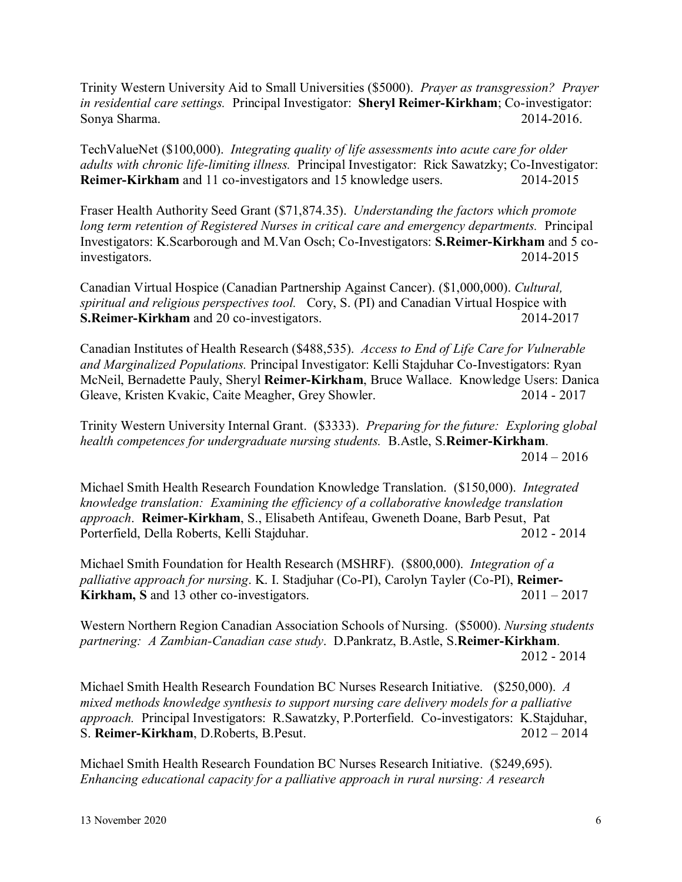Trinity Western University Aid to Small Universities (\$5000). *Prayer as transgression? Prayer in residential care settings.* Principal Investigator: **Sheryl Reimer-Kirkham**; Co-investigator: Sonya Sharma. 2014-2016.

TechValueNet (\$100,000). *Integrating quality of life assessments into acute care for older adults with chronic life-limiting illness.* Principal Investigator: Rick Sawatzky; Co-Investigator: **Reimer-Kirkham** and 11 co-investigators and 15 knowledge users. 2014-2015

Fraser Health Authority Seed Grant (\$71,874.35). *Understanding the factors which promote long term retention of Registered Nurses in critical care and emergency departments.* Principal Investigators: K.Scarborough and M.Van Osch; Co-Investigators: **S.Reimer-Kirkham** and 5 coinvestigators. 2014-2015

Canadian Virtual Hospice (Canadian Partnership Against Cancer). (\$1,000,000). *Cultural, spiritual and religious perspectives tool.* Cory, S. (PI) and Canadian Virtual Hospice with **S.Reimer-Kirkham** and 20 co-investigators. 2014-2017

Canadian Institutes of Health Research (\$488,535). *Access to End of Life Care for Vulnerable and Marginalized Populations.* Principal Investigator: Kelli Stajduhar Co-Investigators: Ryan McNeil, Bernadette Pauly, Sheryl **Reimer-Kirkham**, Bruce Wallace. Knowledge Users: Danica Gleave, Kristen Kvakic, Caite Meagher, Grey Showler. 2014 - 2017

Trinity Western University Internal Grant. (\$3333). *Preparing for the future: Exploring global health competences for undergraduate nursing students.* B.Astle, S.**Reimer-Kirkham**.  $2014 - 2016$ 

Michael Smith Health Research Foundation Knowledge Translation. (\$150,000). *Integrated knowledge translation: Examining the efficiency of a collaborative knowledge translation approach*. **Reimer-Kirkham**, S., Elisabeth Antifeau, Gweneth Doane, Barb Pesut, Pat Porterfield, Della Roberts, Kelli Stajduhar. 2012 - 2014

Michael Smith Foundation for Health Research (MSHRF). (\$800,000). *Integration of a palliative approach for nursing*. K. I. Stadjuhar (Co-PI), Carolyn Tayler (Co-PI), **Reimer-**Kirkham, S and 13 other co-investigators. 2011 – 2017

Western Northern Region Canadian Association Schools of Nursing. (\$5000). *Nursing students partnering: A Zambian-Canadian case study*. D.Pankratz, B.Astle, S.**Reimer-Kirkham**. 2012 - 2014

Michael Smith Health Research Foundation BC Nurses Research Initiative. (\$250,000). *A mixed methods knowledge synthesis to support nursing care delivery models for a palliative approach.* Principal Investigators: R.Sawatzky, P.Porterfield. Co-investigators: K.Stajduhar, S. **Reimer-Kirkham**, D.Roberts, B.Pesut. 2012 – 2014

Michael Smith Health Research Foundation BC Nurses Research Initiative. (\$249,695). *Enhancing educational capacity for a palliative approach in rural nursing: A research*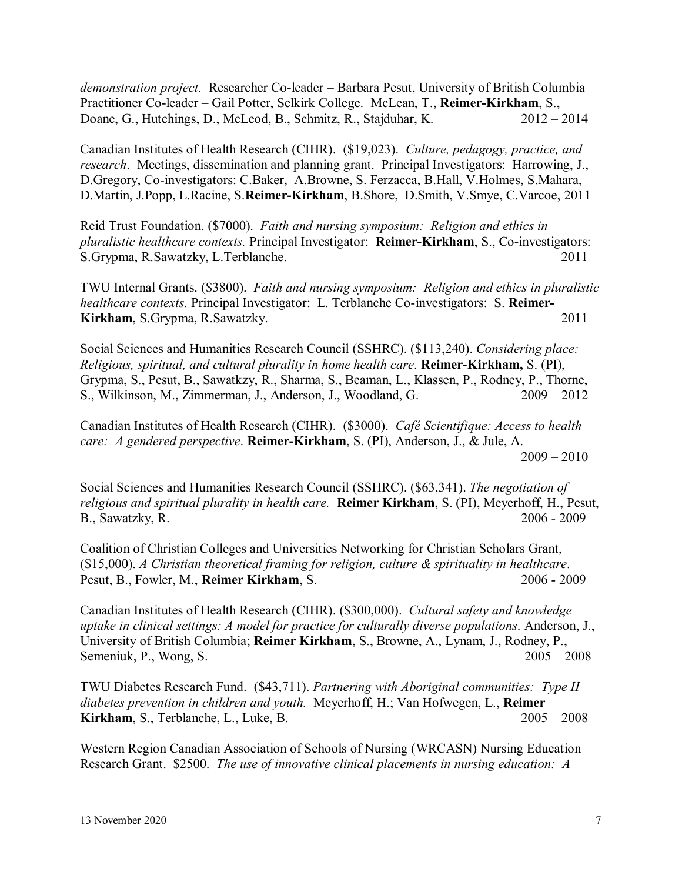*demonstration project.* Researcher Co-leader – Barbara Pesut, University of British Columbia Practitioner Co-leader – Gail Potter, Selkirk College. McLean, T., **Reimer-Kirkham**, S., Doane, G., Hutchings, D., McLeod, B., Schmitz, R., Stajduhar, K. 2012 – 2014

Canadian Institutes of Health Research (CIHR). (\$19,023). *Culture, pedagogy, practice, and research*. Meetings, dissemination and planning grant. Principal Investigators: Harrowing, J., D.Gregory, Co-investigators: C.Baker, A.Browne, S. Ferzacca, B.Hall, V.Holmes, S.Mahara, D.Martin, J.Popp, L.Racine, S.**Reimer-Kirkham**, B.Shore, D.Smith, V.Smye, C.Varcoe, 2011

Reid Trust Foundation. (\$7000). *Faith and nursing symposium: Religion and ethics in pluralistic healthcare contexts.* Principal Investigator: **Reimer-Kirkham**, S., Co-investigators: S.Grypma, R.Sawatzky, L.Terblanche. 2011

TWU Internal Grants. (\$3800). *Faith and nursing symposium: Religion and ethics in pluralistic healthcare contexts*. Principal Investigator: L. Terblanche Co-investigators: S. **Reimer-Kirkham**, S.Grypma, R.Sawatzky. 2011

Social Sciences and Humanities Research Council (SSHRC). (\$113,240). *Considering place: Religious, spiritual, and cultural plurality in home health care*. **Reimer-Kirkham,** S. (PI), Grypma, S., Pesut, B., Sawatkzy, R., Sharma, S., Beaman, L., Klassen, P., Rodney, P., Thorne, S., Wilkinson, M., Zimmerman, J., Anderson, J., Woodland, G. 2009 – 2012

Canadian Institutes of Health Research (CIHR). (\$3000). *Café Scientifique: Access to health care: A gendered perspective*. **Reimer-Kirkham**, S. (PI), Anderson, J., & Jule, A.  $2009 - 2010$ 

Social Sciences and Humanities Research Council (SSHRC). (\$63,341). *The negotiation of religious and spiritual plurality in health care.* **Reimer Kirkham**, S. (PI), Meyerhoff, H., Pesut, B., Sawatzky, R. 2006 - 2009

Coalition of Christian Colleges and Universities Networking for Christian Scholars Grant, (\$15,000). *A Christian theoretical framing for religion, culture & spirituality in healthcare*. Pesut, B., Fowler, M., **Reimer Kirkham**, S. 2006 - 2009

Canadian Institutes of Health Research (CIHR). (\$300,000). *Cultural safety and knowledge uptake in clinical settings: A model for practice for culturally diverse populations*. Anderson, J., University of British Columbia; **Reimer Kirkham**, S., Browne, A., Lynam, J., Rodney, P., Semeniuk, P., Wong, S. 2005 – 2008

TWU Diabetes Research Fund. (\$43,711). *Partnering with Aboriginal communities: Type II diabetes prevention in children and youth.* Meyerhoff, H.; Van Hofwegen, L., **Reimer Kirkham**, S., Terblanche, L., Luke, B. 2005 – 2008

Western Region Canadian Association of Schools of Nursing (WRCASN) Nursing Education Research Grant. \$2500. *The use of innovative clinical placements in nursing education: A*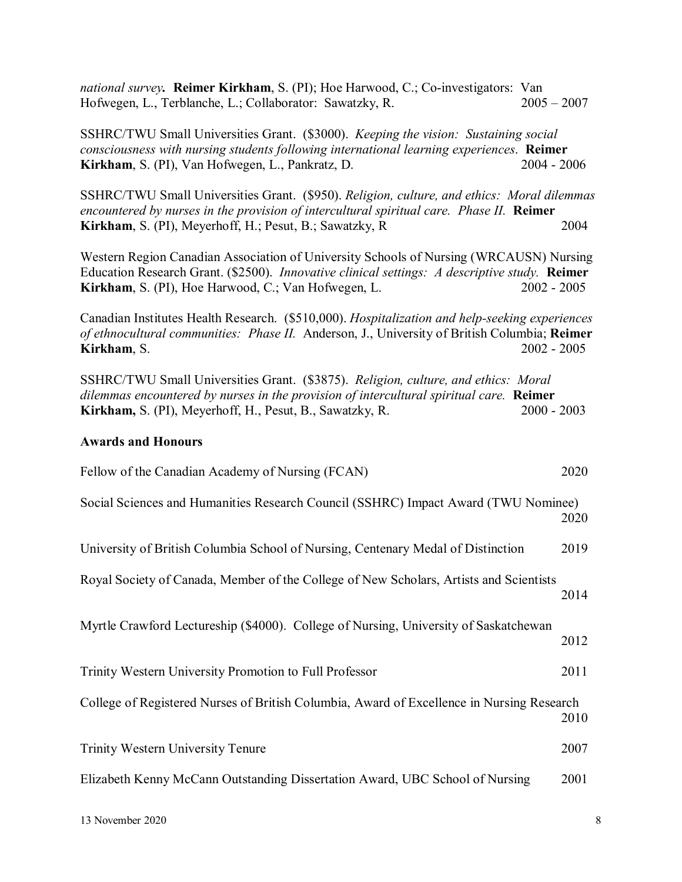*national survey.* **Reimer Kirkham**, S. (PI); Hoe Harwood, C.; Co-investigators: Van Hofwegen, L., Terblanche, L.; Collaborator: Sawatzky, R. 2005 – 2007

SSHRC/TWU Small Universities Grant. (\$3000). *Keeping the vision: Sustaining social consciousness with nursing students following international learning experiences*. **Reimer Kirkham**, S. (PI), Van Hofwegen, L., Pankratz, D. 2004 - 2004 - 2006

SSHRC/TWU Small Universities Grant. (\$950). *Religion, culture, and ethics: Moral dilemmas encountered by nurses in the provision of intercultural spiritual care. Phase II.* **Reimer Kirkham**, S. (PI), Meyerhoff, H.; Pesut, B.; Sawatzky, R 2004

Western Region Canadian Association of University Schools of Nursing (WRCAUSN) Nursing Education Research Grant. (\$2500). *Innovative clinical settings: A descriptive study.* **Reimer Kirkham**, S. (PI), Hoe Harwood, C.; Van Hofwegen, L. 2002 - 2005

Canadian Institutes Health Research. (\$510,000). *Hospitalization and help-seeking experiences of ethnocultural communities: Phase II.* Anderson, J., University of British Columbia; **Reimer Kirkham**, S. 2002 - 2005

SSHRC/TWU Small Universities Grant. (\$3875). *Religion, culture, and ethics: Moral dilemmas encountered by nurses in the provision of intercultural spiritual care.* **Reimer Kirkham,** S. (PI), Meyerhoff, H., Pesut, B., Sawatzky, R. 2000 - 2003

#### **Awards and Honours**

| Fellow of the Canadian Academy of Nursing (FCAN)                                          | 2020 |
|-------------------------------------------------------------------------------------------|------|
| Social Sciences and Humanities Research Council (SSHRC) Impact Award (TWU Nominee)        | 2020 |
| University of British Columbia School of Nursing, Centenary Medal of Distinction          | 2019 |
| Royal Society of Canada, Member of the College of New Scholars, Artists and Scientists    | 2014 |
| Myrtle Crawford Lectureship (\$4000). College of Nursing, University of Saskatchewan      | 2012 |
| Trinity Western University Promotion to Full Professor                                    | 2011 |
| College of Registered Nurses of British Columbia, Award of Excellence in Nursing Research | 2010 |
| <b>Trinity Western University Tenure</b>                                                  | 2007 |
| Elizabeth Kenny McCann Outstanding Dissertation Award, UBC School of Nursing              | 2001 |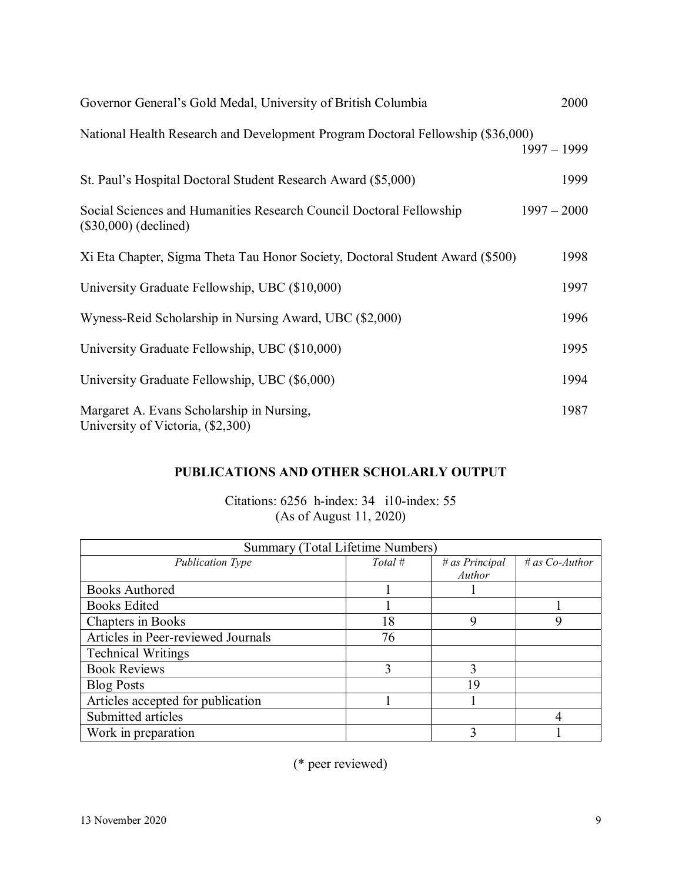| Governor General's Gold Medal, University of British Columbia                                  | 2000          |
|------------------------------------------------------------------------------------------------|---------------|
| National Health Research and Development Program Doctoral Fellowship (\$36,000)                | $1997 - 1999$ |
| St. Paul's Hospital Doctoral Student Research Award (\$5,000)                                  | 1999          |
| Social Sciences and Humanities Research Council Doctoral Fellowship<br>$(\$30,000)$ (declined) | $1997 - 2000$ |
| Xi Eta Chapter, Sigma Theta Tau Honor Society, Doctoral Student Award (\$500)                  | 1998          |
| University Graduate Fellowship, UBC (\$10,000)                                                 | 1997          |
| Wyness-Reid Scholarship in Nursing Award, UBC (\$2,000)                                        | 1996          |
| University Graduate Fellowship, UBC (\$10,000)                                                 | 1995          |
| University Graduate Fellowship, UBC (\$6,000)                                                  | 1994          |
| Margaret A. Evans Scholarship in Nursing,<br>University of Victoria, (\$2,300)                 | 1987          |

# **PUBLICATIONS AND OTHER SCHOLARLY OUTPUT**

Citations: 6256 h-index: 34 i10-index: 55 (As of August 11, 2020)

| Summary (Total Lifetime Numbers)   |           |                |                  |
|------------------------------------|-----------|----------------|------------------|
| <b>Publication Type</b>            | Total $#$ | # as Principal | # as $Co-Author$ |
|                                    |           | Author         |                  |
| <b>Books Authored</b>              |           |                |                  |
| <b>Books Edited</b>                |           |                |                  |
| Chapters in Books                  | 18        | 9              | 9                |
| Articles in Peer-reviewed Journals | 76        |                |                  |
| <b>Technical Writings</b>          |           |                |                  |
| <b>Book Reviews</b>                | 3         | 3              |                  |
| <b>Blog Posts</b>                  |           | 19             |                  |
| Articles accepted for publication  |           |                |                  |
| Submitted articles                 |           |                |                  |
| Work in preparation                |           |                |                  |

(\* peer reviewed)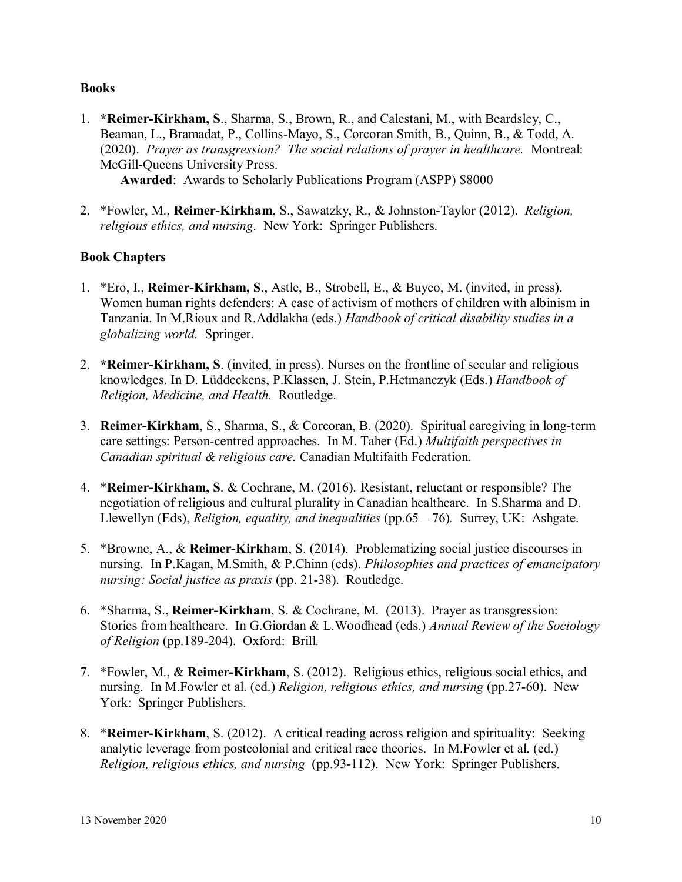## **Books**

- 1. **\*Reimer-Kirkham, S**., Sharma, S., Brown, R., and Calestani, M., with Beardsley, C., Beaman, L., Bramadat, P., Collins-Mayo, S., Corcoran Smith, B., Quinn, B., & Todd, A. (2020). *Prayer as transgression? The social relations of prayer in healthcare.* Montreal: McGill-Queens University Press. **Awarded**: Awards to Scholarly Publications Program (ASPP) \$8000
- 2. \*Fowler, M., **Reimer-Kirkham**, S., Sawatzky, R., & Johnston-Taylor (2012). *Religion, religious ethics, and nursing*. New York: Springer Publishers.

# **Book Chapters**

- 1. \*Ero, I., **Reimer-Kirkham, S**., Astle, B., Strobell, E., & Buyco, M. (invited, in press). Women human rights defenders: A case of activism of mothers of children with albinism in Tanzania. In M.Rioux and R.Addlakha (eds.) *Handbook of critical disability studies in a globalizing world.* Springer.
- 2. **\*Reimer-Kirkham, S**. (invited, in press). Nurses on the frontline of secular and religious knowledges. In D. Lüddeckens, P.Klassen, J. Stein, P.Hetmanczyk (Eds.) *Handbook of Religion, Medicine, and Health.* Routledge.
- 3. **Reimer-Kirkham**, S., Sharma, S., & Corcoran, B. (2020). Spiritual caregiving in long-term care settings: Person-centred approaches. In M. Taher (Ed.) *Multifaith perspectives in Canadian spiritual & religious care.* Canadian Multifaith Federation.
- 4. \***Reimer-Kirkham, S**. & Cochrane, M. (2016). Resistant, reluctant or responsible? The negotiation of religious and cultural plurality in Canadian healthcare. In S.Sharma and D. Llewellyn (Eds), *Religion, equality, and inequalities* (pp.65 – 76)*.* Surrey, UK: Ashgate.
- 5. \*Browne, A., & **Reimer-Kirkham**, S. (2014). Problematizing social justice discourses in nursing. In P.Kagan, M.Smith, & P.Chinn (eds). *Philosophies and practices of emancipatory nursing: Social justice as praxis* (pp. 21-38). Routledge.
- 6. \*Sharma, S., **Reimer-Kirkham**, S. & Cochrane, M. (2013). Prayer as transgression: Stories from healthcare. In G.Giordan & L.Woodhead (eds.) *Annual Review of the Sociology of Religion* (pp.189-204). Oxford: Brill*.*
- 7. \*Fowler, M., & **Reimer-Kirkham**, S. (2012). Religious ethics, religious social ethics, and nursing. In M.Fowler et al. (ed.) *Religion, religious ethics, and nursing* (pp.27-60). New York: Springer Publishers.
- 8. \***Reimer-Kirkham**, S. (2012). A critical reading across religion and spirituality: Seeking analytic leverage from postcolonial and critical race theories. In M.Fowler et al. (ed.) *Religion, religious ethics, and nursing* (pp.93-112). New York: Springer Publishers.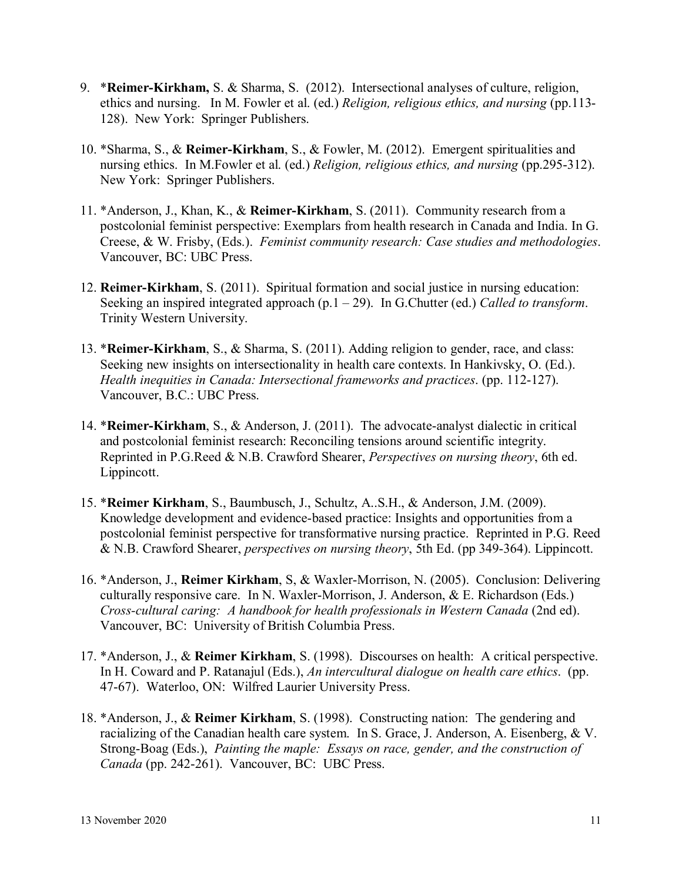- 9. \***Reimer-Kirkham,** S. & Sharma, S. (2012). Intersectional analyses of culture, religion, ethics and nursing. In M. Fowler et al. (ed.) *Religion, religious ethics, and nursing* (pp.113- 128). New York: Springer Publishers.
- 10. \*Sharma, S., & **Reimer-Kirkham**, S., & Fowler, M. (2012). Emergent spiritualities and nursing ethics. In M.Fowler et al. (ed.) *Religion, religious ethics, and nursing* (pp.295-312). New York: Springer Publishers.
- 11. \*Anderson, J., Khan, K., & **Reimer-Kirkham**, S. (2011). Community research from a postcolonial feminist perspective: Exemplars from health research in Canada and India. In G. Creese, & W. Frisby, (Eds.). *Feminist community research: Case studies and methodologies*. Vancouver, BC: UBC Press.
- 12. **Reimer-Kirkham**, S. (2011). Spiritual formation and social justice in nursing education: Seeking an inspired integrated approach (p.1 – 29). In G.Chutter (ed.) *Called to transform*. Trinity Western University.
- 13. \***Reimer-Kirkham**, S., & Sharma, S. (2011). Adding religion to gender, race, and class: Seeking new insights on intersectionality in health care contexts. In Hankivsky, O. (Ed.). *Health inequities in Canada: Intersectional frameworks and practices*. (pp. 112-127). Vancouver, B.C.: UBC Press.
- 14. \***Reimer-Kirkham**, S., & Anderson, J. (2011). The advocate-analyst dialectic in critical and postcolonial feminist research: Reconciling tensions around scientific integrity. Reprinted in P.G.Reed & N.B. Crawford Shearer, *Perspectives on nursing theory*, 6th ed. Lippincott.
- 15. \***Reimer Kirkham**, S., Baumbusch, J., Schultz, A..S.H., & Anderson, J.M. (2009). Knowledge development and evidence-based practice: Insights and opportunities from a postcolonial feminist perspective for transformative nursing practice. Reprinted in P.G. Reed & N.B. Crawford Shearer, *perspectives on nursing theory*, 5th Ed. (pp 349-364). Lippincott.
- 16. \*Anderson, J., **Reimer Kirkham**, S, & Waxler-Morrison, N. (2005). Conclusion: Delivering culturally responsive care. In N. Waxler-Morrison, J. Anderson, & E. Richardson (Eds.) *Cross-cultural caring: A handbook for health professionals in Western Canada* (2nd ed). Vancouver, BC: University of British Columbia Press.
- 17. \*Anderson, J., & **Reimer Kirkham**, S. (1998). Discourses on health: A critical perspective. In H. Coward and P. Ratanajul (Eds.), *An intercultural dialogue on health care ethics*. (pp. 47-67). Waterloo, ON: Wilfred Laurier University Press.
- 18. \*Anderson, J., & **Reimer Kirkham**, S. (1998). Constructing nation: The gendering and racializing of the Canadian health care system. In S. Grace, J. Anderson, A. Eisenberg, & V. Strong-Boag (Eds.), *Painting the maple: Essays on race, gender, and the construction of Canada* (pp. 242-261). Vancouver, BC: UBC Press.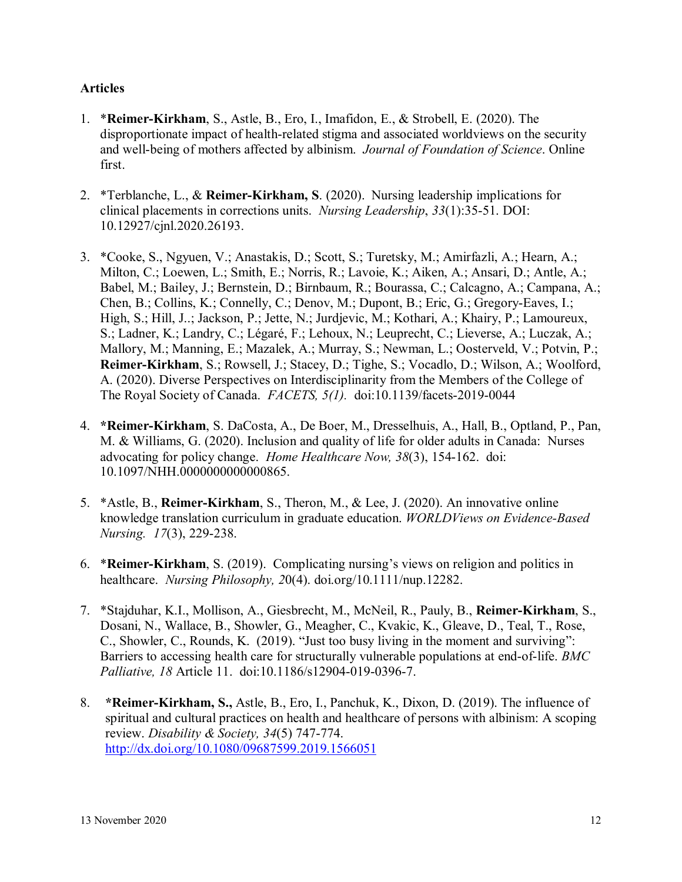# **Articles**

- 1. \***Reimer-Kirkham**, S., Astle, B., Ero, I., Imafidon, E., & Strobell, E. (2020). The disproportionate impact of health-related stigma and associated worldviews on the security and well-being of mothers affected by albinism. *Journal of Foundation of Science*. Online first.
- 2. \*Terblanche, L., & **Reimer-Kirkham, S**. (2020). Nursing leadership implications for clinical placements in corrections units. *Nursing Leadership*, *33*(1):35-51. DOI: 10.12927/cjnl.2020.26193.
- 3. \*Cooke, S., Ngyuen, V.; Anastakis, D.; Scott, S.; Turetsky, M.; Amirfazli, A.; Hearn, A.; Milton, C.; Loewen, L.; Smith, E.; Norris, R.; Lavoie, K.; Aiken, A.; Ansari, D.; Antle, A.; Babel, M.; Bailey, J.; Bernstein, D.; Birnbaum, R.; Bourassa, C.; Calcagno, A.; Campana, A.; Chen, B.; Collins, K.; Connelly, C.; Denov, M.; Dupont, B.; Eric, G.; Gregory-Eaves, I.; High, S.; Hill, J..; Jackson, P.; Jette, N.; Jurdjevic, M.; Kothari, A.; Khairy, P.; Lamoureux, S.; Ladner, K.; Landry, C.; Légaré, F.; Lehoux, N.; Leuprecht, C.; Lieverse, A.; Luczak, A.; Mallory, M.; Manning, E.; Mazalek, A.; Murray, S.; Newman, L.; Oosterveld, V.; Potvin, P.; **Reimer-Kirkham**, S.; Rowsell, J.; Stacey, D.; Tighe, S.; Vocadlo, D.; Wilson, A.; Woolford, A. (2020). Diverse Perspectives on Interdisciplinarity from the Members of the College of The Royal Society of Canada. *FACETS, 5(1).* doi:10.1139/facets-2019-0044
- 4. **\*Reimer-Kirkham**, S. DaCosta, A., De Boer, M., Dresselhuis, A., Hall, B., Optland, P., Pan, M. & Williams, G. (2020). Inclusion and quality of life for older adults in Canada: Nurses advocating for policy change. *Home Healthcare Now, 38*(3), 154-162. doi: 10.1097/NHH.0000000000000865.
- 5. \*Astle, B., **Reimer-Kirkham**, S., Theron, M., & Lee, J. (2020). An innovative online knowledge translation curriculum in graduate education. *WORLDViews on Evidence-Based Nursing. 17*(3), 229-238.
- 6. \***Reimer-Kirkham**, S. (2019). Complicating nursing's views on religion and politics in healthcare. *Nursing Philosophy, 2*0(4). doi.org/10.1111/nup.12282.
- 7. \*Stajduhar, K.I., Mollison, A., Giesbrecht, M., McNeil, R., Pauly, B., **Reimer-Kirkham**, S., Dosani, N., Wallace, B., Showler, G., Meagher, C., Kvakic, K., Gleave, D., Teal, T., Rose, C., Showler, C., Rounds, K. (2019). "Just too busy living in the moment and surviving": Barriers to accessing health care for structurally vulnerable populations at end-of-life. *BMC Palliative, 18* Article 11. doi:10.1186/s12904-019-0396-7.
- 8. **\*Reimer-Kirkham, S.,** Astle, B., Ero, I., Panchuk, K., Dixon, D. (2019). The influence of spiritual and cultural practices on health and healthcare of persons with albinism: A scoping review. *Disability & Society, 34*(5) 747-774. <http://dx.doi.org/10.1080/09687599.2019.1566051>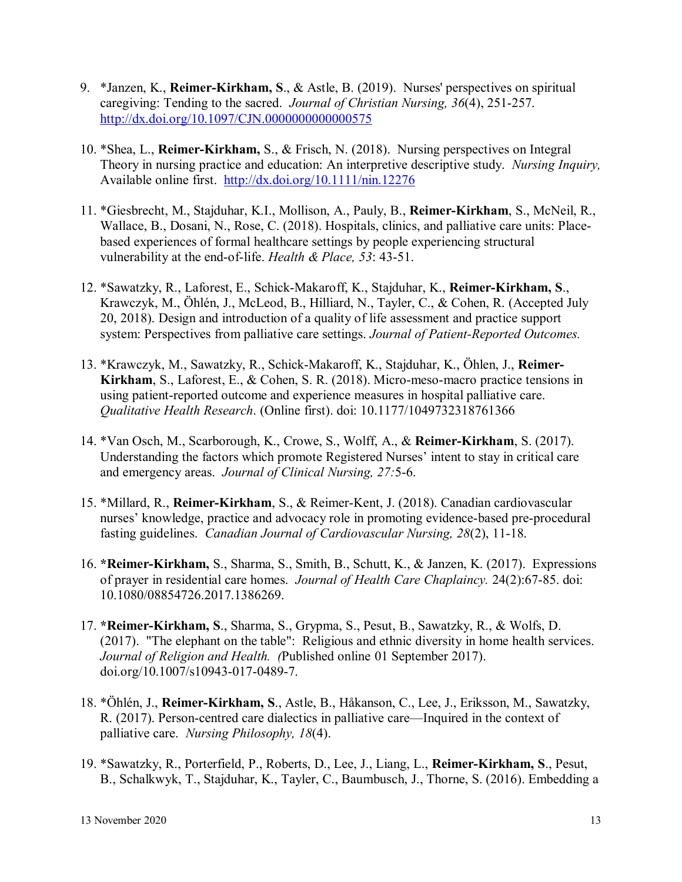- 9. \*Janzen, K., **Reimer-Kirkham, S**., & Astle, B. (2019). Nurses' perspectives on spiritual caregiving: Tending to the sacred. *Journal of Christian Nursing, 36*(4), 251-257. http://dx.doi.org/10.1097/CJN.00000000000000575
- 10. \*Shea, L., **Reimer-Kirkham,** S., & Frisch, N. (2018). Nursing perspectives on Integral Theory in nursing practice and education: An interpretive descriptive study. *Nursing Inquiry,*  Available online first. <http://dx.doi.org/10.1111/nin.12276>
- 11. \*Giesbrecht, M., Stajduhar, K.I., Mollison, A., Pauly, B., **Reimer-Kirkham**, S., McNeil, R., Wallace, B., Dosani, N., Rose, C. (2018). Hospitals, clinics, and palliative care units: Placebased experiences of formal healthcare settings by people experiencing structural vulnerability at the end-of-life. *Health & Place, 53*: 43-51.
- 12. \*Sawatzky, R., Laforest, E., Schick-Makaroff, K., Stajduhar, K., **Reimer-Kirkham, S**., Krawczyk, M., Öhlén, J., McLeod, B., Hilliard, N., Tayler, C., & Cohen, R. (Accepted July 20, 2018). Design and introduction of a quality of life assessment and practice support system: Perspectives from palliative care settings. *Journal of Patient-Reported Outcomes.*
- 13. \*Krawczyk, M., Sawatzky, R., Schick-Makaroff, K., Stajduhar, K., Öhlen, J., **Reimer-Kirkham**, S., Laforest, E., & Cohen, S. R. (2018). Micro-meso-macro practice tensions in using patient-reported outcome and experience measures in hospital palliative care. *Qualitative Health Research*. (Online first). doi: 10.1177/1049732318761366
- 14. \*Van Osch, M., Scarborough, K., Crowe, S., Wolff, A., & **Reimer-Kirkham**, S. (2017). Understanding the factors which promote Registered Nurses' intent to stay in critical care and emergency areas. *Journal of Clinical Nursing, 27:*5-6.
- 15. \*Millard, R., **Reimer-Kirkham**, S., & Reimer-Kent, J. (2018). Canadian cardiovascular nurses' knowledge, practice and advocacy role in promoting evidence-based pre-procedural fasting guidelines. *Canadian Journal of Cardiovascular Nursing, 28*(2), 11-18.
- 16. **\*Reimer-Kirkham,** S., Sharma, S., Smith, B., Schutt, K., & Janzen, K. (2017). Expressions of prayer in residential care homes. *Journal of Health Care Chaplaincy.* 24(2):67-85. doi: 10.1080/08854726.2017.1386269.
- 17. **\*Reimer-Kirkham, S**., Sharma, S., Grypma, S., Pesut, B., Sawatzky, R., & Wolfs, D. (2017). "The elephant on the table": Religious and ethnic diversity in home health services. *Journal of Religion and Health. (*Published online 01 September 2017). doi.org/10.1007/s10943-017-0489-7.
- 18. \*Öhlén, J., **Reimer-Kirkham, S**., Astle, B., Håkanson, C., Lee, J., Eriksson, M., Sawatzky, R. (2017). Person-centred care dialectics in palliative care—Inquired in the context of palliative care. *Nursing Philosophy, 18*(4).
- 19. \*Sawatzky, R., Porterfield, P., Roberts, D., Lee, J., Liang, L., **Reimer-Kirkham, S**., Pesut, B., Schalkwyk, T., Stajduhar, K., Tayler, C., Baumbusch, J., Thorne, S. (2016). Embedding a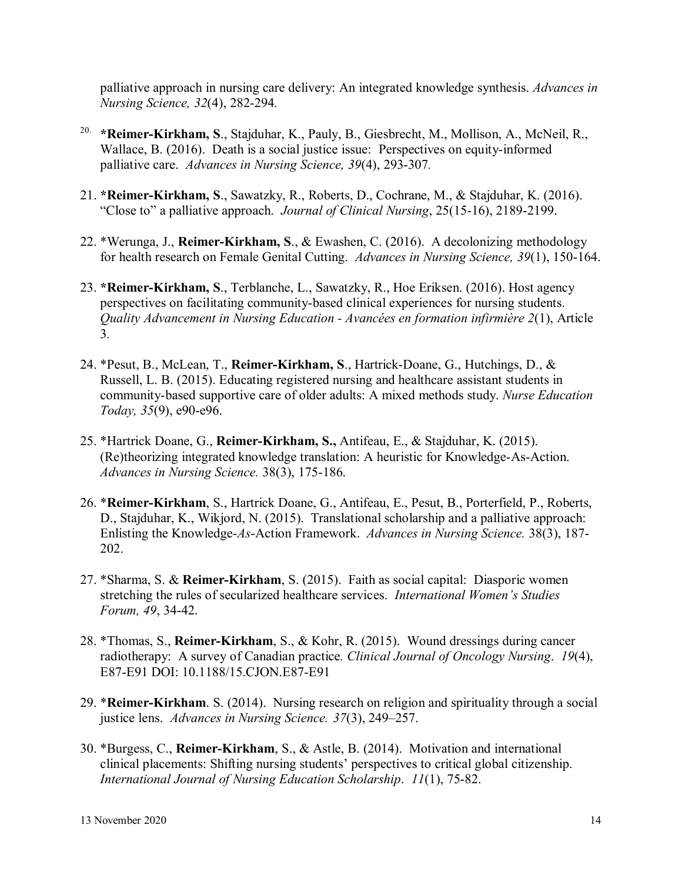palliative approach in nursing care delivery: An integrated knowledge synthesis. *Advances in Nursing Science, 32*(4), 282-294*.*

- 20. **\*Reimer-Kirkham, S**., Stajduhar, K., Pauly, B., Giesbrecht, M., Mollison, A., McNeil, R., Wallace, B. (2016). Death is a social justice issue: Perspectives on equity-informed palliative care. *Advances in Nursing Science, 39*(4), 293-307*.*
- 21. **\*Reimer-Kirkham, S**., Sawatzky, R., Roberts, D., Cochrane, M., & Stajduhar, K. (2016). "Close to" a palliative approach. *Journal of Clinical Nursing*, 25(15-16), 2189-2199.
- 22. \*Werunga, J., **Reimer-Kirkham, S**., & Ewashen, C. (2016). A decolonizing methodology for health research on Female Genital Cutting. *Advances in Nursing Science, 39*(1), 150-164.
- 23. **\*Reimer-Kirkham, S**., Terblanche, L., Sawatzky, R., Hoe Eriksen. (2016). Host agency perspectives on facilitating community-based clinical experiences for nursing students. *Quality Advancement in Nursing Education - Avancées en formation infirmière 2*(1), Article 3*.*
- 24. \*Pesut, B., McLean, T., **Reimer-Kirkham, S**., Hartrick-Doane, G., Hutchings, D., & Russell, L. B. (2015). Educating registered nursing and healthcare assistant students in community-based supportive care of older adults: A mixed methods study. *Nurse Education Today, 35*(9), e90-e96.
- 25. \*Hartrick Doane, G., **Reimer-Kirkham, S.,** Antifeau, E., & Stajduhar, K. (2015). (Re)theorizing integrated knowledge translation: A heuristic for Knowledge-As-Action. *Advances in Nursing Science.* 38(3), 175-186.
- 26. \***Reimer-Kirkham**, S., Hartrick Doane, G., Antifeau, E., Pesut, B., Porterfield, P., Roberts, D., Stajduhar, K., Wikjord, N. (2015). Translational scholarship and a palliative approach: Enlisting the Knowledge-*As*-Action Framework. *Advances in Nursing Science.* 38(3), 187- 202.
- 27. \*Sharma, S. & **Reimer-Kirkham**, S. (2015). Faith as social capital: Diasporic women stretching the rules of secularized healthcare services. *International Women's Studies Forum, 49*, 34-42.
- 28. \*Thomas, S., **Reimer-Kirkham**, S., & Kohr, R. (2015). Wound dressings during cancer radiotherapy: A survey of Canadian practice*. Clinical Journal of Oncology Nursing*. *19*(4), E87-E91 DOI: 10.1188/15.CJON.E87-E91
- 29. \***Reimer-Kirkham**. S. (2014). Nursing research on religion and spirituality through a social justice lens. *Advances in Nursing Science. 37*(3), 249–257.
- 30. \*Burgess, C., **Reimer-Kirkham**, S., & Astle, B. (2014). Motivation and international clinical placements: Shifting nursing students' perspectives to critical global citizenship. *International Journal of Nursing Education Scholarship*. *11*(1), 75-82.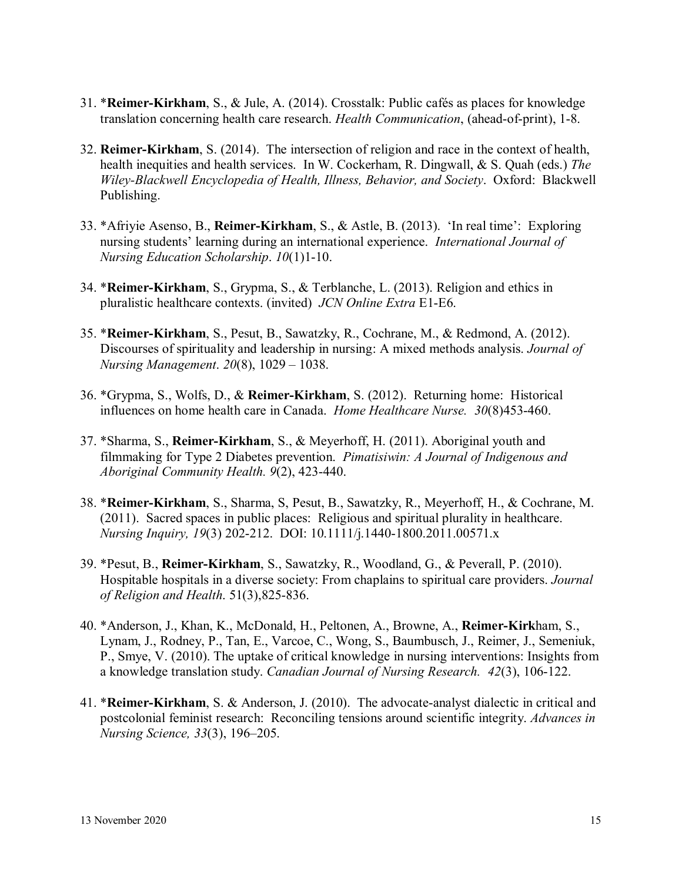- 31. \***Reimer-Kirkham**, S., & Jule, A. (2014). Crosstalk: Public cafés as places for knowledge translation concerning health care research. *Health Communication*, (ahead-of-print), 1-8.
- 32. **Reimer-Kirkham**, S. (2014). The intersection of religion and race in the context of health, health inequities and health services. In W. Cockerham, R. Dingwall, & S. Quah (eds.) *The Wiley-Blackwell Encyclopedia of Health, Illness, Behavior, and Society*. Oxford: Blackwell Publishing.
- 33. \*Afriyie Asenso, B., **Reimer-Kirkham**, S., & Astle, B. (2013). 'In real time': Exploring nursing students' learning during an international experience. *International Journal of Nursing Education Scholarship*. *10*(1)1-10.
- 34. \***Reimer-Kirkham**, S., Grypma, S., & Terblanche, L. (2013). Religion and ethics in pluralistic healthcare contexts. (invited) *JCN Online Extra* E1-E6.
- 35. \***Reimer-Kirkham**, S., Pesut, B., Sawatzky, R., Cochrane, M., & Redmond, A. (2012). Discourses of spirituality and leadership in nursing: A mixed methods analysis. *Journal of Nursing Management*. *20*(8), 1029 – 1038.
- 36. \*Grypma, S., Wolfs, D., & **Reimer-Kirkham**, S. (2012). Returning home: Historical influences on home health care in Canada. *Home Healthcare Nurse. 30*(8)453-460.
- 37. \*Sharma, S., **Reimer-Kirkham**, S., & Meyerhoff, H. (2011). Aboriginal youth and filmmaking for Type 2 Diabetes prevention. *Pimatisiwin: A Journal of Indigenous and Aboriginal Community Health. 9*(2), 423-440.
- 38. \***Reimer-Kirkham**, S., Sharma, S, Pesut, B., Sawatzky, R., Meyerhoff, H., & Cochrane, M. (2011). Sacred spaces in public places: Religious and spiritual plurality in healthcare. *Nursing Inquiry, 19*(3) 202-212. DOI: 10.1111/j.1440-1800.2011.00571.x
- 39. \*Pesut, B., **Reimer-Kirkham**, S., Sawatzky, R., Woodland, G., & Peverall, P. (2010). Hospitable hospitals in a diverse society: From chaplains to spiritual care providers. *Journal of Religion and Health*. 51(3),825-836.
- 40. \*Anderson, J., Khan, K., McDonald, H., Peltonen, A., Browne, A., **Reimer-Kirk**ham, S., Lynam, J., Rodney, P., Tan, E., Varcoe, C., Wong, S., Baumbusch, J., Reimer, J., Semeniuk, P., Smye, V. (2010). The uptake of critical knowledge in nursing interventions: Insights from a knowledge translation study. *Canadian Journal of Nursing Research. 42*(3), 106-122.
- 41. \***Reimer-Kirkham**, S. & Anderson, J. (2010). The advocate-analyst dialectic in critical and postcolonial feminist research: Reconciling tensions around scientific integrity. *Advances in Nursing Science, 33*(3), 196–205.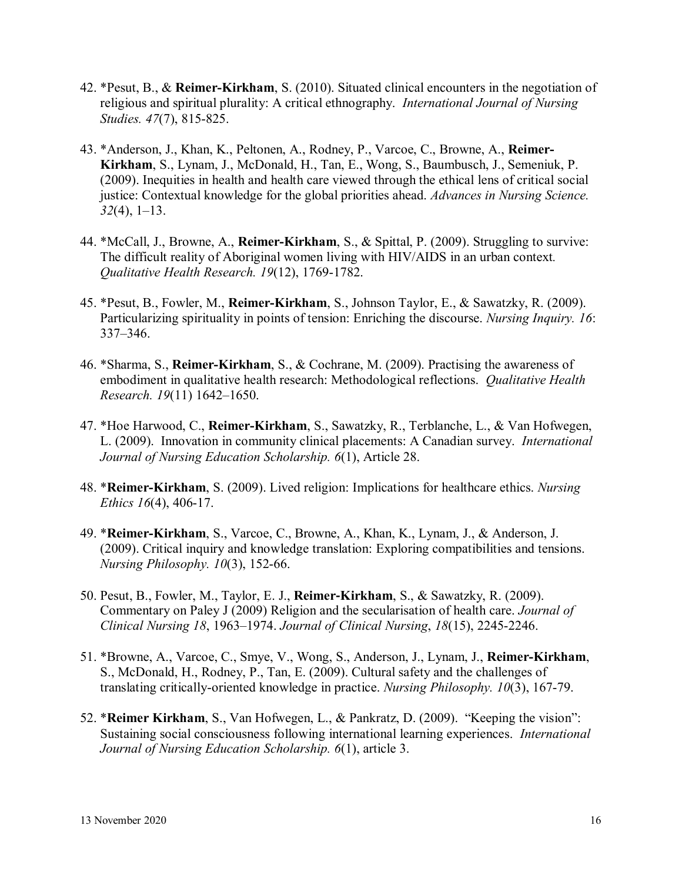- 42. \*Pesut, B., & **Reimer-Kirkham**, S. (2010). Situated clinical encounters in the negotiation of religious and spiritual plurality: A critical ethnography. *International Journal of Nursing Studies. 47*(7), 815-825.
- 43. \*Anderson, J., Khan, K., Peltonen, A., Rodney, P., Varcoe, C., Browne, A., **Reimer-Kirkham**, S., Lynam, J., McDonald, H., Tan, E., Wong, S., Baumbusch, J., Semeniuk, P. (2009). Inequities in health and health care viewed through the ethical lens of critical social justice: Contextual knowledge for the global priorities ahead. *Advances in Nursing Science. 32*(4), 1–13.
- 44. \*McCall, J., Browne, A., **Reimer-Kirkham**, S., & Spittal, P. (2009). Struggling to survive: The difficult reality of Aboriginal women living with HIV/AIDS in an urban context*. Qualitative Health Research. 19*(12), 1769-1782.
- 45. \*Pesut, B., Fowler, M., **Reimer-Kirkham**, S., Johnson Taylor, E., & Sawatzky, R. (2009). Particularizing spirituality in points of tension: Enriching the discourse. *Nursing Inquiry. 16*: 337–346.
- 46. \*Sharma, S., **Reimer-Kirkham**, S., & Cochrane, M. (2009). Practising the awareness of embodiment in qualitative health research: Methodological reflections. *Qualitative Health Research. 19*(11) 1642–1650.
- 47. \*Hoe Harwood, C., **Reimer-Kirkham**, S., Sawatzky, R., Terblanche, L., & Van Hofwegen, L. (2009). Innovation in community clinical placements: A Canadian survey. *International Journal of Nursing Education Scholarship. 6*(1), Article 28.
- 48. \***Reimer-Kirkham**, S. (2009). Lived religion: Implications for healthcare ethics. *Nursing Ethics 16*(4), 406-17.
- 49. \***Reimer-Kirkham**, S., Varcoe, C., Browne, A., Khan, K., Lynam, J., & Anderson, J. (2009). Critical inquiry and knowledge translation: Exploring compatibilities and tensions. *Nursing Philosophy. 10*(3), 152-66.
- 50. Pesut, B., Fowler, M., Taylor, E. J., **Reimer**‐**Kirkham**, S., & Sawatzky, R. (2009). Commentary on Paley J (2009) Religion and the secularisation of health care. *Journal of Clinical Nursing 18*, 1963–1974. *Journal of Clinical Nursing*, *18*(15), 2245-2246.
- 51. \*Browne, A., Varcoe, C., Smye, V., Wong, S., Anderson, J., Lynam, J., **Reimer-Kirkham**, S., McDonald, H., Rodney, P., Tan, E. (2009). Cultural safety and the challenges of translating critically-oriented knowledge in practice. *Nursing Philosophy. 10*(3), 167-79.
- 52. \***Reimer Kirkham**, S., Van Hofwegen, L., & Pankratz, D. (2009). "Keeping the vision": Sustaining social consciousness following international learning experiences. *International Journal of Nursing Education Scholarship. 6*(1), article 3.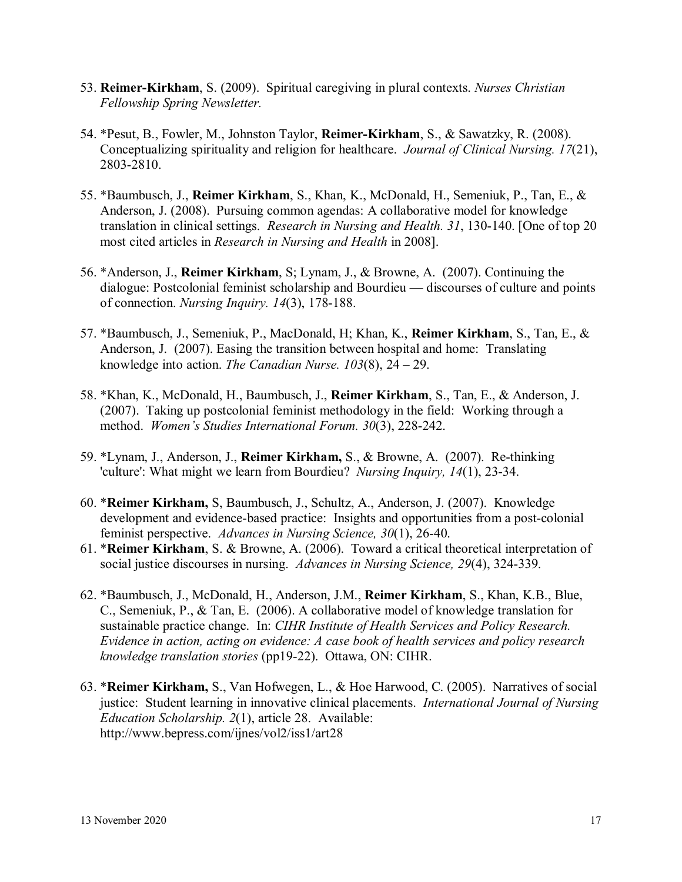- 53. **Reimer-Kirkham**, S. (2009). Spiritual caregiving in plural contexts. *Nurses Christian Fellowship Spring Newsletter.*
- 54. \*Pesut, B., Fowler, M., Johnston Taylor, **Reimer-Kirkham**, S., & Sawatzky, R. (2008). Conceptualizing spirituality and religion for healthcare. *Journal of Clinical Nursing. 17*(21), 2803-2810.
- 55. \*Baumbusch, J., **Reimer Kirkham**, S., Khan, K., McDonald, H., Semeniuk, P., Tan, E., & Anderson, J. (2008). Pursuing common agendas: A collaborative model for knowledge translation in clinical settings. *Research in Nursing and Health. 31*, 130-140. [One of top 20 most cited articles in *Research in Nursing and Health* in 2008].
- 56. \*Anderson, J., **Reimer Kirkham**, S; Lynam, J., & Browne, A. (2007). Continuing the dialogue: Postcolonial feminist scholarship and Bourdieu — discourses of culture and points of connection. *Nursing Inquiry. 14*(3), 178-188.
- 57. \*Baumbusch, J., Semeniuk, P., MacDonald, H; Khan, K., **Reimer Kirkham**, S., Tan, E., & Anderson, J. (2007). Easing the transition between hospital and home: Translating knowledge into action. *The Canadian Nurse. 103*(8), 24 – 29.
- 58. \*Khan, K., McDonald, H., Baumbusch, J., **Reimer Kirkham**, S., Tan, E., & Anderson, J. (2007). Taking up postcolonial feminist methodology in the field: Working through a method. *Women's Studies International Forum. 30*(3), 228-242.
- 59. \*Lynam, J., Anderson, J., **Reimer Kirkham,** S., & Browne, A. (2007). Re-thinking 'culture': What might we learn from Bourdieu? *Nursing Inquiry, 14*(1), 23-34.
- 60. \***Reimer Kirkham,** S, Baumbusch, J., Schultz, A., Anderson, J. (2007). Knowledge development and evidence-based practice: Insights and opportunities from a post-colonial feminist perspective. *Advances in Nursing Science, 30*(1), 26-40.
- 61. \***Reimer Kirkham**, S. & Browne, A. (2006). Toward a critical theoretical interpretation of social justice discourses in nursing. *Advances in Nursing Science, 29*(4), 324-339.
- 62. \*Baumbusch, J., McDonald, H., Anderson, J.M., **Reimer Kirkham**, S., Khan, K.B., Blue, C., Semeniuk, P., & Tan, E. (2006). A collaborative model of knowledge translation for sustainable practice change. In: *CIHR Institute of Health Services and Policy Research. Evidence in action, acting on evidence: A case book of health services and policy research knowledge translation stories* (pp19-22). Ottawa, ON: CIHR.
- 63. \***Reimer Kirkham,** S., Van Hofwegen, L., & Hoe Harwood, C. (2005). Narratives of social justice: Student learning in innovative clinical placements. *International Journal of Nursing Education Scholarship. 2*(1), article 28. Available: http://www.bepress.com/ijnes/vol2/iss1/art28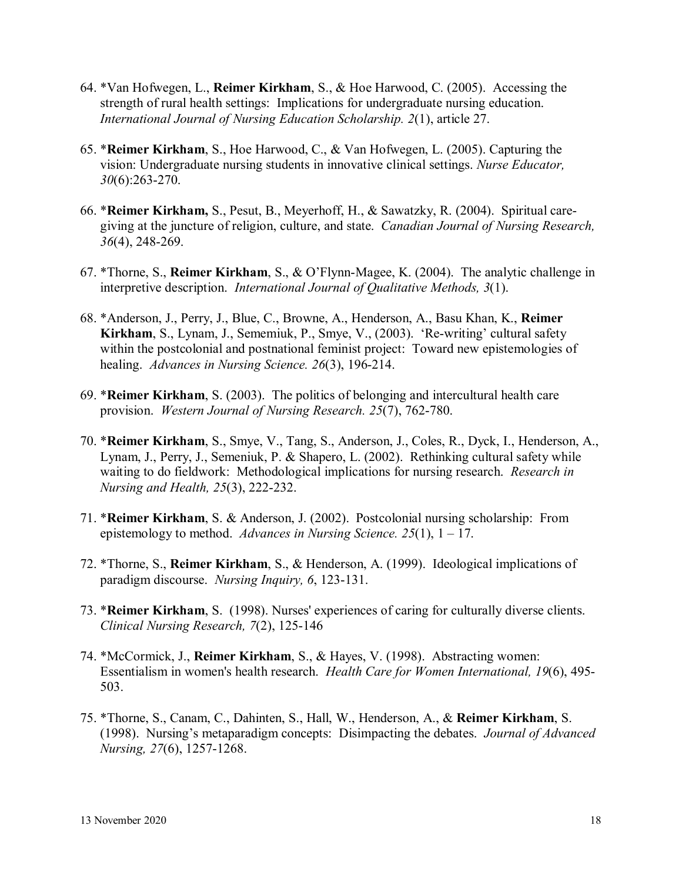- 64. \*Van Hofwegen, L., **Reimer Kirkham**, S., & Hoe Harwood, C. (2005). Accessing the strength of rural health settings: Implications for undergraduate nursing education. *International Journal of Nursing Education Scholarship. 2*(1), article 27.
- 65. \***Reimer Kirkham**, S., Hoe Harwood, C., & Van Hofwegen, L. (2005). Capturing the vision: Undergraduate nursing students in innovative clinical settings. *Nurse Educator, 30*(6):263-270.
- 66. \***Reimer Kirkham,** S., Pesut, B., Meyerhoff, H., & Sawatzky, R. (2004). Spiritual caregiving at the juncture of religion, culture, and state. *Canadian Journal of Nursing Research, 36*(4), 248-269.
- 67. \*Thorne, S., **Reimer Kirkham**, S., & O'Flynn-Magee, K. (2004). The analytic challenge in interpretive description. *International Journal of Qualitative Methods, 3*(1).
- 68. \*Anderson, J., Perry, J., Blue, C., Browne, A., Henderson, A., Basu Khan, K., **Reimer Kirkham**, S., Lynam, J., Sememiuk, P., Smye, V., (2003). 'Re-writing' cultural safety within the postcolonial and postnational feminist project: Toward new epistemologies of healing. *Advances in Nursing Science. 26*(3), 196-214.
- 69. \***Reimer Kirkham**, S. (2003). The politics of belonging and intercultural health care provision. *Western Journal of Nursing Research. 25*(7), 762-780.
- 70. \***Reimer Kirkham**, S., Smye, V., Tang, S., Anderson, J., Coles, R., Dyck, I., Henderson, A., Lynam, J., Perry, J., Semeniuk, P. & Shapero, L. (2002). Rethinking cultural safety while waiting to do fieldwork: Methodological implications for nursing research. *Research in Nursing and Health, 25*(3), 222-232.
- 71. \***Reimer Kirkham**, S. & Anderson, J. (2002). Postcolonial nursing scholarship: From epistemology to method. *Advances in Nursing Science. 25*(1), 1 – 17.
- 72. \*Thorne, S., **Reimer Kirkham**, S., & Henderson, A. (1999). Ideological implications of paradigm discourse. *Nursing Inquiry, 6*, 123-131.
- 73. \***Reimer Kirkham**, S. (1998). Nurses' experiences of caring for culturally diverse clients. *Clinical Nursing Research, 7*(2), 125-146
- 74. \*McCormick, J., **Reimer Kirkham**, S., & Hayes, V. (1998). Abstracting women: Essentialism in women's health research. *Health Care for Women International, 19*(6), 495- 503.
- 75. \*Thorne, S., Canam, C., Dahinten, S., Hall, W., Henderson, A., & **Reimer Kirkham**, S. (1998). Nursing's metaparadigm concepts: Disimpacting the debates. *Journal of Advanced Nursing, 27*(6), 1257-1268.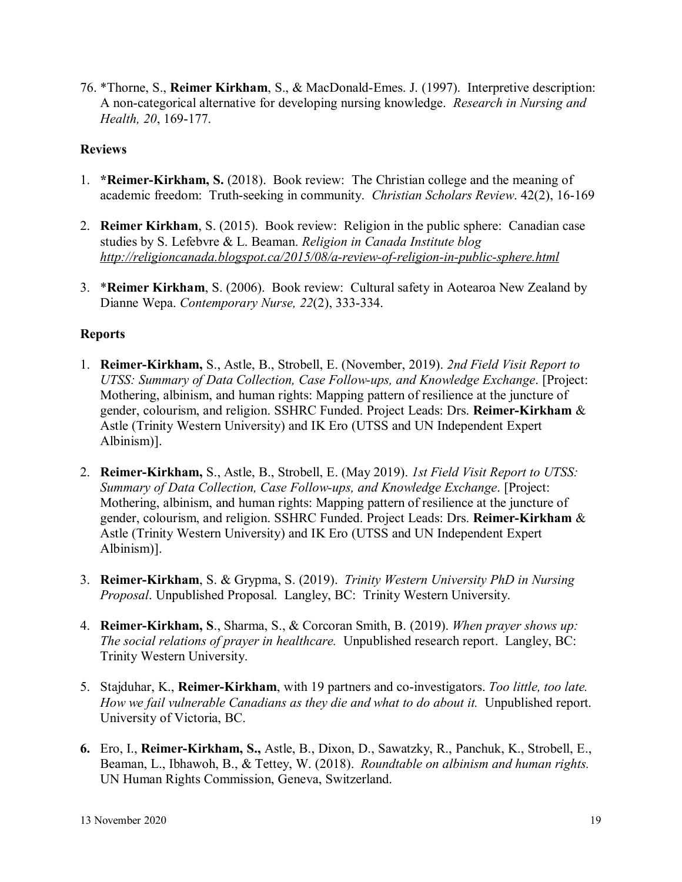76. \*Thorne, S., **Reimer Kirkham**, S., & MacDonald-Emes. J. (1997). Interpretive description: A non-categorical alternative for developing nursing knowledge. *Research in Nursing and Health, 20*, 169-177.

## **Reviews**

- 1. **\*Reimer-Kirkham, S.** (2018).Book review:The Christian college and the meaning of academic freedom: Truth-seeking in community. *Christian Scholars Review*. 42(2), 16-169
- 2. **Reimer Kirkham**, S. (2015). Book review: Religion in the public sphere: Canadian case studies by S. Lefebvre & L. Beaman. *Religion in Canada Institute blog <http://religioncanada.blogspot.ca/2015/08/a-review-of-religion-in-public-sphere.html>*
- 3. \***Reimer Kirkham**, S. (2006). Book review: Cultural safety in Aotearoa New Zealand by Dianne Wepa. *Contemporary Nurse, 22*(2), 333-334.

## **Reports**

- 1. **Reimer-Kirkham,** S., Astle, B., Strobell, E. (November, 2019). *2nd Field Visit Report to UTSS: Summary of Data Collection, Case Follow-ups, and Knowledge Exchange*. [Project: Mothering, albinism, and human rights: Mapping pattern of resilience at the juncture of gender, colourism, and religion. SSHRC Funded. Project Leads: Drs. **Reimer-Kirkham** & Astle (Trinity Western University) and IK Ero (UTSS and UN Independent Expert Albinism)].
- 2. **Reimer-Kirkham,** S., Astle, B., Strobell, E. (May 2019). *1st Field Visit Report to UTSS: Summary of Data Collection, Case Follow-ups, and Knowledge Exchange*. [Project: Mothering, albinism, and human rights: Mapping pattern of resilience at the juncture of gender, colourism, and religion. SSHRC Funded. Project Leads: Drs. **Reimer-Kirkham** & Astle (Trinity Western University) and IK Ero (UTSS and UN Independent Expert Albinism)].
- 3. **Reimer-Kirkham**, S. & Grypma, S. (2019). *Trinity Western University PhD in Nursing Proposal*. Unpublished Proposal. Langley, BC: Trinity Western University.
- 4. **Reimer-Kirkham, S**., Sharma, S., & Corcoran Smith, B. (2019). *When prayer shows up: The social relations of prayer in healthcare.* Unpublished research report. Langley, BC: Trinity Western University.
- 5. Stajduhar, K., **Reimer-Kirkham**, with 19 partners and co-investigators. *Too little, too late.*  How we fail vulnerable Canadians as they die and what to do about it. Unpublished report. University of Victoria, BC.
- **6.** Ero, I., **Reimer-Kirkham, S.,** Astle, B., Dixon, D., Sawatzky, R., Panchuk, K., Strobell, E., Beaman, L., Ibhawoh, B., & Tettey, W. (2018). *Roundtable on albinism and human rights.*  UN Human Rights Commission, Geneva, Switzerland.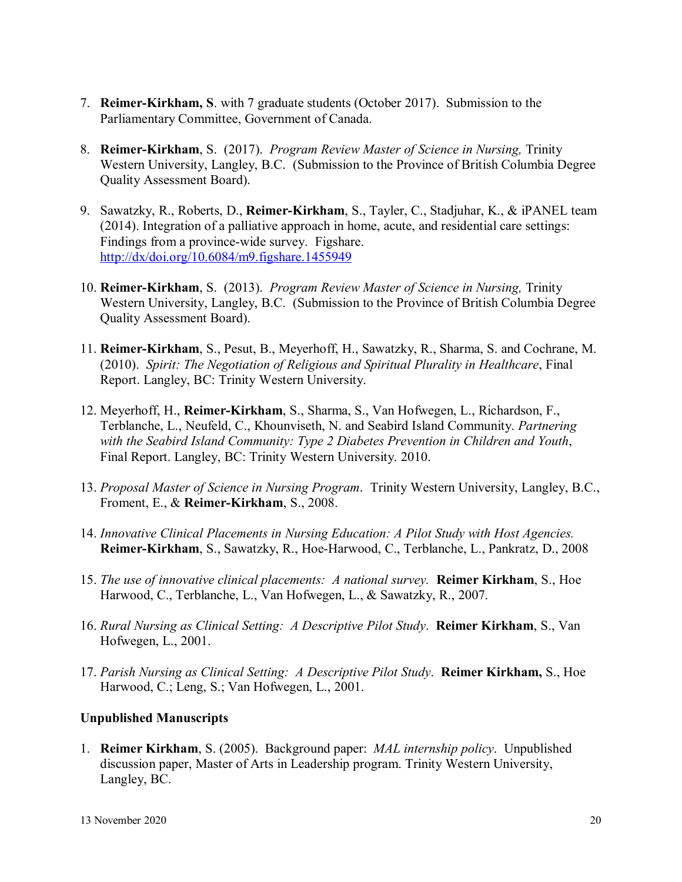- 7. **Reimer-Kirkham, S**. with 7 graduate students (October 2017). Submission to the Parliamentary Committee, Government of Canada.
- 8. **Reimer-Kirkham**, S. (2017). *Program Review Master of Science in Nursing,* Trinity Western University, Langley, B.C. (Submission to the Province of British Columbia Degree Quality Assessment Board).
- 9. Sawatzky, R., Roberts, D., **Reimer-Kirkham**, S., Tayler, C., Stadjuhar, K., & iPANEL team (2014). Integration of a palliative approach in home, acute, and residential care settings: Findings from a province-wide survey. Figshare. <http://dx/doi.org/10.6084/m9.figshare.1455949>
- 10. **Reimer-Kirkham**, S. (2013). *Program Review Master of Science in Nursing,* Trinity Western University, Langley, B.C. (Submission to the Province of British Columbia Degree Quality Assessment Board).
- 11. **Reimer-Kirkham**, S., Pesut, B., Meyerhoff, H., Sawatzky, R., Sharma, S. and Cochrane, M. (2010). *Spirit: The Negotiation of Religious and Spiritual Plurality in Healthcare*, Final Report. Langley, BC: Trinity Western University.
- 12. Meyerhoff, H., **Reimer-Kirkham**, S., Sharma, S., Van Hofwegen, L., Richardson, F., Terblanche, L., Neufeld, C., Khounviseth, N. and Seabird Island Community. *Partnering with the Seabird Island Community: Type 2 Diabetes Prevention in Children and Youth*, Final Report. Langley, BC: Trinity Western University. 2010.
- 13. *Proposal Master of Science in Nursing Program*. Trinity Western University, Langley, B.C., Froment, E., & **Reimer-Kirkham**, S., 2008.
- 14. *Innovative Clinical Placements in Nursing Education: A Pilot Study with Host Agencies.*  **Reimer-Kirkham**, S., Sawatzky, R., Hoe-Harwood, C., Terblanche, L., Pankratz, D., 2008
- 15. *The use of innovative clinical placements: A national survey.* **Reimer Kirkham**, S., Hoe Harwood, C., Terblanche, L., Van Hofwegen, L., & Sawatzky, R., 2007.
- 16. *Rural Nursing as Clinical Setting: A Descriptive Pilot Study*. **Reimer Kirkham**, S., Van Hofwegen, L., 2001.
- 17. *Parish Nursing as Clinical Setting: A Descriptive Pilot Study*. **Reimer Kirkham,** S., Hoe Harwood, C.; Leng, S.; Van Hofwegen, L., 2001.

# **Unpublished Manuscripts**

1. **Reimer Kirkham**, S. (2005). Background paper: *MAL internship policy*. Unpublished discussion paper, Master of Arts in Leadership program. Trinity Western University, Langley, BC.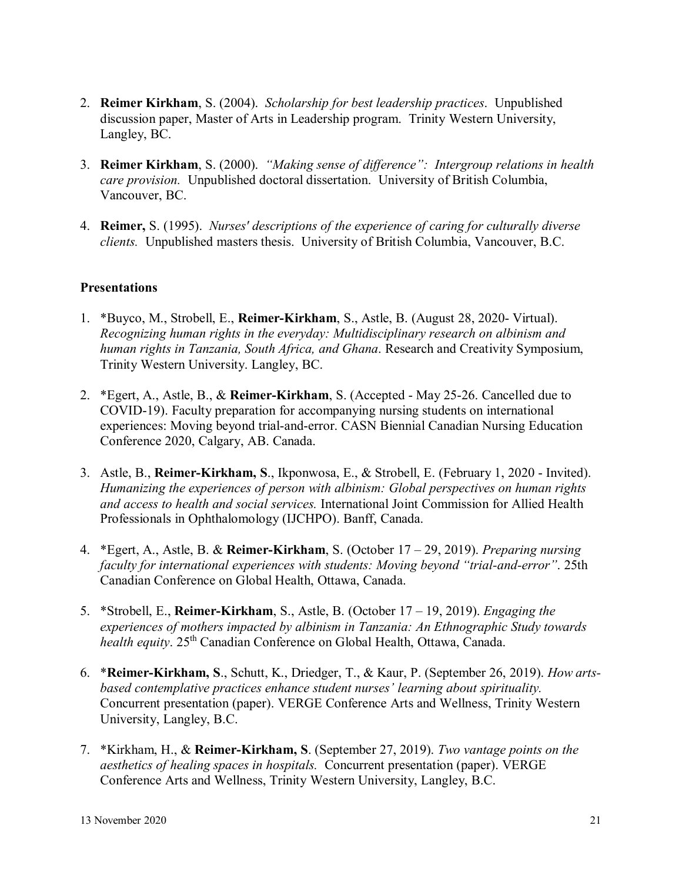- 2. **Reimer Kirkham**, S. (2004). *Scholarship for best leadership practices*. Unpublished discussion paper, Master of Arts in Leadership program. Trinity Western University, Langley, BC.
- 3. **Reimer Kirkham**, S. (2000). *"Making sense of difference": Intergroup relations in health care provision.* Unpublished doctoral dissertation. University of British Columbia, Vancouver, BC.
- 4. **Reimer,** S. (1995). *Nurses' descriptions of the experience of caring for culturally diverse clients.* Unpublished masters thesis. University of British Columbia, Vancouver, B.C.

## **Presentations**

- 1. \*Buyco, M., Strobell, E., **Reimer-Kirkham**, S., Astle, B. (August 28, 2020- Virtual). *Recognizing human rights in the everyday: Multidisciplinary research on albinism and human rights in Tanzania, South Africa, and Ghana*. Research and Creativity Symposium, Trinity Western University. Langley, BC.
- 2. \*Egert, A., Astle, B., & **Reimer-Kirkham**, S. (Accepted May 25-26. Cancelled due to COVID-19). Faculty preparation for accompanying nursing students on international experiences: Moving beyond trial-and-error. CASN Biennial Canadian Nursing Education Conference 2020, Calgary, AB. Canada.
- 3. Astle, B., **Reimer-Kirkham, S**., Ikponwosa, E., & Strobell, E. (February 1, 2020 Invited). *Humanizing the experiences of person with albinism: Global perspectives on human rights and access to health and social services.* International Joint Commission for Allied Health Professionals in Ophthalomology (IJCHPO). Banff, Canada.
- 4. \*Egert, A., Astle, B. & **Reimer-Kirkham**, S. (October 17 29, 2019). *Preparing nursing faculty for international experiences with students: Moving beyond "trial-and-error"*. 25th Canadian Conference on Global Health, Ottawa, Canada.
- 5. \*Strobell, E., **Reimer-Kirkham**, S., Astle, B. (October 17 19, 2019). *Engaging the experiences of mothers impacted by albinism in Tanzania: An Ethnographic Study towards health equity.* 25<sup>th</sup> Canadian Conference on Global Health, Ottawa, Canada.
- 6. \***Reimer-Kirkham, S**., Schutt, K., Driedger, T., & Kaur, P. (September 26, 2019). *How artsbased contemplative practices enhance student nurses' learning about spirituality.*  Concurrent presentation (paper). VERGE Conference Arts and Wellness, Trinity Western University, Langley, B.C.
- 7. \*Kirkham, H., & **Reimer-Kirkham, S**. (September 27, 2019). *Two vantage points on the aesthetics of healing spaces in hospitals.* Concurrent presentation (paper). VERGE Conference Arts and Wellness, Trinity Western University, Langley, B.C.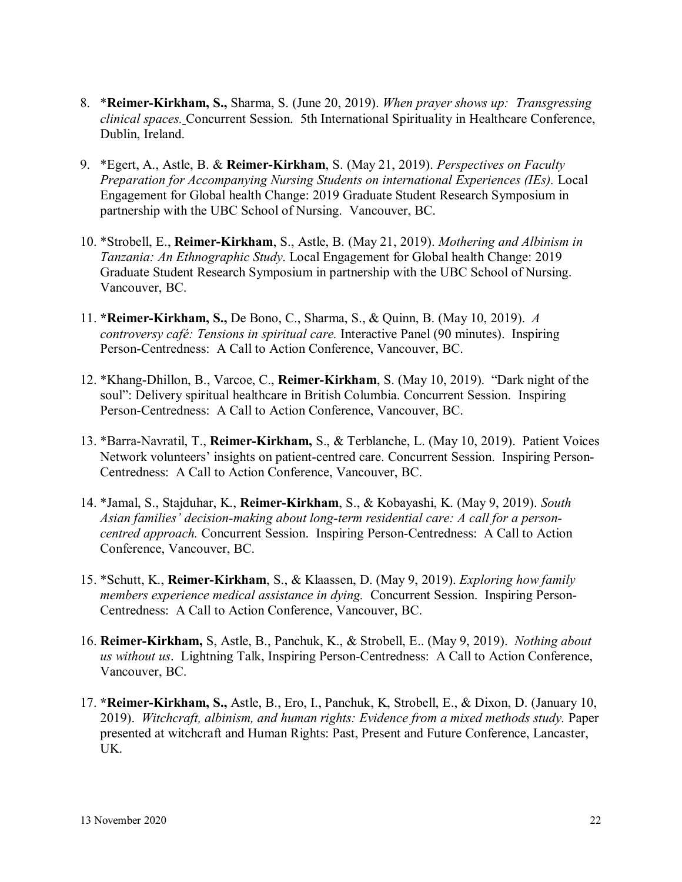- 8. \***Reimer-Kirkham, S.,** Sharma, S. (June 20, 2019). *When prayer shows up: Transgressing clinical spaces.* Concurrent Session. 5th International Spirituality in Healthcare Conference, Dublin, Ireland.
- 9. \*Egert, A., Astle, B. & **Reimer-Kirkham**, S. (May 21, 2019). *Perspectives on Faculty Preparation for Accompanying Nursing Students on international Experiences (IEs).* Local Engagement for Global health Change: 2019 Graduate Student Research Symposium in partnership with the UBC School of Nursing. Vancouver, BC.
- 10. \*Strobell, E., **Reimer-Kirkham**, S., Astle, B. (May 21, 2019). *Mothering and Albinism in Tanzania: An Ethnographic Study*. Local Engagement for Global health Change: 2019 Graduate Student Research Symposium in partnership with the UBC School of Nursing. Vancouver, BC.
- 11. **\*Reimer-Kirkham, S.,** De Bono, C., Sharma, S., & Quinn, B. (May 10, 2019). *A controversy café: Tensions in spiritual care.* Interactive Panel (90 minutes). Inspiring Person-Centredness: A Call to Action Conference, Vancouver, BC.
- 12. \*Khang-Dhillon, B., Varcoe, C., **Reimer-Kirkham**, S. (May 10, 2019). "Dark night of the soul": Delivery spiritual healthcare in British Columbia. Concurrent Session. Inspiring Person-Centredness: A Call to Action Conference, Vancouver, BC.
- 13. \*Barra-Navratil, T., **Reimer-Kirkham,** S., & Terblanche, L. (May 10, 2019). Patient Voices Network volunteers' insights on patient-centred care. Concurrent Session. Inspiring Person-Centredness: A Call to Action Conference, Vancouver, BC.
- 14. \*Jamal, S., Stajduhar, K., **Reimer-Kirkham**, S., & Kobayashi, K. (May 9, 2019). *South Asian families' decision-making about long-term residential care: A call for a personcentred approach.* Concurrent Session. Inspiring Person-Centredness: A Call to Action Conference, Vancouver, BC.
- 15. \*Schutt, K., **Reimer-Kirkham**, S., & Klaassen, D. (May 9, 2019). *Exploring how family members experience medical assistance in dying.* Concurrent Session. Inspiring Person-Centredness: A Call to Action Conference, Vancouver, BC.
- 16. **Reimer-Kirkham,** S, Astle, B., Panchuk, K., & Strobell, E.. (May 9, 2019). *Nothing about us without us*.Lightning Talk, Inspiring Person-Centredness: A Call to Action Conference, Vancouver, BC.
- 17. **\*Reimer-Kirkham, S.,** Astle, B., Ero, I., Panchuk, K, Strobell, E., & Dixon, D. (January 10, 2019). *Witchcraft, albinism, and human rights: Evidence from a mixed methods study.* Paper presented at witchcraft and Human Rights: Past, Present and Future Conference, Lancaster, UK.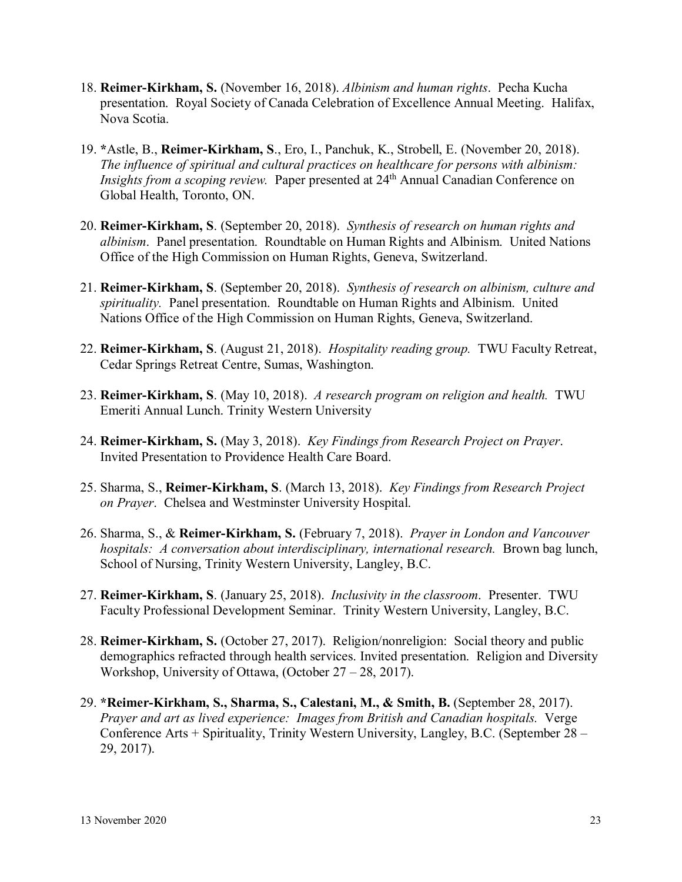- 18. **Reimer-Kirkham, S.** (November 16, 2018). *Albinism and human rights*. Pecha Kucha presentation. Royal Society of Canada Celebration of Excellence Annual Meeting. Halifax, Nova Scotia.
- 19. **\***Astle, B., **Reimer-Kirkham, S**., Ero, I., Panchuk, K., Strobell, E. (November 20, 2018). *The influence of spiritual and cultural practices on healthcare for persons with albinism: Insights from a scoping review.* Paper presented at 24<sup>th</sup> Annual Canadian Conference on Global Health, Toronto, ON.
- 20. **Reimer-Kirkham, S**. (September 20, 2018). *Synthesis of research on human rights and albinism*. Panel presentation. Roundtable on Human Rights and Albinism. United Nations Office of the High Commission on Human Rights, Geneva, Switzerland.
- 21. **Reimer-Kirkham, S**. (September 20, 2018). *Synthesis of research on albinism, culture and spirituality.* Panel presentation. Roundtable on Human Rights and Albinism. United Nations Office of the High Commission on Human Rights, Geneva, Switzerland.
- 22. **Reimer-Kirkham, S**. (August 21, 2018). *Hospitality reading group.* TWU Faculty Retreat, Cedar Springs Retreat Centre, Sumas, Washington.
- 23. **Reimer-Kirkham, S**. (May 10, 2018). *A research program on religion and health.* TWU Emeriti Annual Lunch. Trinity Western University
- 24. **Reimer-Kirkham, S.** (May 3, 2018). *Key Findings from Research Project on Prayer*. Invited Presentation to Providence Health Care Board.
- 25. Sharma, S., **Reimer-Kirkham, S**. (March 13, 2018). *Key Findings from Research Project on Prayer*. Chelsea and Westminster University Hospital.
- 26. Sharma, S., & **Reimer-Kirkham, S.** (February 7, 2018). *Prayer in London and Vancouver hospitals: A conversation about interdisciplinary, international research.* Brown bag lunch, School of Nursing, Trinity Western University, Langley, B.C.
- 27. **Reimer-Kirkham, S**. (January 25, 2018). *Inclusivity in the classroom*. Presenter. TWU Faculty Professional Development Seminar. Trinity Western University, Langley, B.C.
- 28. **Reimer-Kirkham, S.** (October 27, 2017). Religion/nonreligion: Social theory and public demographics refracted through health services. Invited presentation. Religion and Diversity Workshop, University of Ottawa, (October 27 – 28, 2017).
- 29. **\*Reimer-Kirkham, S., Sharma, S., Calestani, M., & Smith, B.** (September 28, 2017). *Prayer and art as lived experience: Images from British and Canadian hospitals.* Verge Conference Arts + Spirituality, Trinity Western University, Langley, B.C. (September 28 – 29, 2017).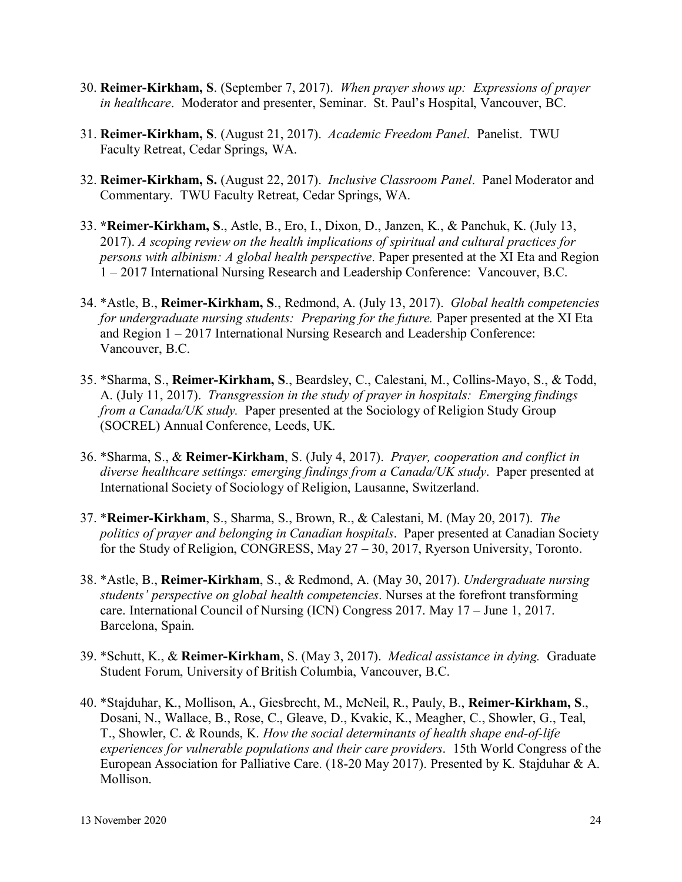- 30. **Reimer-Kirkham, S**. (September 7, 2017). *When prayer shows up: Expressions of prayer in healthcare*. Moderator and presenter, Seminar. St. Paul's Hospital, Vancouver, BC.
- 31. **Reimer-Kirkham, S**. (August 21, 2017). *Academic Freedom Panel*. Panelist. TWU Faculty Retreat, Cedar Springs, WA.
- 32. **Reimer-Kirkham, S.** (August 22, 2017). *Inclusive Classroom Panel*. Panel Moderator and Commentary. TWU Faculty Retreat, Cedar Springs, WA.
- 33. **\*Reimer-Kirkham, S**., Astle, B., Ero, I., Dixon, D., Janzen, K., & Panchuk, K. (July 13, 2017). *A scoping review on the health implications of spiritual and cultural practices for persons with albinism: A global health perspective*. Paper presented at the XI Eta and Region 1 – 2017 International Nursing Research and Leadership Conference: Vancouver, B.C.
- 34. \*Astle, B., **Reimer-Kirkham, S**., Redmond, A. (July 13, 2017). *Global health competencies for undergraduate nursing students: Preparing for the future.* Paper presented at the XI Eta and Region 1 – 2017 International Nursing Research and Leadership Conference: Vancouver, B.C.
- 35. \*Sharma, S., **Reimer-Kirkham, S**., Beardsley, C., Calestani, M., Collins-Mayo, S., & Todd, A. (July 11, 2017). *Transgression in the study of prayer in hospitals: Emerging findings from a Canada/UK study.* Paper presented at the Sociology of Religion Study Group (SOCREL) Annual Conference, Leeds, UK.
- 36. \*Sharma, S., & **Reimer-Kirkham**, S. (July 4, 2017). *Prayer, cooperation and conflict in diverse healthcare settings: emerging findings from a Canada/UK study*. Paper presented at International Society of Sociology of Religion, Lausanne, Switzerland.
- 37. \***Reimer-Kirkham**, S., Sharma, S., Brown, R., & Calestani, M. (May 20, 2017). *The politics of prayer and belonging in Canadian hospitals*. Paper presented at Canadian Society for the Study of Religion, CONGRESS, May 27 – 30, 2017, Ryerson University, Toronto.
- 38. \*Astle, B., **Reimer-Kirkham**, S., & Redmond, A. (May 30, 2017). *Undergraduate nursing students' perspective on global health competencies*. Nurses at the forefront transforming care. International Council of Nursing (ICN) Congress 2017. May 17 – June 1, 2017. Barcelona, Spain.
- 39. \*Schutt, K., & **Reimer-Kirkham**, S. (May 3, 2017). *Medical assistance in dying.* Graduate Student Forum, University of British Columbia, Vancouver, B.C.
- 40. \*Stajduhar, K., Mollison, A., Giesbrecht, M., McNeil, R., Pauly, B., **Reimer-Kirkham, S**., Dosani, N., Wallace, B., Rose, C., Gleave, D., Kvakic, K., Meagher, C., Showler, G., Teal, T., Showler, C. & Rounds, K. *How the social determinants of health shape end-of-life experiences for vulnerable populations and their care providers*. 15th World Congress of the European Association for Palliative Care. (18-20 May 2017). Presented by K. Stajduhar & A. Mollison.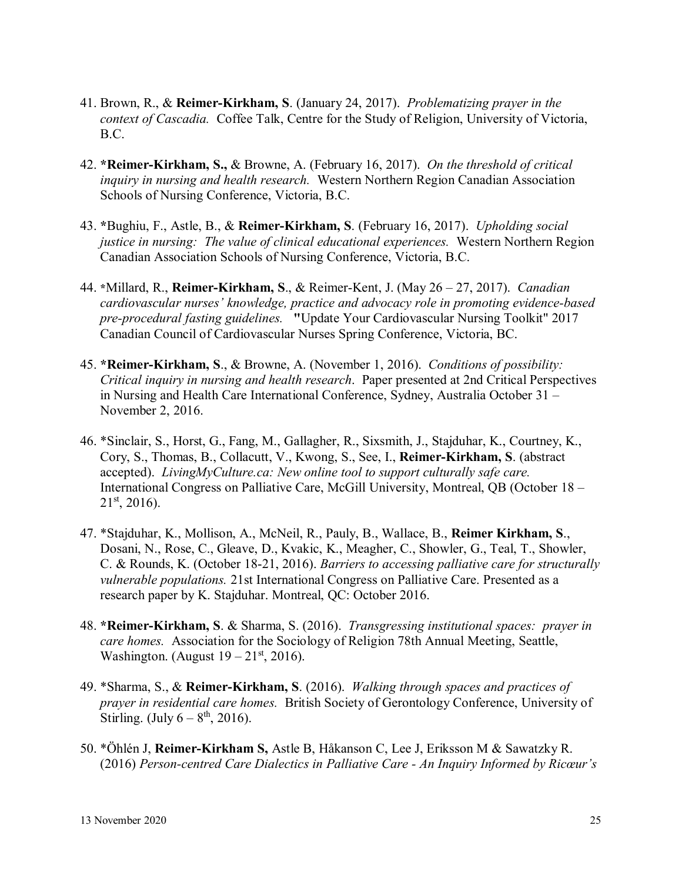- 41. Brown, R., & **Reimer-Kirkham, S**. (January 24, 2017). *Problematizing prayer in the context of Cascadia.* Coffee Talk, Centre for the Study of Religion, University of Victoria, B.C.
- 42. **\*Reimer-Kirkham, S.,** & Browne, A. (February 16, 2017). *On the threshold of critical inquiry in nursing and health research.* Western Northern Region Canadian Association Schools of Nursing Conference, Victoria, B.C.
- 43. **\***Bughiu, F., Astle, B., & **Reimer-Kirkham, S**. (February 16, 2017). *Upholding social justice in nursing: The value of clinical educational experiences.* Western Northern Region Canadian Association Schools of Nursing Conference, Victoria, B.C.
- 44. **\***Millard, R., **Reimer-Kirkham, S**., & Reimer-Kent, J. (May 26 27, 2017). *Canadian cardiovascular nurses' knowledge, practice and advocacy role in promoting evidence-based pre-procedural fasting guidelines.* **"**Update Your Cardiovascular Nursing Toolkit" 2017 Canadian Council of Cardiovascular Nurses Spring Conference, Victoria, BC.
- 45. **\*Reimer-Kirkham, S**., & Browne, A. (November 1, 2016). *Conditions of possibility: Critical inquiry in nursing and health research*. Paper presented at 2nd Critical Perspectives in Nursing and Health Care International Conference, Sydney, Australia October 31 – November 2, 2016.
- 46. \*Sinclair, S., Horst, G., Fang, M., Gallagher, R., Sixsmith, J., Stajduhar, K., Courtney, K., Cory, S., Thomas, B., Collacutt, V., Kwong, S., See, I., **Reimer-Kirkham, S**. (abstract accepted). *LivingMyCulture.ca: New online tool to support culturally safe care.* International Congress on Palliative Care, McGill University, Montreal, QB (October 18 –  $21<sup>st</sup>$ , 2016).
- 47. \*Stajduhar, K., Mollison, A., McNeil, R., Pauly, B., Wallace, B., **Reimer Kirkham, S**., Dosani, N., Rose, C., Gleave, D., Kvakic, K., Meagher, C., Showler, G., Teal, T., Showler, C. & Rounds, K. (October 18-21, 2016). *Barriers to accessing palliative care for structurally vulnerable populations.* 21st International Congress on Palliative Care. Presented as a research paper by K. Stajduhar. Montreal, QC: October 2016.
- 48. **\*Reimer-Kirkham, S**. & Sharma, S. (2016). *Transgressing institutional spaces: prayer in care homes.* Association for the Sociology of Religion 78th Annual Meeting, Seattle, Washington. (August  $19-21^{st}$ , 2016).
- 49. \*Sharma, S., & **Reimer-Kirkham, S**. (2016). *Walking through spaces and practices of prayer in residential care homes.* British Society of Gerontology Conference, University of Stirling. (July  $6 - 8^{th}$ , 2016).
- 50. \*Öhlén J, **Reimer-Kirkham S,** Astle B, Håkanson C, Lee J, Eriksson M & Sawatzky R. (2016) *Person-centred Care Dialectics in Palliative Care - An Inquiry Informed by Ricœur's*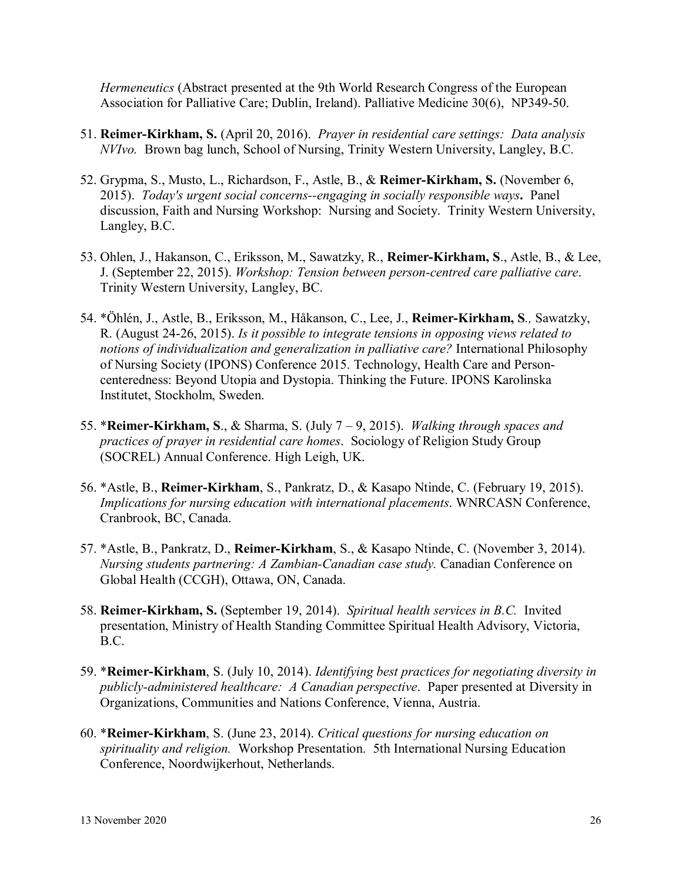*Hermeneutics* (Abstract presented at the 9th World Research Congress of the European Association for Palliative Care; Dublin, Ireland). Palliative Medicine 30(6), NP349-50.

- 51. **Reimer-Kirkham, S.** (April 20, 2016). *Prayer in residential care settings: Data analysis NVIvo.* Brown bag lunch, School of Nursing, Trinity Western University, Langley, B.C.
- 52. Grypma, S., Musto, L., Richardson, F., Astle, B., & **Reimer-Kirkham, S.** (November 6, 2015). *Today's urgent social concerns--engaging in socially responsible ways***.** Panel discussion, Faith and Nursing Workshop: Nursing and Society. Trinity Western University, Langley, B.C.
- 53. Ohlen, J., Hakanson, C., Eriksson, M., Sawatzky, R., **Reimer-Kirkham, S**., Astle, B., & Lee, J. (September 22, 2015). *Workshop: Tension between person-centred care palliative care*. Trinity Western University, Langley, BC.
- 54. \*Öhlén, J., Astle, B., Eriksson, M., Håkanson, C., Lee, J., **Reimer-Kirkham, S***.,* Sawatzky, R. (August 24-26, 2015). *Is it possible to integrate tensions in opposing views related to notions of individualization and generalization in palliative care?* International Philosophy of Nursing Society (IPONS) Conference 2015. Technology, Health Care and Personcenteredness: Beyond Utopia and Dystopia. Thinking the Future. IPONS Karolinska Institutet, Stockholm, Sweden.
- 55. \***Reimer-Kirkham, S**., & Sharma, S. (July 7 9, 2015). *Walking through spaces and practices of prayer in residential care homes*. Sociology of Religion Study Group (SOCREL) Annual Conference. High Leigh, UK.
- 56. \*Astle, B., **Reimer-Kirkham**, S., Pankratz, D., & Kasapo Ntinde, C. (February 19, 2015). *Implications for nursing education with international placements*. WNRCASN Conference, Cranbrook, BC, Canada.
- 57. \*Astle, B., Pankratz, D., **Reimer-Kirkham**, S., & Kasapo Ntinde, C. (November 3, 2014). *Nursing students partnering: A Zambian-Canadian case study.* Canadian Conference on Global Health (CCGH), Ottawa, ON, Canada.
- 58. **Reimer-Kirkham, S.** (September 19, 2014). *Spiritual health services in B.C.* Invited presentation, Ministry of Health Standing Committee Spiritual Health Advisory, Victoria, B.C.
- 59. \***Reimer-Kirkham**, S. (July 10, 2014). *Identifying best practices for negotiating diversity in publicly-administered healthcare: A Canadian perspective*. Paper presented at Diversity in Organizations, Communities and Nations Conference, Vienna, Austria.
- 60. \***Reimer-Kirkham**, S. (June 23, 2014). *Critical questions for nursing education on spirituality and religion.* Workshop Presentation. 5th International Nursing Education Conference, Noordwijkerhout, Netherlands.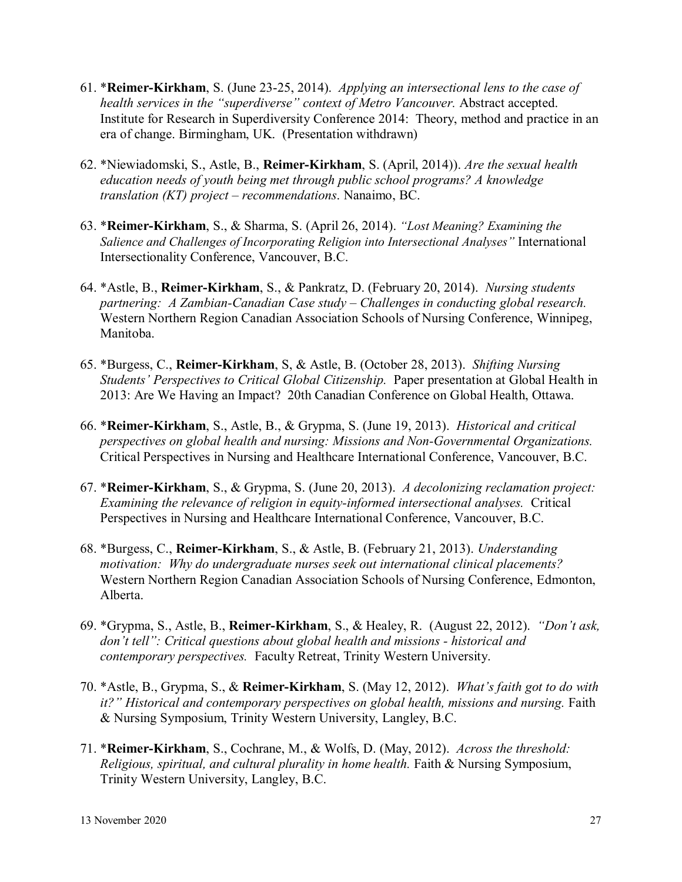- 61. \***Reimer-Kirkham**, S. (June 23-25, 2014). *Applying an intersectional lens to the case of health services in the "superdiverse" context of Metro Vancouver.* Abstract accepted. Institute for Research in Superdiversity Conference 2014: Theory, method and practice in an era of change. Birmingham, UK. (Presentation withdrawn)
- 62. \*Niewiadomski, S., Astle, B., **Reimer-Kirkham**, S. (April, 2014)). *Are the sexual health education needs of youth being met through public school programs? A knowledge translation (KT) project – recommendations*. Nanaimo, BC.
- 63. \***Reimer-Kirkham**, S., & Sharma, S. (April 26, 2014). *"Lost Meaning? Examining the Salience and Challenges of Incorporating Religion into Intersectional Analyses"* International Intersectionality Conference, Vancouver, B.C.
- 64. \*Astle, B., **Reimer-Kirkham**, S., & Pankratz, D. (February 20, 2014). *Nursing students partnering: A Zambian-Canadian Case study – Challenges in conducting global research.* Western Northern Region Canadian Association Schools of Nursing Conference, Winnipeg, Manitoba.
- 65. \*Burgess, C., **Reimer-Kirkham**, S, & Astle, B. (October 28, 2013). *Shifting Nursing Students' Perspectives to Critical Global Citizenship.* Paper presentation at Global Health in 2013: Are We Having an Impact? 20th Canadian Conference on Global Health, Ottawa.
- 66. \***Reimer-Kirkham**, S., Astle, B., & Grypma, S. (June 19, 2013). *Historical and critical perspectives on global health and nursing: Missions and Non-Governmental Organizations.*  Critical Perspectives in Nursing and Healthcare International Conference, Vancouver, B.C.
- 67. \***Reimer-Kirkham**, S., & Grypma, S. (June 20, 2013). *A decolonizing reclamation project: Examining the relevance of religion in equity-informed intersectional analyses.* Critical Perspectives in Nursing and Healthcare International Conference, Vancouver, B.C.
- 68. \*Burgess, C., **Reimer-Kirkham**, S., & Astle, B. (February 21, 2013). *Understanding motivation: Why do undergraduate nurses seek out international clinical placements?* Western Northern Region Canadian Association Schools of Nursing Conference, Edmonton, Alberta.
- 69. \*Grypma, S., Astle, B., **Reimer-Kirkham**, S., & Healey, R. (August 22, 2012). *"Don't ask, don't tell": Critical questions about global health and missions - historical and contemporary perspectives.* Faculty Retreat, Trinity Western University.
- 70. \*Astle, B., Grypma, S., & **Reimer-Kirkham**, S. (May 12, 2012). *What's faith got to do with it?" Historical and contemporary perspectives on global health, missions and nursing.* Faith & Nursing Symposium, Trinity Western University, Langley, B.C.
- 71. \***Reimer-Kirkham**, S., Cochrane, M., & Wolfs, D. (May, 2012). *Across the threshold: Religious, spiritual, and cultural plurality in home health.* Faith & Nursing Symposium, Trinity Western University, Langley, B.C.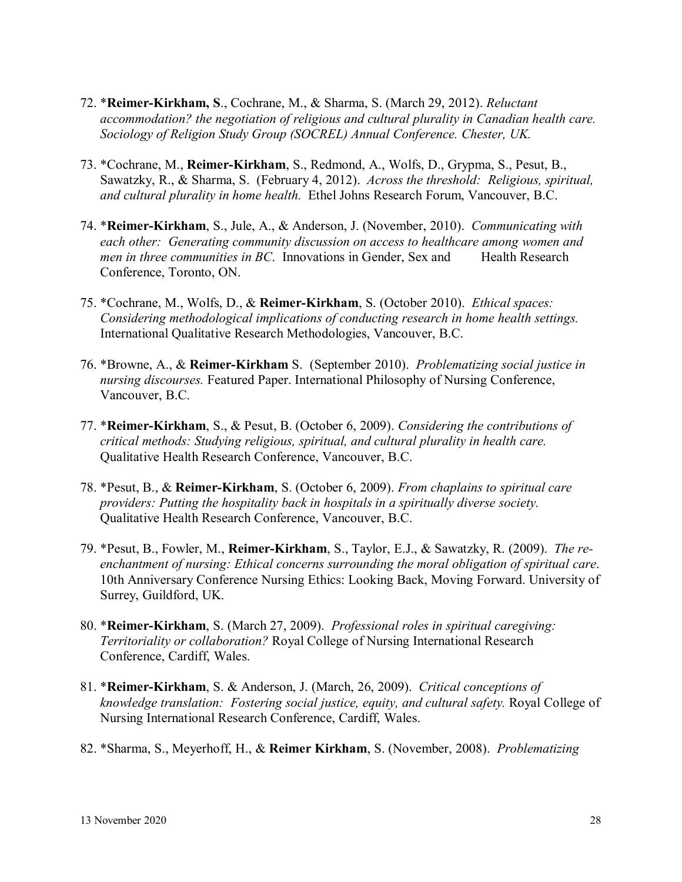- 72. \***Reimer-Kirkham, S**., Cochrane, M., & Sharma, S. (March 29, 2012). *Reluctant accommodation? the negotiation of religious and cultural plurality in Canadian health care. Sociology of Religion Study Group (SOCREL) Annual Conference. Chester, UK.*
- 73. \*Cochrane, M., **Reimer-Kirkham**, S., Redmond, A., Wolfs, D., Grypma, S., Pesut, B., Sawatzky, R., & Sharma, S. (February 4, 2012). *Across the threshold: Religious, spiritual, and cultural plurality in home health.* Ethel Johns Research Forum, Vancouver, B.C.
- 74. \***Reimer-Kirkham**, S., Jule, A., & Anderson, J. (November, 2010). *Communicating with each other: Generating community discussion on access to healthcare among women and men in three communities in BC.* Innovations in Gender, Sex and Health Research Conference, Toronto, ON.
- 75. \*Cochrane, M., Wolfs, D., & **Reimer-Kirkham**, S. (October 2010). *Ethical spaces: Considering methodological implications of conducting research in home health settings.* International Qualitative Research Methodologies, Vancouver, B.C.
- 76. \*Browne, A., & **Reimer-Kirkham** S. (September 2010). *Problematizing social justice in nursing discourses.* Featured Paper. International Philosophy of Nursing Conference, Vancouver, B.C.
- 77. \***Reimer-Kirkham**, S., & Pesut, B. (October 6, 2009). *Considering the contributions of critical methods: Studying religious, spiritual, and cultural plurality in health care.* Qualitative Health Research Conference, Vancouver, B.C.
- 78. \*Pesut, B., & **Reimer-Kirkham**, S. (October 6, 2009). *From chaplains to spiritual care providers: Putting the hospitality back in hospitals in a spiritually diverse society.* Qualitative Health Research Conference, Vancouver, B.C.
- 79. \*Pesut, B., Fowler, M., **Reimer-Kirkham**, S., Taylor, E.J., & Sawatzky, R. (2009). *The reenchantment of nursing: Ethical concerns surrounding the moral obligation of spiritual care*. 10th Anniversary Conference Nursing Ethics: Looking Back, Moving Forward. University of Surrey, Guildford, UK.
- 80. \***Reimer-Kirkham**, S. (March 27, 2009). *Professional roles in spiritual caregiving: Territoriality or collaboration?* Royal College of Nursing International Research Conference, Cardiff, Wales.
- 81. \***Reimer-Kirkham**, S. & Anderson, J. (March, 26, 2009). *Critical conceptions of knowledge translation: Fostering social justice, equity, and cultural safety.* Royal College of Nursing International Research Conference, Cardiff, Wales.
- 82. \*Sharma, S., Meyerhoff, H., & **Reimer Kirkham**, S. (November, 2008). *Problematizing*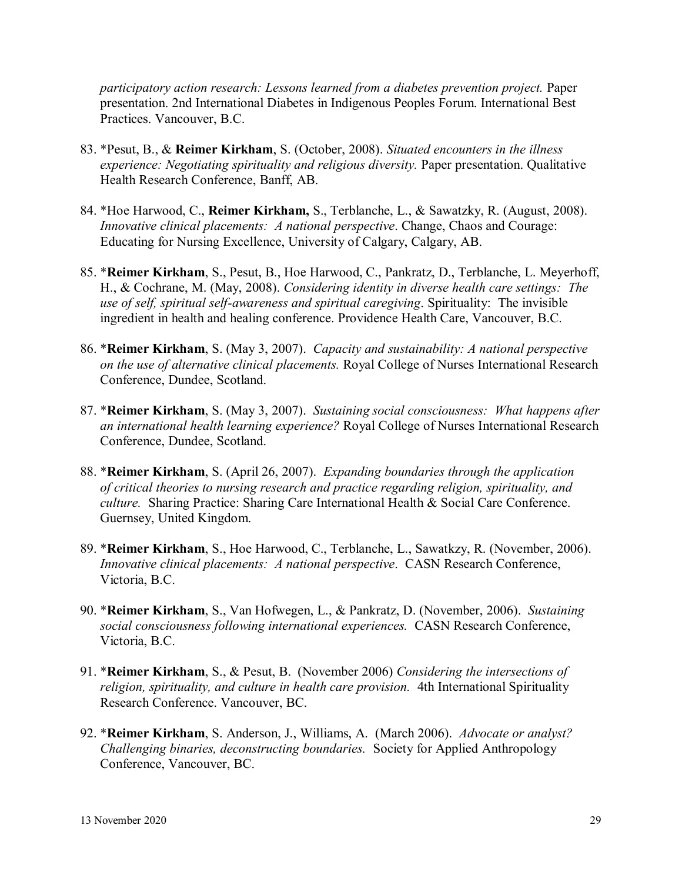*participatory action research: Lessons learned from a diabetes prevention project.* Paper presentation. 2nd International Diabetes in Indigenous Peoples Forum. International Best Practices. Vancouver, B.C.

- 83. \*Pesut, B., & **Reimer Kirkham**, S. (October, 2008). *Situated encounters in the illness experience: Negotiating spirituality and religious diversity.* Paper presentation. Qualitative Health Research Conference, Banff, AB.
- 84. \*Hoe Harwood, C., **Reimer Kirkham,** S., Terblanche, L., & Sawatzky, R. (August, 2008). *Innovative clinical placements: A national perspective. Change, Chaos and Courage:* Educating for Nursing Excellence, University of Calgary, Calgary, AB.
- 85. \***Reimer Kirkham**, S., Pesut, B., Hoe Harwood, C., Pankratz, D., Terblanche, L. Meyerhoff, H., & Cochrane, M. (May, 2008). *Considering identity in diverse health care settings: The use of self, spiritual self-awareness and spiritual caregiving*. Spirituality: The invisible ingredient in health and healing conference. Providence Health Care, Vancouver, B.C.
- 86. \***Reimer Kirkham**, S. (May 3, 2007). *Capacity and sustainability: A national perspective on the use of alternative clinical placements.* Royal College of Nurses International Research Conference, Dundee, Scotland.
- 87. \***Reimer Kirkham**, S. (May 3, 2007). *Sustaining social consciousness: What happens after an international health learning experience?* Royal College of Nurses International Research Conference, Dundee, Scotland.
- 88. \***Reimer Kirkham**, S. (April 26, 2007). *Expanding boundaries through the application of critical theories to nursing research and practice regarding religion, spirituality, and culture.* Sharing Practice: Sharing Care International Health & Social Care Conference. Guernsey, United Kingdom.
- 89. \***Reimer Kirkham**, S., Hoe Harwood, C., Terblanche, L., Sawatkzy, R. (November, 2006). *Innovative clinical placements: A national perspective*. CASN Research Conference, Victoria, B.C.
- 90. \***Reimer Kirkham**, S., Van Hofwegen, L., & Pankratz, D. (November, 2006). *Sustaining social consciousness following international experiences.* CASN Research Conference, Victoria, B.C.
- 91. \***Reimer Kirkham**, S., & Pesut, B. (November 2006) *Considering the intersections of religion, spirituality, and culture in health care provision.* 4th International Spirituality Research Conference. Vancouver, BC.
- 92. \***Reimer Kirkham**, S. Anderson, J., Williams, A. (March 2006). *Advocate or analyst? Challenging binaries, deconstructing boundaries.* Society for Applied Anthropology Conference, Vancouver, BC.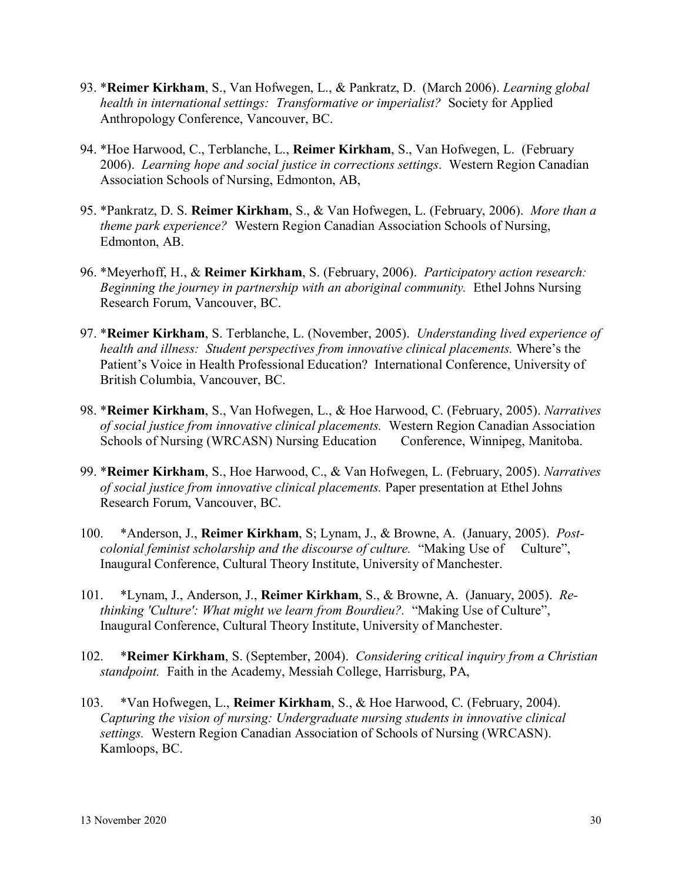- 93. \***Reimer Kirkham**, S., Van Hofwegen, L., & Pankratz, D. (March 2006). *Learning global health in international settings: Transformative or imperialist?* Society for Applied Anthropology Conference, Vancouver, BC.
- 94. \*Hoe Harwood, C., Terblanche, L., **Reimer Kirkham**, S., Van Hofwegen, L. (February 2006). *Learning hope and social justice in corrections settings*. Western Region Canadian Association Schools of Nursing, Edmonton, AB,
- 95. \*Pankratz, D. S. **Reimer Kirkham**, S., & Van Hofwegen, L. (February, 2006). *More than a theme park experience?* Western Region Canadian Association Schools of Nursing, Edmonton, AB.
- 96. \*Meyerhoff, H., & **Reimer Kirkham**, S. (February, 2006). *Participatory action research: Beginning the journey in partnership with an aboriginal community.* Ethel Johns Nursing Research Forum, Vancouver, BC.
- 97. \***Reimer Kirkham**, S. Terblanche, L. (November, 2005). *Understanding lived experience of health and illness: Student perspectives from innovative clinical placements.* Where's the Patient's Voice in Health Professional Education? International Conference, University of British Columbia, Vancouver, BC.
- 98. \***Reimer Kirkham**, S., Van Hofwegen, L., & Hoe Harwood, C. (February, 2005). *Narratives of social justice from innovative clinical placements.* Western Region Canadian Association Schools of Nursing (WRCASN) Nursing Education Conference, Winnipeg, Manitoba.
- 99. \***Reimer Kirkham**, S., Hoe Harwood, C., & Van Hofwegen, L. (February, 2005). *Narratives of social justice from innovative clinical placements.* Paper presentation at Ethel Johns Research Forum, Vancouver, BC.
- 100. \*Anderson, J., **Reimer Kirkham**, S; Lynam, J., & Browne, A. (January, 2005). *Postcolonial feminist scholarship and the discourse of culture.* "Making Use of Culture", Inaugural Conference, Cultural Theory Institute, University of Manchester.
- 101. \*Lynam, J., Anderson, J., **Reimer Kirkham**, S., & Browne, A. (January, 2005). *Rethinking 'Culture': What might we learn from Bourdieu?.* "Making Use of Culture", Inaugural Conference, Cultural Theory Institute, University of Manchester.
- 102. \***Reimer Kirkham**, S. (September, 2004). *Considering critical inquiry from a Christian standpoint.* Faith in the Academy, Messiah College, Harrisburg, PA,
- 103. \*Van Hofwegen, L., **Reimer Kirkham**, S., & Hoe Harwood, C. (February, 2004). *Capturing the vision of nursing: Undergraduate nursing students in innovative clinical settings.* Western Region Canadian Association of Schools of Nursing (WRCASN). Kamloops, BC.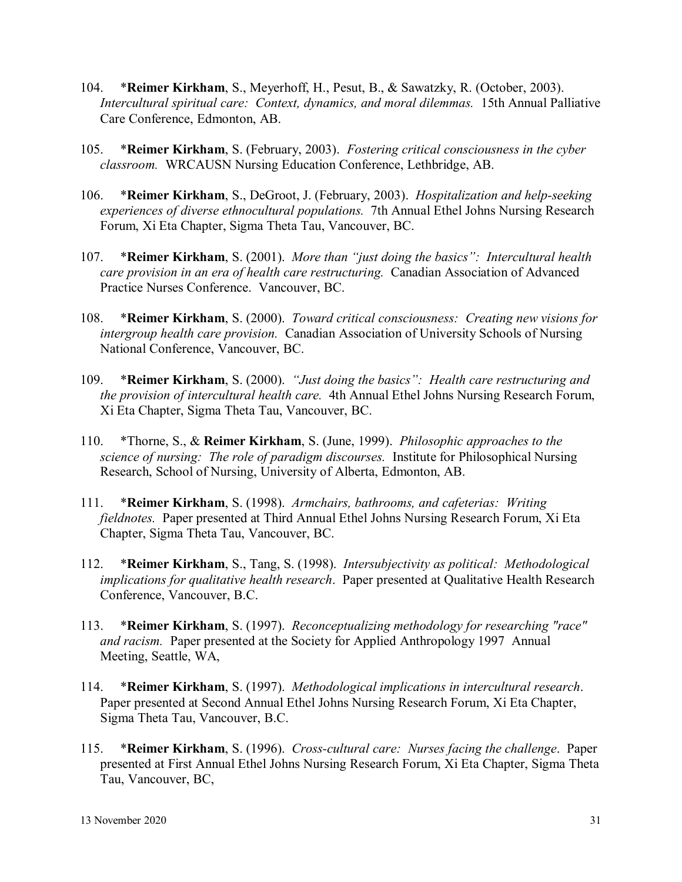- 104. \***Reimer Kirkham**, S., Meyerhoff, H., Pesut, B., & Sawatzky, R. (October, 2003). *Intercultural spiritual care: Context, dynamics, and moral dilemmas.* 15th Annual Palliative Care Conference, Edmonton, AB.
- 105. \***Reimer Kirkham**, S. (February, 2003). *Fostering critical consciousness in the cyber classroom.* WRCAUSN Nursing Education Conference, Lethbridge, AB.
- 106. \***Reimer Kirkham**, S., DeGroot, J. (February, 2003). *Hospitalization and help-seeking experiences of diverse ethnocultural populations.* 7th Annual Ethel Johns Nursing Research Forum, Xi Eta Chapter, Sigma Theta Tau, Vancouver, BC.
- 107. \***Reimer Kirkham**, S. (2001). *More than "just doing the basics": Intercultural health care provision in an era of health care restructuring.* Canadian Association of Advanced Practice Nurses Conference. Vancouver, BC.
- 108. \***Reimer Kirkham**, S. (2000). *Toward critical consciousness: Creating new visions for intergroup health care provision.* Canadian Association of University Schools of Nursing National Conference, Vancouver, BC.
- 109. \***Reimer Kirkham**, S. (2000). *"Just doing the basics": Health care restructuring and the provision of intercultural health care.* 4th Annual Ethel Johns Nursing Research Forum, Xi Eta Chapter, Sigma Theta Tau, Vancouver, BC.
- 110. \*Thorne, S., & **Reimer Kirkham**, S. (June, 1999). *Philosophic approaches to the science of nursing: The role of paradigm discourses.* Institute for Philosophical Nursing Research, School of Nursing, University of Alberta, Edmonton, AB.
- 111. \***Reimer Kirkham**, S. (1998). *Armchairs, bathrooms, and cafeterias: Writing fieldnotes.* Paper presented at Third Annual Ethel Johns Nursing Research Forum, Xi Eta Chapter, Sigma Theta Tau, Vancouver, BC.
- 112. \***Reimer Kirkham**, S., Tang, S. (1998). *Intersubjectivity as political: Methodological implications for qualitative health research*. Paper presented at Qualitative Health Research Conference, Vancouver, B.C.
- 113. \***Reimer Kirkham**, S. (1997). *Reconceptualizing methodology for researching "race" and racism.* Paper presented at the Society for Applied Anthropology 1997 Annual Meeting, Seattle, WA,
- 114. \***Reimer Kirkham**, S. (1997). *Methodological implications in intercultural research*. Paper presented at Second Annual Ethel Johns Nursing Research Forum, Xi Eta Chapter, Sigma Theta Tau, Vancouver, B.C.
- 115. \***Reimer Kirkham**, S. (1996). *Cross-cultural care: Nurses facing the challenge*. Paper presented at First Annual Ethel Johns Nursing Research Forum, Xi Eta Chapter, Sigma Theta Tau, Vancouver, BC,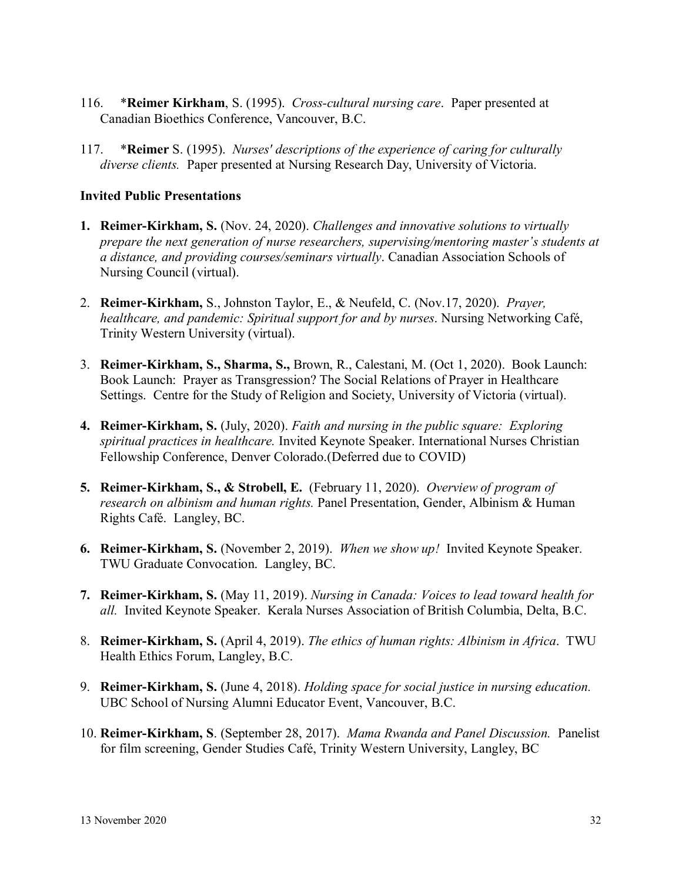- 116. \***Reimer Kirkham**, S. (1995). *Cross-cultural nursing care*. Paper presented at Canadian Bioethics Conference, Vancouver, B.C.
- 117. \***Reimer** S. (1995). *Nurses' descriptions of the experience of caring for culturally diverse clients.* Paper presented at Nursing Research Day, University of Victoria.

## **Invited Public Presentations**

- **1. Reimer-Kirkham, S.** (Nov. 24, 2020). *Challenges and innovative solutions to virtually prepare the next generation of nurse researchers, supervising/mentoring master's students at a distance, and providing courses/seminars virtually*. Canadian Association Schools of Nursing Council (virtual).
- 2. **Reimer-Kirkham,** S., Johnston Taylor, E., & Neufeld, C. (Nov.17, 2020). *Prayer, healthcare, and pandemic: Spiritual support for and by nurses*. Nursing Networking Café, Trinity Western University (virtual).
- 3. **Reimer-Kirkham, S., Sharma, S.,** Brown, R., Calestani, M. (Oct 1, 2020). Book Launch: Book Launch: Prayer as Transgression? The Social Relations of Prayer in Healthcare Settings. Centre for the Study of Religion and Society, University of Victoria (virtual).
- **4. Reimer-Kirkham, S.** (July, 2020). *Faith and nursing in the public square: Exploring spiritual practices in healthcare.* Invited Keynote Speaker. International Nurses Christian Fellowship Conference, Denver Colorado.(Deferred due to COVID)
- **5. Reimer-Kirkham, S., & Strobell, E.** (February 11, 2020). *Overview of program of research on albinism and human rights.* Panel Presentation, Gender, Albinism & Human Rights Café. Langley, BC.
- **6. Reimer-Kirkham, S.** (November 2, 2019). *When we show up!* Invited Keynote Speaker. TWU Graduate Convocation. Langley, BC.
- **7. Reimer-Kirkham, S.** (May 11, 2019). *Nursing in Canada: Voices to lead toward health for all.* Invited Keynote Speaker. Kerala Nurses Association of British Columbia, Delta, B.C.
- 8. **Reimer-Kirkham, S.** (April 4, 2019). *The ethics of human rights: Albinism in Africa*. TWU Health Ethics Forum, Langley, B.C.
- 9. **Reimer-Kirkham, S.** (June 4, 2018). *Holding space for social justice in nursing education.*  UBC School of Nursing Alumni Educator Event, Vancouver, B.C.
- 10. **Reimer-Kirkham, S**. (September 28, 2017). *Mama Rwanda and Panel Discussion.* Panelist for film screening, Gender Studies Café, Trinity Western University, Langley, BC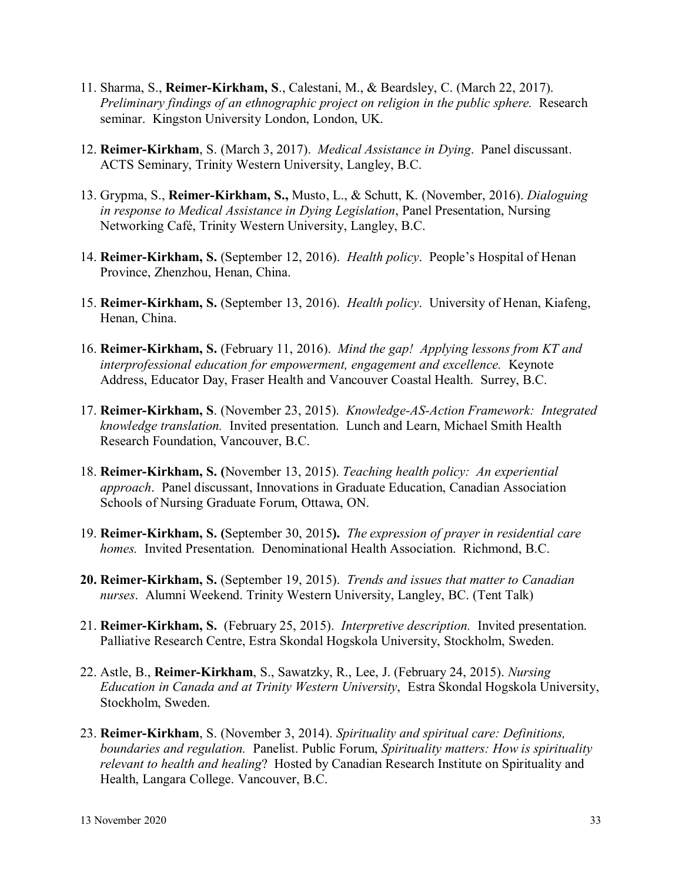- 11. Sharma, S., **Reimer-Kirkham, S**., Calestani, M., & Beardsley, C. (March 22, 2017). *Preliminary findings of an ethnographic project on religion in the public sphere.* Research seminar. Kingston University London, London, UK.
- 12. **Reimer-Kirkham**, S. (March 3, 2017). *Medical Assistance in Dying*. Panel discussant. ACTS Seminary, Trinity Western University, Langley, B.C.
- 13. Grypma, S., **Reimer-Kirkham, S.,** Musto, L., & Schutt, K. (November, 2016). *Dialoguing in response to Medical Assistance in Dying Legislation*, Panel Presentation, Nursing Networking Café, Trinity Western University, Langley, B.C.
- 14. **Reimer-Kirkham, S.** (September 12, 2016). *Health policy*. People's Hospital of Henan Province, Zhenzhou, Henan, China.
- 15. **Reimer-Kirkham, S.** (September 13, 2016). *Health policy*. University of Henan, Kiafeng, Henan, China.
- 16. **Reimer-Kirkham, S.** (February 11, 2016). *Mind the gap! Applying lessons from KT and interprofessional education for empowerment, engagement and excellence.* Keynote Address, Educator Day, Fraser Health and Vancouver Coastal Health. Surrey, B.C.
- 17. **Reimer-Kirkham, S**. (November 23, 2015). *Knowledge-AS-Action Framework: Integrated knowledge translation.* Invited presentation. Lunch and Learn, Michael Smith Health Research Foundation, Vancouver, B.C.
- 18. **Reimer-Kirkham, S. (**November 13, 2015). *Teaching health policy: An experiential approach*. Panel discussant, Innovations in Graduate Education, Canadian Association Schools of Nursing Graduate Forum, Ottawa, ON.
- 19. **Reimer-Kirkham, S. (**September 30, 2015**).** *The expression of prayer in residential care homes.* Invited Presentation. Denominational Health Association. Richmond, B.C.
- **20. Reimer-Kirkham, S.** (September 19, 2015). *Trends and issues that matter to Canadian nurses*. Alumni Weekend. Trinity Western University, Langley, BC. (Tent Talk)
- 21. **Reimer-Kirkham, S.** (February 25, 2015). *Interpretive description.* Invited presentation. Palliative Research Centre, Estra Skondal Hogskola University, Stockholm, Sweden.
- 22. Astle, B., **Reimer-Kirkham**, S., Sawatzky, R., Lee, J. (February 24, 2015). *Nursing Education in Canada and at Trinity Western University*, Estra Skondal Hogskola University, Stockholm, Sweden.
- 23. **Reimer-Kirkham**, S. (November 3, 2014). *Spirituality and spiritual care: Definitions, boundaries and regulation.* Panelist. Public Forum, *Spirituality matters: How is spirituality relevant to health and healing*? Hosted by Canadian Research Institute on Spirituality and Health, Langara College. Vancouver, B.C.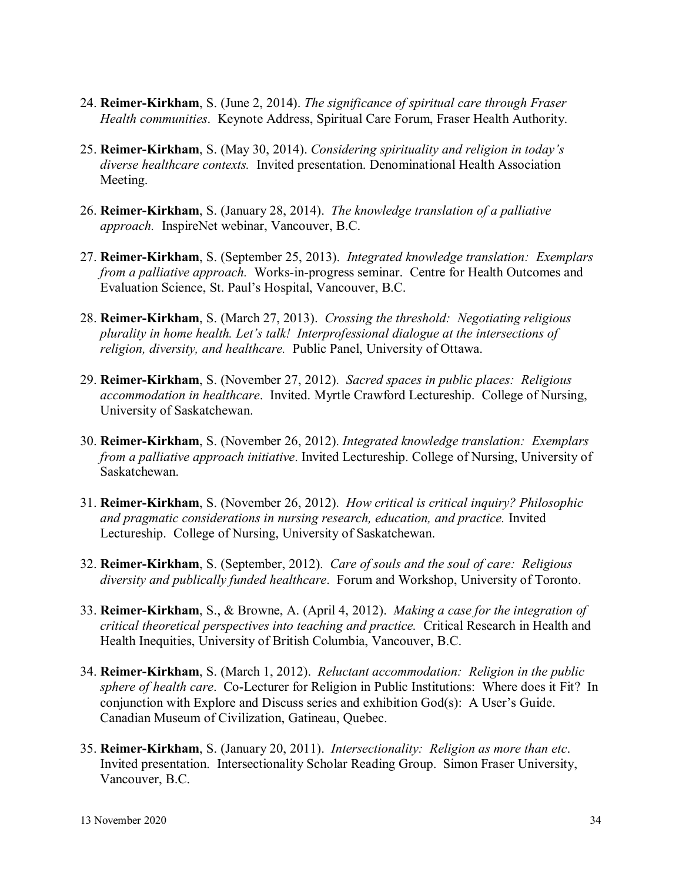- 24. **Reimer-Kirkham**, S. (June 2, 2014). *The significance of spiritual care through Fraser Health communities*. Keynote Address, Spiritual Care Forum, Fraser Health Authority.
- 25. **Reimer-Kirkham**, S. (May 30, 2014). *Considering spirituality and religion in today's diverse healthcare contexts.* Invited presentation. Denominational Health Association Meeting.
- 26. **Reimer-Kirkham**, S. (January 28, 2014). *The knowledge translation of a palliative approach.* InspireNet webinar, Vancouver, B.C.
- 27. **Reimer-Kirkham**, S. (September 25, 2013). *Integrated knowledge translation: Exemplars from a palliative approach.* Works-in-progress seminar. Centre for Health Outcomes and Evaluation Science, St. Paul's Hospital, Vancouver, B.C.
- 28. **Reimer-Kirkham**, S. (March 27, 2013). *Crossing the threshold: Negotiating religious plurality in home health. Let's talk! Interprofessional dialogue at the intersections of religion, diversity, and healthcare.* Public Panel, University of Ottawa.
- 29. **Reimer-Kirkham**, S. (November 27, 2012). *Sacred spaces in public places: Religious accommodation in healthcare*. Invited. Myrtle Crawford Lectureship. College of Nursing, University of Saskatchewan.
- 30. **Reimer-Kirkham**, S. (November 26, 2012). *Integrated knowledge translation: Exemplars from a palliative approach initiative*. Invited Lectureship. College of Nursing, University of Saskatchewan.
- 31. **Reimer-Kirkham**, S. (November 26, 2012). *How critical is critical inquiry? Philosophic and pragmatic considerations in nursing research, education, and practice.* Invited Lectureship. College of Nursing, University of Saskatchewan.
- 32. **Reimer-Kirkham**, S. (September, 2012). *Care of souls and the soul of care: Religious diversity and publically funded healthcare*. Forum and Workshop, University of Toronto.
- 33. **Reimer-Kirkham**, S., & Browne, A. (April 4, 2012). *Making a case for the integration of critical theoretical perspectives into teaching and practice.* Critical Research in Health and Health Inequities, University of British Columbia, Vancouver, B.C.
- 34. **Reimer-Kirkham**, S. (March 1, 2012). *Reluctant accommodation: Religion in the public sphere of health care*. Co-Lecturer for Religion in Public Institutions: Where does it Fit? In conjunction with Explore and Discuss series and exhibition God(s): A User's Guide. Canadian Museum of Civilization, Gatineau, Quebec.
- 35. **Reimer-Kirkham**, S. (January 20, 2011). *Intersectionality: Religion as more than etc*. Invited presentation. Intersectionality Scholar Reading Group. Simon Fraser University, Vancouver, B.C.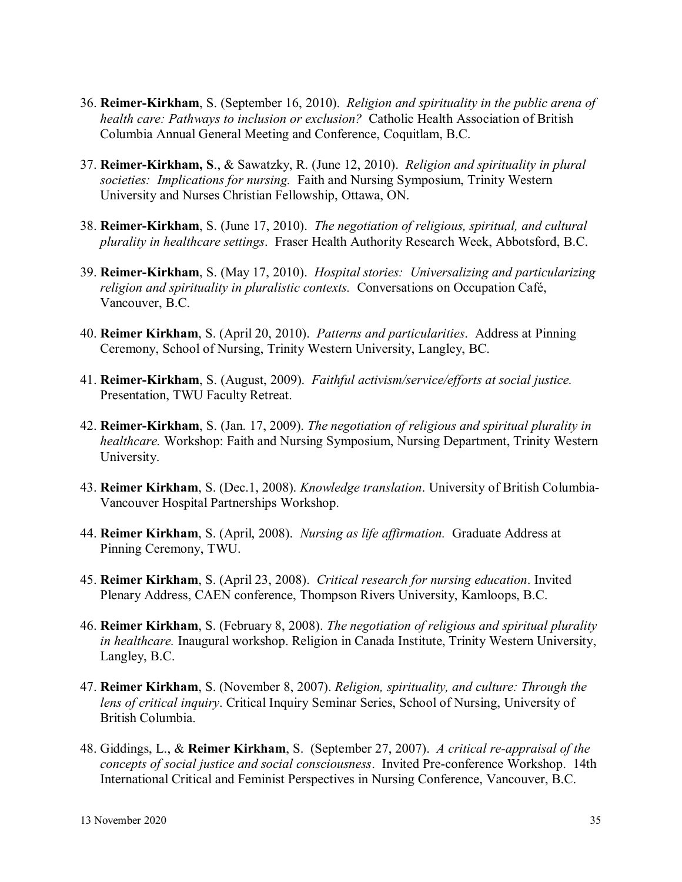- 36. **Reimer-Kirkham**, S. (September 16, 2010). *Religion and spirituality in the public arena of health care: Pathways to inclusion or exclusion?* Catholic Health Association of British Columbia Annual General Meeting and Conference, Coquitlam, B.C.
- 37. **Reimer-Kirkham, S**., & Sawatzky, R. (June 12, 2010). *Religion and spirituality in plural societies: Implications for nursing.* Faith and Nursing Symposium, Trinity Western University and Nurses Christian Fellowship, Ottawa, ON.
- 38. **Reimer-Kirkham**, S. (June 17, 2010). *The negotiation of religious, spiritual, and cultural plurality in healthcare settings*. Fraser Health Authority Research Week, Abbotsford, B.C.
- 39. **Reimer-Kirkham**, S. (May 17, 2010). *Hospital stories: Universalizing and particularizing religion and spirituality in pluralistic contexts.* Conversations on Occupation Café, Vancouver, B.C.
- 40. **Reimer Kirkham**, S. (April 20, 2010). *Patterns and particularities*. Address at Pinning Ceremony, School of Nursing, Trinity Western University, Langley, BC.
- 41. **Reimer-Kirkham**, S. (August, 2009). *Faithful activism/service/efforts at social justice.*  Presentation, TWU Faculty Retreat.
- 42. **Reimer-Kirkham**, S. (Jan. 17, 2009). *The negotiation of religious and spiritual plurality in healthcare.* Workshop: Faith and Nursing Symposium, Nursing Department, Trinity Western University.
- 43. **Reimer Kirkham**, S. (Dec.1, 2008). *Knowledge translation*. University of British Columbia-Vancouver Hospital Partnerships Workshop.
- 44. **Reimer Kirkham**, S. (April, 2008). *Nursing as life affirmation.* Graduate Address at Pinning Ceremony, TWU.
- 45. **Reimer Kirkham**, S. (April 23, 2008). *Critical research for nursing education*. Invited Plenary Address, CAEN conference, Thompson Rivers University, Kamloops, B.C.
- 46. **Reimer Kirkham**, S. (February 8, 2008). *The negotiation of religious and spiritual plurality in healthcare.* Inaugural workshop. Religion in Canada Institute, Trinity Western University, Langley, B.C.
- 47. **Reimer Kirkham**, S. (November 8, 2007). *Religion, spirituality, and culture: Through the lens of critical inquiry*. Critical Inquiry Seminar Series, School of Nursing, University of British Columbia.
- 48. Giddings, L., & **Reimer Kirkham**, S. (September 27, 2007). *A critical re-appraisal of the concepts of social justice and social consciousness*. Invited Pre-conference Workshop. 14th International Critical and Feminist Perspectives in Nursing Conference, Vancouver, B.C.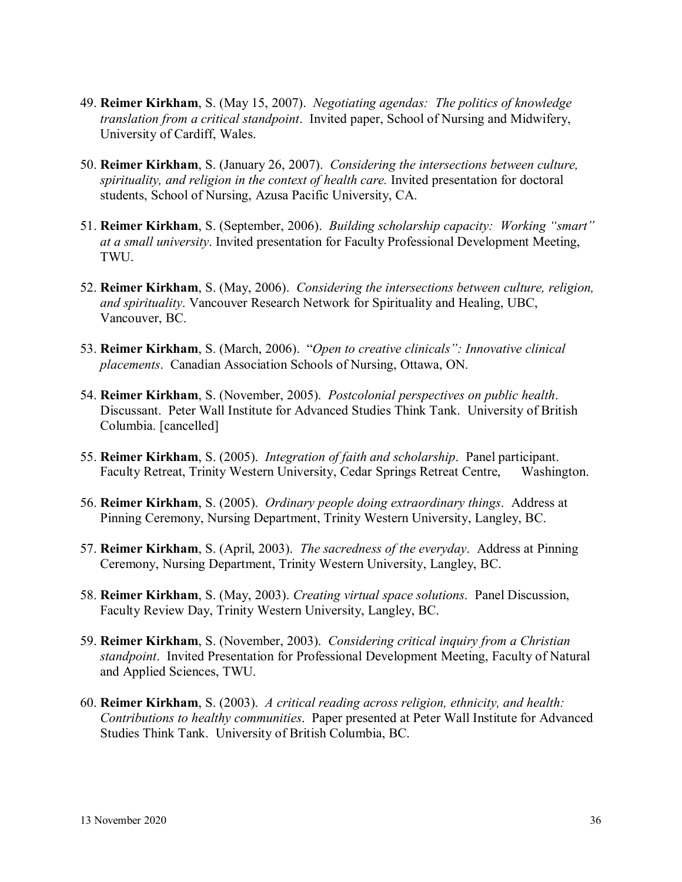- 49. **Reimer Kirkham**, S. (May 15, 2007). *Negotiating agendas: The politics of knowledge translation from a critical standpoint*. Invited paper, School of Nursing and Midwifery, University of Cardiff, Wales.
- 50. **Reimer Kirkham**, S. (January 26, 2007). *Considering the intersections between culture, spirituality, and religion in the context of health care.* Invited presentation for doctoral students, School of Nursing, Azusa Pacific University, CA.
- 51. **Reimer Kirkham**, S. (September, 2006). *Building scholarship capacity: Working "smart" at a small university*. Invited presentation for Faculty Professional Development Meeting, TWU.
- 52. **Reimer Kirkham**, S. (May, 2006). *Considering the intersections between culture, religion, and spirituality*. Vancouver Research Network for Spirituality and Healing, UBC, Vancouver, BC.
- 53. **Reimer Kirkham**, S. (March, 2006). "*Open to creative clinicals": Innovative clinical placements*. Canadian Association Schools of Nursing, Ottawa, ON.
- 54. **Reimer Kirkham**, S. (November, 2005). *Postcolonial perspectives on public health*. Discussant. Peter Wall Institute for Advanced Studies Think Tank. University of British Columbia. [cancelled]
- 55. **Reimer Kirkham**, S. (2005). *Integration of faith and scholarship*. Panel participant. Faculty Retreat, Trinity Western University, Cedar Springs Retreat Centre, Washington.
- 56. **Reimer Kirkham**, S. (2005). *Ordinary people doing extraordinary things*. Address at Pinning Ceremony, Nursing Department, Trinity Western University, Langley, BC.
- 57. **Reimer Kirkham**, S. (April, 2003). *The sacredness of the everyday*. Address at Pinning Ceremony, Nursing Department, Trinity Western University, Langley, BC.
- 58. **Reimer Kirkham**, S. (May, 2003). *Creating virtual space solutions*. Panel Discussion, Faculty Review Day, Trinity Western University, Langley, BC.
- 59. **Reimer Kirkham**, S. (November, 2003). *Considering critical inquiry from a Christian standpoint*. Invited Presentation for Professional Development Meeting, Faculty of Natural and Applied Sciences, TWU.
- 60. **Reimer Kirkham**, S. (2003). *A critical reading across religion, ethnicity, and health: Contributions to healthy communities*. Paper presented at Peter Wall Institute for Advanced Studies Think Tank. University of British Columbia, BC.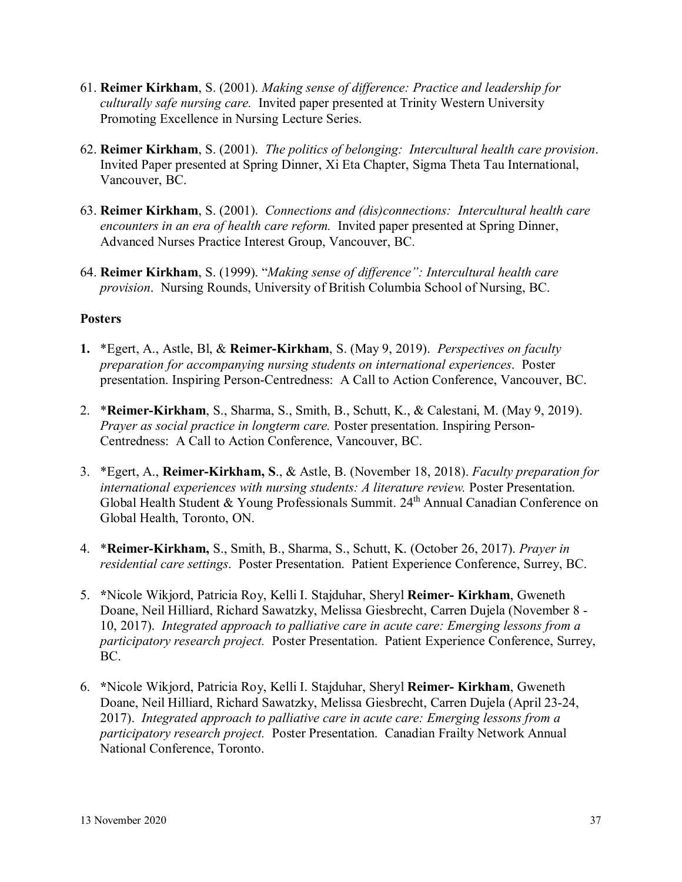- 61. **Reimer Kirkham**, S. (2001). *Making sense of difference: Practice and leadership for culturally safe nursing care.* Invited paper presented at Trinity Western University Promoting Excellence in Nursing Lecture Series.
- 62. **Reimer Kirkham**, S. (2001). *The politics of belonging: Intercultural health care provision*. Invited Paper presented at Spring Dinner, Xi Eta Chapter, Sigma Theta Tau International, Vancouver, BC.
- 63. **Reimer Kirkham**, S. (2001). *Connections and (dis)connections: Intercultural health care encounters in an era of health care reform.* Invited paper presented at Spring Dinner, Advanced Nurses Practice Interest Group, Vancouver, BC.
- 64. **Reimer Kirkham**, S. (1999). "*Making sense of difference": Intercultural health care provision*. Nursing Rounds, University of British Columbia School of Nursing, BC.

## **Posters**

- **1.** \*Egert, A., Astle, Bl, & **Reimer-Kirkham**, S. (May 9, 2019). *Perspectives on faculty preparation for accompanying nursing students on international experiences*. Poster presentation. Inspiring Person-Centredness: A Call to Action Conference, Vancouver, BC.
- 2. \***Reimer-Kirkham**, S., Sharma, S., Smith, B., Schutt, K., & Calestani, M. (May 9, 2019). *Prayer as social practice in longterm care.* Poster presentation. Inspiring Person-Centredness: A Call to Action Conference, Vancouver, BC.
- 3. \*Egert, A., **Reimer-Kirkham, S**., & Astle, B. (November 18, 2018). *Faculty preparation for international experiences with nursing students: A literature review. Poster Presentation.* Global Health Student & Young Professionals Summit. 24<sup>th</sup> Annual Canadian Conference on Global Health, Toronto, ON.
- 4. \***Reimer-Kirkham,** S., Smith, B., Sharma, S., Schutt, K. (October 26, 2017). *Prayer in residential care settings*. Poster Presentation. Patient Experience Conference, Surrey, BC.
- 5. **\***Nicole Wikjord, Patricia Roy, Kelli I. Stajduhar, Sheryl **Reimer- Kirkham**, Gweneth Doane, Neil Hilliard, Richard Sawatzky, Melissa Giesbrecht, Carren Dujela (November 8 - 10, 2017). *Integrated approach to palliative care in acute care: Emerging lessons from a participatory research project.* Poster Presentation. Patient Experience Conference, Surrey, BC.
- 6. **\***Nicole Wikjord, Patricia Roy, Kelli I. Stajduhar, Sheryl **Reimer- Kirkham**, Gweneth Doane, Neil Hilliard, Richard Sawatzky, Melissa Giesbrecht, Carren Dujela (April 23-24, 2017). *Integrated approach to palliative care in acute care: Emerging lessons from a participatory research project.* Poster Presentation. Canadian Frailty Network Annual National Conference, Toronto.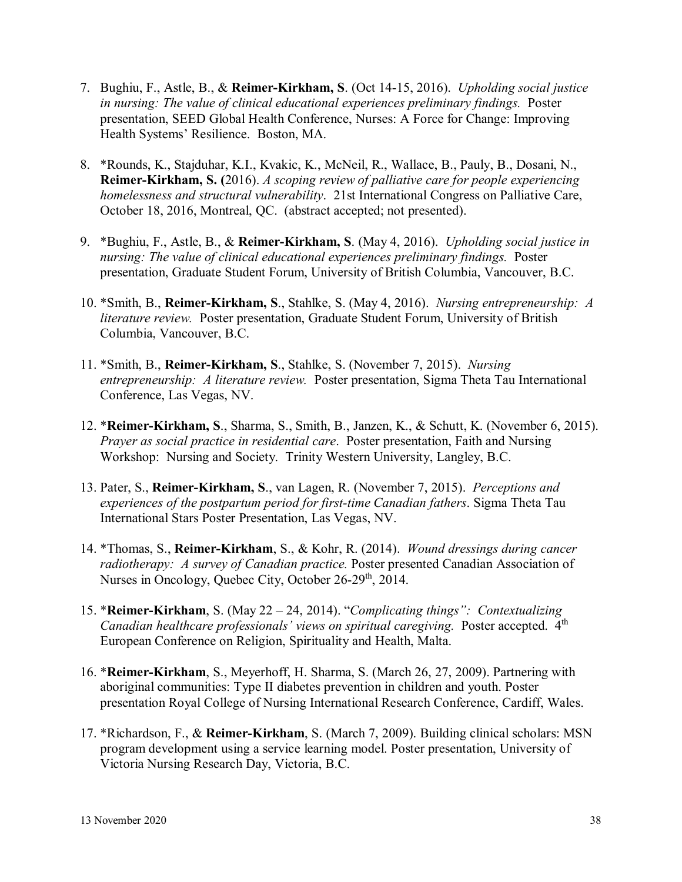- 7. Bughiu, F., Astle, B., & **Reimer-Kirkham, S**. (Oct 14-15, 2016). *Upholding social justice in nursing: The value of clinical educational experiences preliminary findings.* Poster presentation, SEED Global Health Conference, Nurses: A Force for Change: Improving Health Systems' Resilience. Boston, MA.
- 8. \*Rounds, K., Stajduhar, K.I., Kvakic, K., McNeil, R., Wallace, B., Pauly, B., Dosani, N., **Reimer-Kirkham, S. (**2016). *A scoping review of palliative care for people experiencing homelessness and structural vulnerability*. 21st International Congress on Palliative Care, October 18, 2016, Montreal, QC. (abstract accepted; not presented).
- 9. \*Bughiu, F., Astle, B., & **Reimer-Kirkham, S**. (May 4, 2016). *Upholding social justice in nursing: The value of clinical educational experiences preliminary findings.* Poster presentation, Graduate Student Forum, University of British Columbia, Vancouver, B.C.
- 10. \*Smith, B., **Reimer-Kirkham, S**., Stahlke, S. (May 4, 2016). *Nursing entrepreneurship: A literature review.* Poster presentation, Graduate Student Forum, University of British Columbia, Vancouver, B.C.
- 11. \*Smith, B., **Reimer-Kirkham, S**., Stahlke, S. (November 7, 2015). *Nursing entrepreneurship: A literature review.* Poster presentation, Sigma Theta Tau International Conference, Las Vegas, NV.
- 12. \***Reimer-Kirkham, S**., Sharma, S., Smith, B., Janzen, K., & Schutt, K. (November 6, 2015). *Prayer as social practice in residential care*. Poster presentation, Faith and Nursing Workshop: Nursing and Society. Trinity Western University, Langley, B.C.
- 13. Pater, S., **Reimer-Kirkham, S**., van Lagen, R. (November 7, 2015). *Perceptions and experiences of the postpartum period for first-time Canadian fathers*. Sigma Theta Tau International Stars Poster Presentation, Las Vegas, NV.
- 14. \*Thomas, S., **Reimer-Kirkham**, S., & Kohr, R. (2014). *Wound dressings during cancer radiotherapy: A survey of Canadian practice.* Poster presented Canadian Association of Nurses in Oncology, Quebec City, October 26-29<sup>th</sup>, 2014.
- 15. \***Reimer-Kirkham**, S. (May 22 24, 2014). "*Complicating things": Contextualizing Canadian healthcare professionals' views on spiritual caregiving.* Poster accepted. 4<sup>th</sup> European Conference on Religion, Spirituality and Health, Malta.
- 16. \***Reimer-Kirkham**, S., Meyerhoff, H. Sharma, S. (March 26, 27, 2009). Partnering with aboriginal communities: Type II diabetes prevention in children and youth. Poster presentation Royal College of Nursing International Research Conference, Cardiff, Wales.
- 17. \*Richardson, F., & **Reimer-Kirkham**, S. (March 7, 2009). Building clinical scholars: MSN program development using a service learning model. Poster presentation, University of Victoria Nursing Research Day, Victoria, B.C.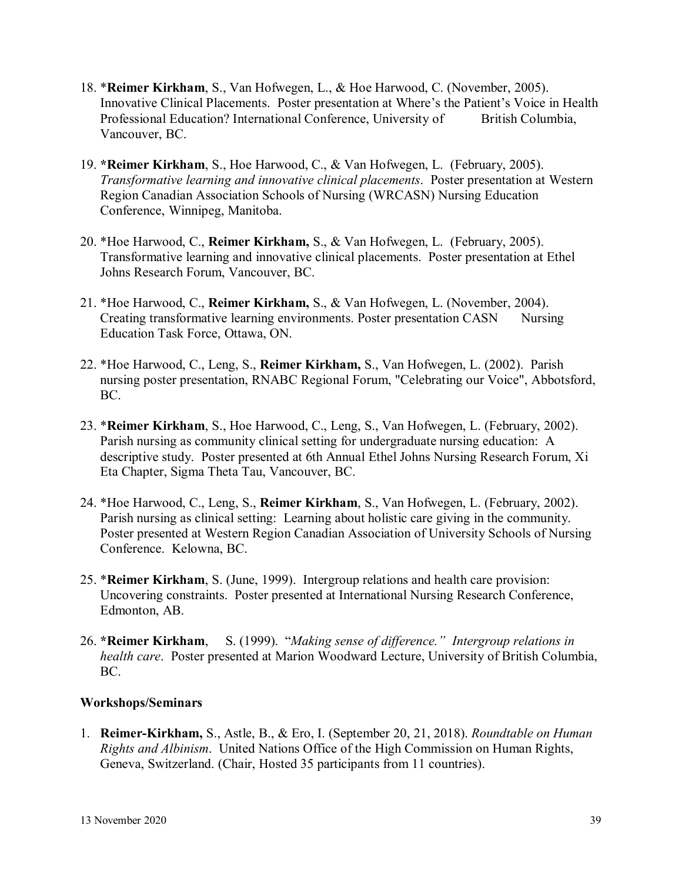- 18. \***Reimer Kirkham**, S., Van Hofwegen, L., & Hoe Harwood, C. (November, 2005). Innovative Clinical Placements. Poster presentation at Where's the Patient's Voice in Health Professional Education? International Conference, University of British Columbia, Vancouver, BC.
- 19. **\*Reimer Kirkham**, S., Hoe Harwood, C., & Van Hofwegen, L. (February, 2005). *Transformative learning and innovative clinical placements*. Poster presentation at Western Region Canadian Association Schools of Nursing (WRCASN) Nursing Education Conference, Winnipeg, Manitoba.
- 20. \*Hoe Harwood, C., **Reimer Kirkham,** S., & Van Hofwegen, L. (February, 2005). Transformative learning and innovative clinical placements. Poster presentation at Ethel Johns Research Forum, Vancouver, BC.
- 21. \*Hoe Harwood, C., **Reimer Kirkham,** S., & Van Hofwegen, L. (November, 2004). Creating transformative learning environments. Poster presentation CASN Nursing Education Task Force, Ottawa, ON.
- 22. \*Hoe Harwood, C., Leng, S., **Reimer Kirkham,** S., Van Hofwegen, L. (2002). Parish nursing poster presentation, RNABC Regional Forum, "Celebrating our Voice", Abbotsford, BC.
- 23. \***Reimer Kirkham**, S., Hoe Harwood, C., Leng, S., Van Hofwegen, L. (February, 2002). Parish nursing as community clinical setting for undergraduate nursing education: A descriptive study. Poster presented at 6th Annual Ethel Johns Nursing Research Forum, Xi Eta Chapter, Sigma Theta Tau, Vancouver, BC.
- 24. \*Hoe Harwood, C., Leng, S., **Reimer Kirkham**, S., Van Hofwegen, L. (February, 2002). Parish nursing as clinical setting: Learning about holistic care giving in the community. Poster presented at Western Region Canadian Association of University Schools of Nursing Conference. Kelowna, BC.
- 25. \***Reimer Kirkham**, S. (June, 1999). Intergroup relations and health care provision: Uncovering constraints. Poster presented at International Nursing Research Conference, Edmonton, AB.
- 26. **\*Reimer Kirkham**, S. (1999). "*Making sense of difference." Intergroup relations in health care*. Poster presented at Marion Woodward Lecture, University of British Columbia, BC.

#### **Workshops/Seminars**

1. **Reimer-Kirkham,** S., Astle, B., & Ero, I. (September 20, 21, 2018). *Roundtable on Human Rights and Albinism*. United Nations Office of the High Commission on Human Rights, Geneva, Switzerland. (Chair, Hosted 35 participants from 11 countries).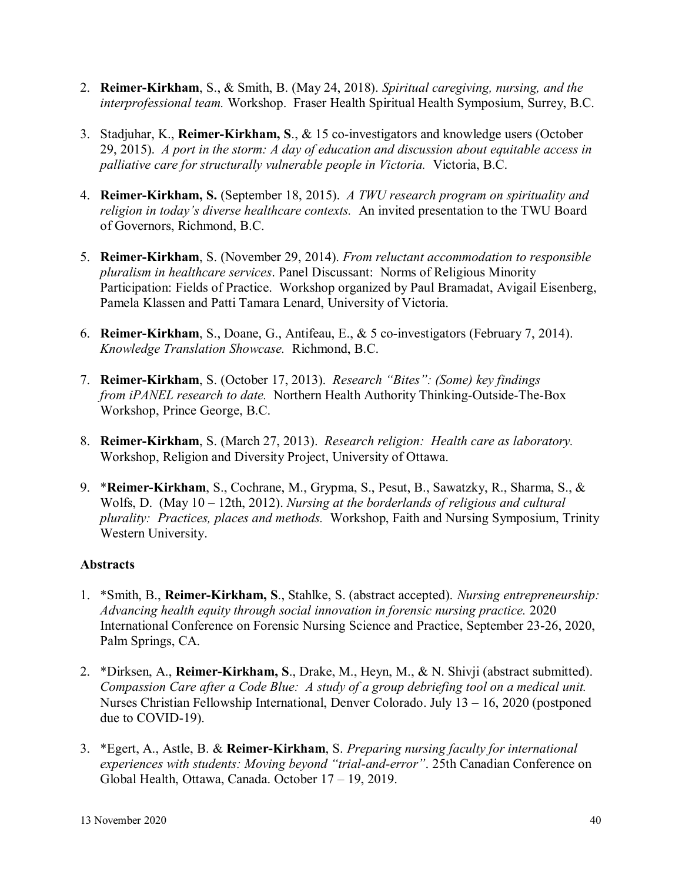- 2. **Reimer-Kirkham**, S., & Smith, B. (May 24, 2018). *Spiritual caregiving, nursing, and the interprofessional team.* Workshop. Fraser Health Spiritual Health Symposium, Surrey, B.C.
- 3. Stadjuhar, K., **Reimer-Kirkham, S**., & 15 co-investigators and knowledge users (October 29, 2015). *A port in the storm: A day of education and discussion about equitable access in palliative care for structurally vulnerable people in Victoria.* Victoria, B.C.
- 4. **Reimer-Kirkham, S.** (September 18, 2015). *A TWU research program on spirituality and religion in today's diverse healthcare contexts.* An invited presentation to the TWU Board of Governors, Richmond, B.C.
- 5. **Reimer-Kirkham**, S. (November 29, 2014). *From reluctant accommodation to responsible pluralism in healthcare services*. Panel Discussant: Norms of Religious Minority Participation: Fields of Practice. Workshop organized by Paul Bramadat, Avigail Eisenberg, Pamela Klassen and Patti Tamara Lenard, University of Victoria.
- 6. **Reimer-Kirkham**, S., Doane, G., Antifeau, E., & 5 co-investigators (February 7, 2014). *Knowledge Translation Showcase.* Richmond, B.C.
- 7. **Reimer-Kirkham**, S. (October 17, 2013). *Research "Bites": (Some) key findings from iPANEL research to date.* Northern Health Authority Thinking-Outside-The-Box Workshop, Prince George, B.C.
- 8. **Reimer-Kirkham**, S. (March 27, 2013). *Research religion: Health care as laboratory.* Workshop, Religion and Diversity Project, University of Ottawa.
- 9. \***Reimer-Kirkham**, S., Cochrane, M., Grypma, S., Pesut, B., Sawatzky, R., Sharma, S., & Wolfs, D. (May 10 – 12th, 2012). *Nursing at the borderlands of religious and cultural plurality: Practices, places and methods.* Workshop, Faith and Nursing Symposium, Trinity Western University.

# **Abstracts**

- 1. \*Smith, B., **Reimer-Kirkham, S**., Stahlke, S. (abstract accepted). *Nursing entrepreneurship: Advancing health equity through social innovation in forensic nursing practice.* 2020 International Conference on Forensic Nursing Science and Practice, September 23-26, 2020, Palm Springs, CA.
- 2. \*Dirksen, A., **Reimer-Kirkham, S**., Drake, M., Heyn, M., & N. Shivji (abstract submitted). *Compassion Care after a Code Blue: A study of a group debriefing tool on a medical unit.* Nurses Christian Fellowship International, Denver Colorado. July 13 – 16, 2020 (postponed due to COVID-19).
- 3. \*Egert, A., Astle, B. & **Reimer-Kirkham**, S. *Preparing nursing faculty for international experiences with students: Moving beyond "trial-and-error"*. 25th Canadian Conference on Global Health, Ottawa, Canada. October 17 – 19, 2019.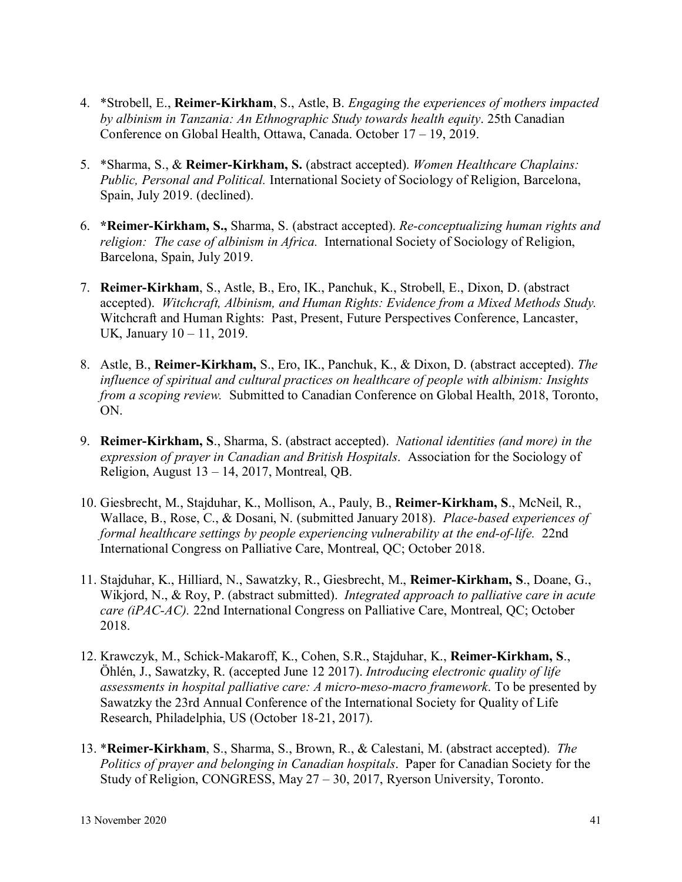- 4. \*Strobell, E., **Reimer-Kirkham**, S., Astle, B. *Engaging the experiences of mothers impacted by albinism in Tanzania: An Ethnographic Study towards health equity*. 25th Canadian Conference on Global Health, Ottawa, Canada. October 17 – 19, 2019.
- 5. \*Sharma, S., & **Reimer-Kirkham, S.** (abstract accepted). *Women Healthcare Chaplains: Public, Personal and Political.* International Society of Sociology of Religion, Barcelona, Spain, July 2019. (declined).
- 6. **\*Reimer-Kirkham, S.,** Sharma, S. (abstract accepted). *Re-conceptualizing human rights and religion: The case of albinism in Africa.* International Society of Sociology of Religion, Barcelona, Spain, July 2019.
- 7. **Reimer-Kirkham**, S., Astle, B., Ero, IK., Panchuk, K., Strobell, E., Dixon, D. (abstract accepted). *Witchcraft, Albinism, and Human Rights: Evidence from a Mixed Methods Study.*  Witchcraft and Human Rights: Past, Present, Future Perspectives Conference, Lancaster, UK, January 10 – 11, 2019.
- 8. Astle, B., **Reimer-Kirkham,** S., Ero, IK., Panchuk, K., & Dixon, D. (abstract accepted). *The influence of spiritual and cultural practices on healthcare of people with albinism: Insights from a scoping review.* Submitted to Canadian Conference on Global Health, 2018, Toronto, ON.
- 9. **Reimer-Kirkham, S**., Sharma, S. (abstract accepted). *National identities (and more) in the expression of prayer in Canadian and British Hospitals*. Association for the Sociology of Religion, August  $13 - 14$ , 2017, Montreal, QB.
- 10. Giesbrecht, M., Stajduhar, K., Mollison, A., Pauly, B., **Reimer-Kirkham, S**., McNeil, R., Wallace, B., Rose, C., & Dosani, N. (submitted January 2018). *Place-based experiences of formal healthcare settings by people experiencing vulnerability at the end-of-life.* 22nd International Congress on Palliative Care, Montreal, QC; October 2018.
- 11. Stajduhar, K., Hilliard, N., Sawatzky, R., Giesbrecht, M., **Reimer-Kirkham, S**., Doane, G., Wikjord, N., & Roy, P. (abstract submitted). *Integrated approach to palliative care in acute care (iPAC-AC).* 22nd International Congress on Palliative Care, Montreal, QC; October 2018.
- 12. Krawczyk, M., Schick-Makaroff, K., Cohen, S.R., Stajduhar, K., **Reimer-Kirkham, S**., Öhlén, J., Sawatzky, R. (accepted June 12 2017). *Introducing electronic quality of life assessments in hospital palliative care: A micro-meso-macro framework*. To be presented by Sawatzky the 23rd Annual Conference of the International Society for Quality of Life Research, Philadelphia, US (October 18-21, 2017).
- 13. \***Reimer-Kirkham**, S., Sharma, S., Brown, R., & Calestani, M. (abstract accepted). *The Politics of prayer and belonging in Canadian hospitals*. Paper for Canadian Society for the Study of Religion, CONGRESS, May 27 – 30, 2017, Ryerson University, Toronto.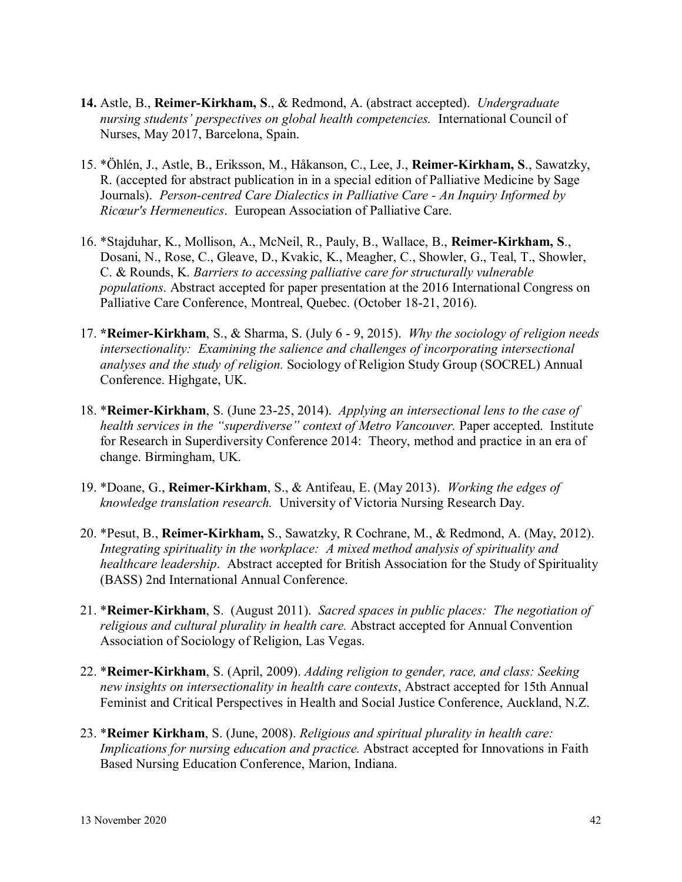- **14.** Astle, B., **Reimer-Kirkham, S**., & Redmond, A. (abstract accepted). *Undergraduate nursing students' perspectives on global health competencies.* International Council of Nurses, May 2017, Barcelona, Spain.
- 15. \*Öhlén, J., Astle, B., Eriksson, M., Håkanson, C., Lee, J., **Reimer-Kirkham, S**., Sawatzky, R. (accepted for abstract publication in in a special edition of Palliative Medicine by Sage Journals). *Person-centred Care Dialectics in Palliative Care - An Inquiry Informed by Ricœur's Hermeneutics*. European Association of Palliative Care.
- 16. \*Stajduhar, K., Mollison, A., McNeil, R., Pauly, B., Wallace, B., **Reimer-Kirkham, S**., Dosani, N., Rose, C., Gleave, D., Kvakic, K., Meagher, C., Showler, G., Teal, T., Showler, C. & Rounds, K. *Barriers to accessing palliative care for structurally vulnerable populations*. Abstract accepted for paper presentation at the 2016 International Congress on Palliative Care Conference, Montreal, Quebec. (October 18-21, 2016).
- 17. **\*Reimer-Kirkham**, S., & Sharma, S. (July 6 9, 2015). *Why the sociology of religion needs intersectionality: Examining the salience and challenges of incorporating intersectional analyses and the study of religion.* Sociology of Religion Study Group (SOCREL) Annual Conference. Highgate, UK.
- 18. \***Reimer-Kirkham**, S. (June 23-25, 2014). *Applying an intersectional lens to the case of health services in the "superdiverse" context of Metro Vancouver.* Paper accepted. Institute for Research in Superdiversity Conference 2014: Theory, method and practice in an era of change. Birmingham, UK.
- 19. \*Doane, G., **Reimer-Kirkham**, S., & Antifeau, E. (May 2013). *Working the edges of knowledge translation research.* University of Victoria Nursing Research Day.
- 20. \*Pesut, B., **Reimer-Kirkham,** S., Sawatzky, R Cochrane, M., & Redmond, A. (May, 2012). *Integrating spirituality in the workplace: A mixed method analysis of spirituality and healthcare leadership*. Abstract accepted for British Association for the Study of Spirituality (BASS) 2nd International Annual Conference.
- 21. \***Reimer-Kirkham**, S. (August 2011). *Sacred spaces in public places: The negotiation of religious and cultural plurality in health care.* Abstract accepted for Annual Convention Association of Sociology of Religion, Las Vegas.
- 22. \***Reimer-Kirkham**, S. (April, 2009). *Adding religion to gender, race, and class: Seeking new insights on intersectionality in health care contexts*, Abstract accepted for 15th Annual Feminist and Critical Perspectives in Health and Social Justice Conference, Auckland, N.Z.
- 23. \***Reimer Kirkham**, S. (June, 2008). *Religious and spiritual plurality in health care: Implications for nursing education and practice.* Abstract accepted for Innovations in Faith Based Nursing Education Conference, Marion, Indiana.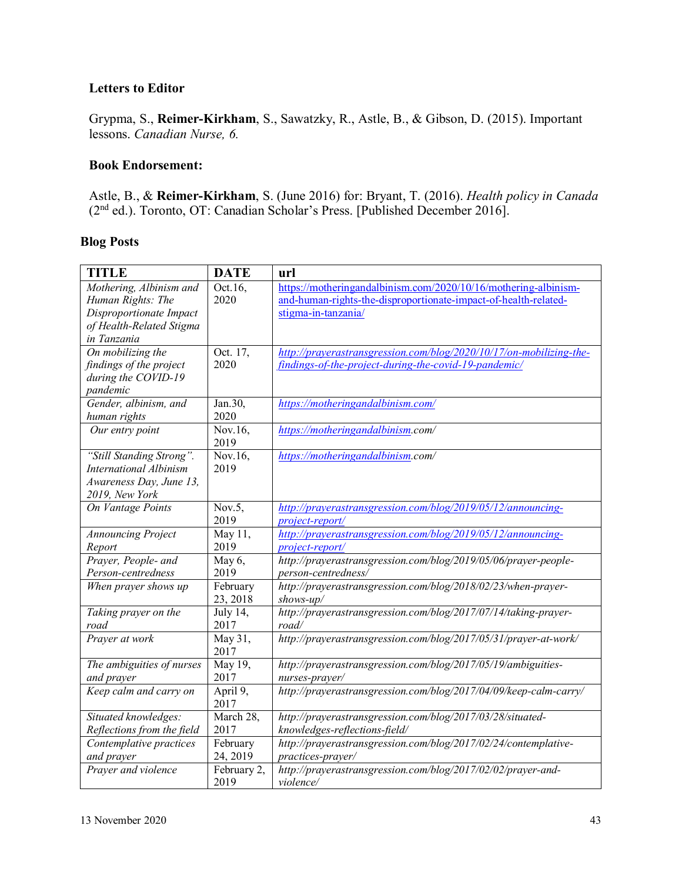# **Letters to Editor**

Grypma, S., **Reimer-Kirkham**, S., Sawatzky, R., Astle, B., & Gibson, D. (2015). Important lessons. *Canadian Nurse, 6.*

#### **Book Endorsement:**

Astle, B., & **Reimer-Kirkham**, S. (June 2016) for: Bryant, T. (2016). *Health policy in Canada*  (2nd ed.). Toronto, OT: Canadian Scholar's Press. [Published December 2016].

## **Blog Posts**

| <b>TITLE</b>                                                                                                       | <b>DATE</b>          | url                                                                                                                                                       |
|--------------------------------------------------------------------------------------------------------------------|----------------------|-----------------------------------------------------------------------------------------------------------------------------------------------------------|
| Mothering, Albinism and<br>Human Rights: The<br>Disproportionate Impact<br>of Health-Related Stigma<br>in Tanzania | Oct.16,<br>2020      | https://motheringandalbinism.com/2020/10/16/mothering-albinism-<br>and-human-rights-the-disproportionate-impact-of-health-related-<br>stigma-in-tanzania/ |
| On mobilizing the<br>findings of the project<br>during the COVID-19<br>pandemic                                    | Oct. 17,<br>2020     | http://prayerastransgression.com/blog/2020/10/17/on-mobilizing-the-<br>findings-of-the-project-during-the-covid-19-pandemic/                              |
| Gender, albinism, and<br>human rights                                                                              | Jan.30,<br>2020      | https://motheringandalbinism.com/                                                                                                                         |
| Our entry point                                                                                                    | Nov.16,<br>2019      | https://motheringandalbinism.com/                                                                                                                         |
| "Still Standing Strong".<br><b>International Albinism</b><br>Awareness Day, June 13,<br>2019, New York             | Nov.16,<br>2019      | https://motheringandalbinism.com/                                                                                                                         |
| On Vantage Points                                                                                                  | Nov.5,<br>2019       | http://prayerastransgression.com/blog/2019/05/12/announcing-<br>project-report/                                                                           |
| <b>Announcing Project</b><br>Report                                                                                | May 11,<br>2019      | http://prayerastransgression.com/blog/2019/05/12/announcing-<br>project-report/                                                                           |
| Prayer, People- and<br>Person-centredness                                                                          | May 6,<br>2019       | http://prayerastransgression.com/blog/2019/05/06/prayer-people-<br>person-centredness/                                                                    |
| When prayer shows up                                                                                               | February<br>23, 2018 | http://prayerastransgression.com/blog/2018/02/23/when-prayer-<br>$shows-up/$                                                                              |
| Taking prayer on the<br>road                                                                                       | July 14,<br>2017     | http://prayerastransgression.com/blog/2017/07/14/taking-prayer-<br>road/                                                                                  |
| Prayer at work                                                                                                     | May 31,<br>2017      | http://prayerastransgression.com/blog/2017/05/31/prayer-at-work/                                                                                          |
| The ambiguities of nurses<br>and prayer                                                                            | May 19,<br>2017      | http://prayerastransgression.com/blog/2017/05/19/ambiguities-<br>nurses-prayer/                                                                           |
| Keep calm and carry on                                                                                             | April 9,<br>2017     | http://prayerastransgression.com/blog/2017/04/09/keep-calm-carry/                                                                                         |
| Situated knowledges:<br>Reflections from the field                                                                 | March 28,<br>2017    | http://prayerastransgression.com/blog/2017/03/28/situated-<br>knowledges-reflections-field/                                                               |
| Contemplative practices<br>and prayer                                                                              | February<br>24, 2019 | http://prayerastransgression.com/blog/2017/02/24/contemplative-<br>practices-prayer/                                                                      |
| Prayer and violence                                                                                                | February 2,<br>2019  | http://prayerastransgression.com/blog/2017/02/02/prayer-and-<br>violence/                                                                                 |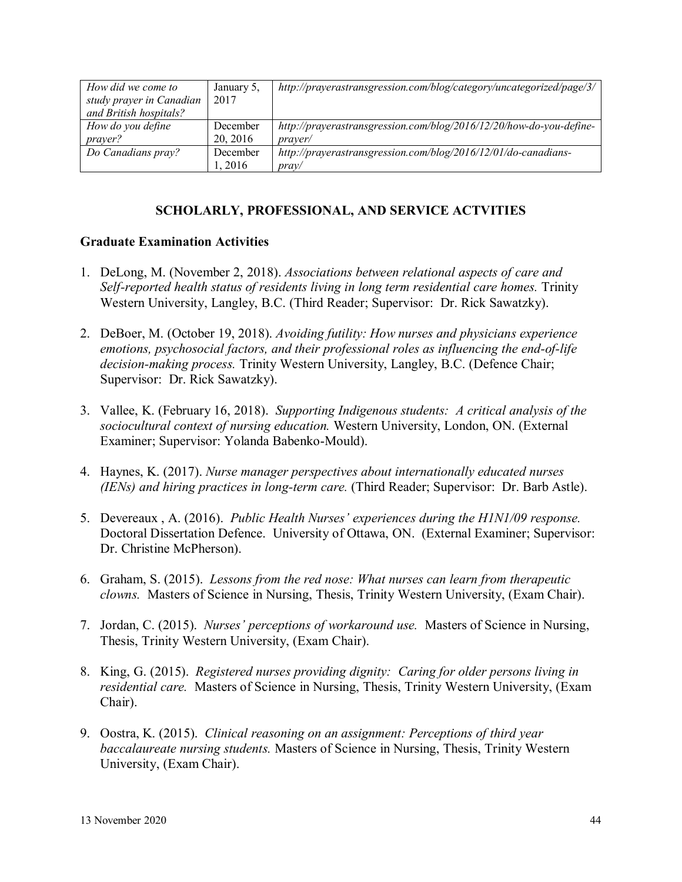| How did we come to       | January 5, | http://prayerastransgression.com/blog/category/uncategorized/page/3/ |
|--------------------------|------------|----------------------------------------------------------------------|
| study prayer in Canadian | 2017       |                                                                      |
| and British hospitals?   |            |                                                                      |
| How do you define        | December   | http://prayerastransgression.com/blog/2016/12/20/how-do-you-define-  |
| <i>prayer?</i>           | 20, 2016   | <i>praver</i> /                                                      |
| Do Canadians pray?       | December   | http://prayerastransgression.com/blog/2016/12/01/do-canadians-       |
|                          | l. 2016    | prav/                                                                |

# **SCHOLARLY, PROFESSIONAL, AND SERVICE ACTVITIES**

#### **Graduate Examination Activities**

- 1. DeLong, M. (November 2, 2018). *Associations between relational aspects of care and Self-reported health status of residents living in long term residential care homes.* Trinity Western University, Langley, B.C. (Third Reader; Supervisor: Dr. Rick Sawatzky).
- 2. DeBoer, M. (October 19, 2018). *Avoiding futility: How nurses and physicians experience emotions, psychosocial factors, and their professional roles as influencing the end-of-life decision-making process.* Trinity Western University, Langley, B.C. (Defence Chair; Supervisor: Dr. Rick Sawatzky).
- 3. Vallee, K. (February 16, 2018). *Supporting Indigenous students: A critical analysis of the sociocultural context of nursing education.* Western University, London, ON. (External Examiner; Supervisor: Yolanda Babenko-Mould).
- 4. Haynes, K. (2017). *Nurse manager perspectives about internationally educated nurses (IENs) and hiring practices in long-term care.* (Third Reader; Supervisor: Dr. Barb Astle).
- 5. Devereaux , A. (2016). *Public Health Nurses' experiences during the H1N1/09 response.* Doctoral Dissertation Defence. University of Ottawa, ON. (External Examiner; Supervisor: Dr. Christine McPherson).
- 6. Graham, S. (2015). *Lessons from the red nose: What nurses can learn from therapeutic clowns.* Masters of Science in Nursing, Thesis, Trinity Western University, (Exam Chair).
- 7. Jordan, C. (2015). *Nurses' perceptions of workaround use.* Masters of Science in Nursing, Thesis, Trinity Western University, (Exam Chair).
- 8. King, G. (2015). *Registered nurses providing dignity: Caring for older persons living in residential care.* Masters of Science in Nursing, Thesis, Trinity Western University, (Exam Chair).
- 9. Oostra, K. (2015). *Clinical reasoning on an assignment: Perceptions of third year baccalaureate nursing students.* Masters of Science in Nursing, Thesis, Trinity Western University, (Exam Chair).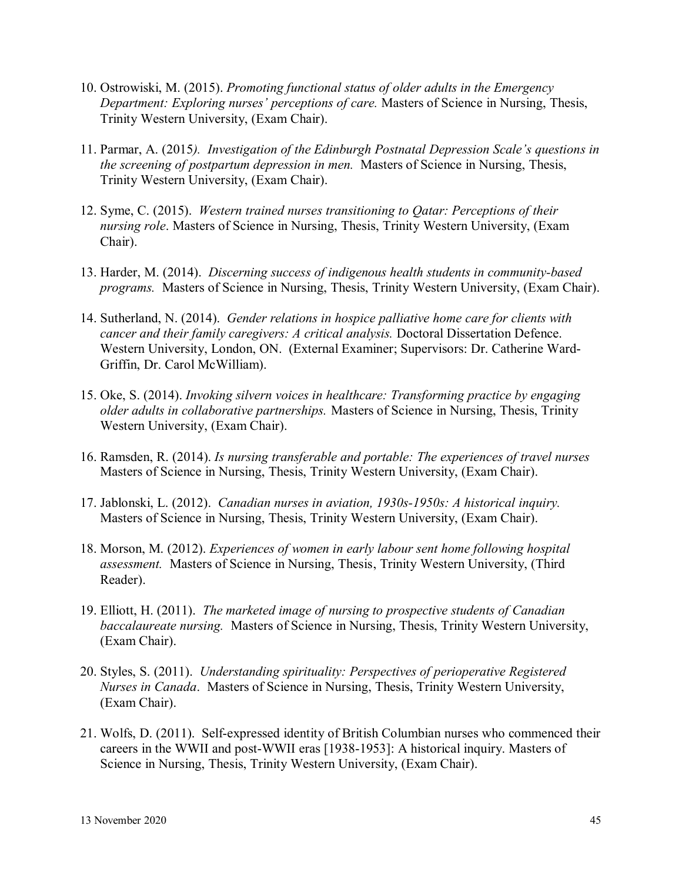- 10. Ostrowiski, M. (2015). *Promoting functional status of older adults in the Emergency Department: Exploring nurses' perceptions of care.* Masters of Science in Nursing, Thesis, Trinity Western University, (Exam Chair).
- 11. Parmar, A. (2015*). Investigation of the Edinburgh Postnatal Depression Scale's questions in the screening of postpartum depression in men.* Masters of Science in Nursing, Thesis, Trinity Western University, (Exam Chair).
- 12. Syme, C. (2015). *Western trained nurses transitioning to Qatar: Perceptions of their nursing role*. Masters of Science in Nursing, Thesis, Trinity Western University, (Exam Chair).
- 13. Harder, M. (2014). *Discerning success of indigenous health students in community-based programs.* Masters of Science in Nursing, Thesis, Trinity Western University, (Exam Chair).
- 14. Sutherland, N. (2014). *Gender relations in hospice palliative home care for clients with cancer and their family caregivers: A critical analysis.* Doctoral Dissertation Defence. Western University, London, ON. (External Examiner; Supervisors: Dr. Catherine Ward-Griffin, Dr. Carol McWilliam).
- 15. Oke, S. (2014). *Invoking silvern voices in healthcare: Transforming practice by engaging older adults in collaborative partnerships.* Masters of Science in Nursing, Thesis, Trinity Western University, (Exam Chair).
- 16. Ramsden, R. (2014). *Is nursing transferable and portable: The experiences of travel nurses*  Masters of Science in Nursing, Thesis, Trinity Western University, (Exam Chair).
- 17. Jablonski, L. (2012). *Canadian nurses in aviation, 1930s-1950s: A historical inquiry.*  Masters of Science in Nursing, Thesis, Trinity Western University, (Exam Chair).
- 18. Morson, M. (2012). *Experiences of women in early labour sent home following hospital assessment.* Masters of Science in Nursing, Thesis, Trinity Western University, (Third Reader).
- 19. Elliott, H. (2011). *The marketed image of nursing to prospective students of Canadian baccalaureate nursing.* Masters of Science in Nursing, Thesis, Trinity Western University, (Exam Chair).
- 20. Styles, S. (2011). *Understanding spirituality: Perspectives of perioperative Registered Nurses in Canada*. Masters of Science in Nursing, Thesis, Trinity Western University, (Exam Chair).
- 21. Wolfs, D. (2011). Self-expressed identity of British Columbian nurses who commenced their careers in the WWII and post-WWII eras [1938-1953]: A historical inquiry. Masters of Science in Nursing, Thesis, Trinity Western University, (Exam Chair).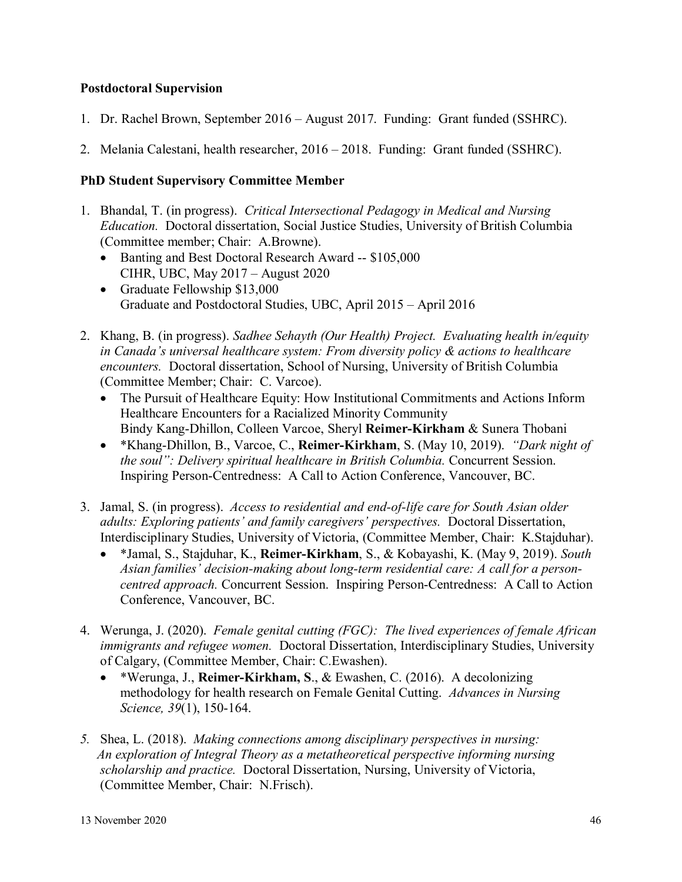## **Postdoctoral Supervision**

- 1. Dr. Rachel Brown, September 2016 August 2017. Funding: Grant funded (SSHRC).
- 2. Melania Calestani, health researcher, 2016 2018. Funding: Grant funded (SSHRC).

## **PhD Student Supervisory Committee Member**

- 1. Bhandal, T. (in progress). *Critical Intersectional Pedagogy in Medical and Nursing Education.* Doctoral dissertation, Social Justice Studies, University of British Columbia (Committee member; Chair: A.Browne).
	- Banting and Best Doctoral Research Award -- \$105,000 CIHR, UBC, May 2017 – August 2020
	- Graduate Fellowship \$13,000 Graduate and Postdoctoral Studies, UBC, April 2015 – April 2016
- 2. Khang, B. (in progress). *Sadhee Sehayth (Our Health) Project. Evaluating health in/equity in Canada's universal healthcare system: From diversity policy & actions to healthcare encounters.* Doctoral dissertation, School of Nursing, University of British Columbia (Committee Member; Chair: C. Varcoe).
	- The Pursuit of Healthcare Equity: How Institutional Commitments and Actions Inform Healthcare Encounters for a Racialized Minority Community Bindy Kang-Dhillon, Colleen Varcoe, Sheryl **Reimer-Kirkham** & Sunera Thobani
	- \*Khang-Dhillon, B., Varcoe, C., **Reimer-Kirkham**, S. (May 10, 2019). *"Dark night of the soul": Delivery spiritual healthcare in British Columbia.* Concurrent Session. Inspiring Person-Centredness: A Call to Action Conference, Vancouver, BC.
- 3. Jamal, S. (in progress). *Access to residential and end-of-life care for South Asian older adults: Exploring patients' and family caregivers' perspectives.* Doctoral Dissertation, Interdisciplinary Studies, University of Victoria, (Committee Member, Chair: K.Stajduhar).
	- \*Jamal, S., Stajduhar, K., **Reimer-Kirkham**, S., & Kobayashi, K. (May 9, 2019). *South Asian families' decision-making about long-term residential care: A call for a personcentred approach.* Concurrent Session. Inspiring Person-Centredness: A Call to Action Conference, Vancouver, BC.
- 4. Werunga, J. (2020). *Female genital cutting (FGC): The lived experiences of female African immigrants and refugee women.* Doctoral Dissertation, Interdisciplinary Studies, University of Calgary, (Committee Member, Chair: C.Ewashen).
	- \*Werunga, J., **Reimer-Kirkham, S**., & Ewashen, C. (2016). A decolonizing methodology for health research on Female Genital Cutting. *Advances in Nursing Science, 39*(1), 150-164.
- *5.* Shea, L. (2018). *Making connections among disciplinary perspectives in nursing: An exploration of Integral Theory as a metatheoretical perspective informing nursing scholarship and practice.* Doctoral Dissertation, Nursing, University of Victoria, (Committee Member, Chair: N.Frisch).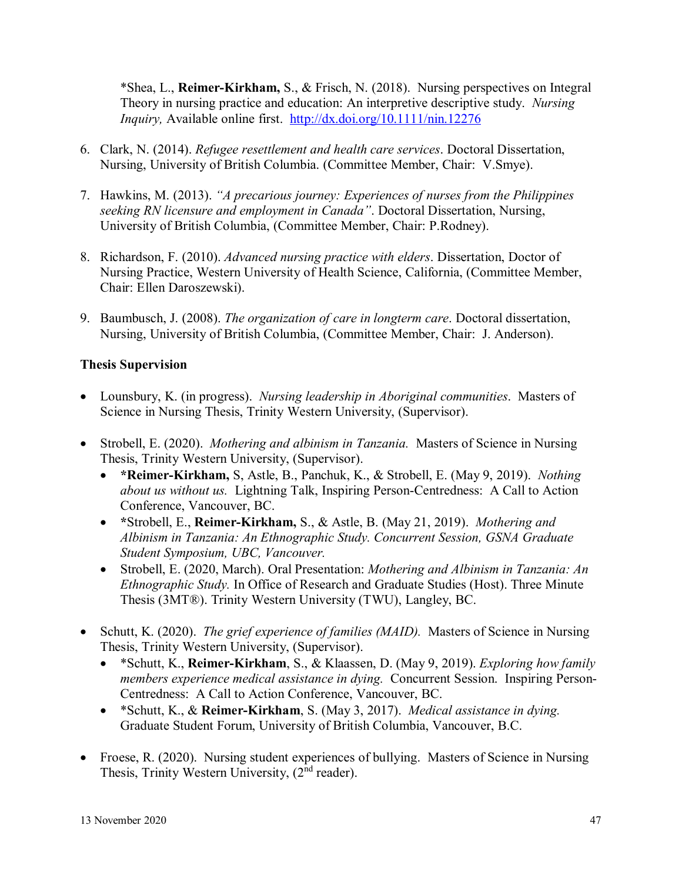\*Shea, L., **Reimer-Kirkham,** S., & Frisch, N. (2018). Nursing perspectives on Integral Theory in nursing practice and education: An interpretive descriptive study. *Nursing Inquiry,* Available online first. <http://dx.doi.org/10.1111/nin.12276>

- 6. Clark, N. (2014). *Refugee resettlement and health care services*. Doctoral Dissertation, Nursing, University of British Columbia. (Committee Member, Chair: V.Smye).
- 7. Hawkins, M. (2013). *"A precarious journey: Experiences of nurses from the Philippines seeking RN licensure and employment in Canada"*. Doctoral Dissertation, Nursing, University of British Columbia, (Committee Member, Chair: P.Rodney).
- 8. Richardson, F. (2010). *Advanced nursing practice with elders*. Dissertation, Doctor of Nursing Practice, Western University of Health Science, California, (Committee Member, Chair: Ellen Daroszewski).
- 9. Baumbusch, J. (2008). *The organization of care in longterm care*. Doctoral dissertation, Nursing, University of British Columbia, (Committee Member, Chair: J. Anderson).

# **Thesis Supervision**

- Lounsbury, K. (in progress). *Nursing leadership in Aboriginal communities*. Masters of Science in Nursing Thesis, Trinity Western University, (Supervisor).
- Strobell, E. (2020). *Mothering and albinism in Tanzania.* Masters of Science in Nursing Thesis, Trinity Western University, (Supervisor).
	- **\*Reimer-Kirkham,** S, Astle, B., Panchuk, K., & Strobell, E. (May 9, 2019). *Nothing about us without us.*Lightning Talk, Inspiring Person-Centredness: A Call to Action Conference, Vancouver, BC.
	- **\***Strobell, E., **Reimer-Kirkham,** S., & Astle, B. (May 21, 2019). *Mothering and Albinism in Tanzania: An Ethnographic Study. Concurrent Session, GSNA Graduate Student Symposium, UBC, Vancouver.*
	- Strobell, E. (2020, March). Oral Presentation: *Mothering and Albinism in Tanzania: An Ethnographic Study.* In Office of Research and Graduate Studies (Host). Three Minute Thesis (3MT®). Trinity Western University (TWU), Langley, BC.
- Schutt, K. (2020). *The grief experience of families (MAID).* Masters of Science in Nursing Thesis, Trinity Western University, (Supervisor).
	- \*Schutt, K., **Reimer-Kirkham**, S., & Klaassen, D. (May 9, 2019). *Exploring how family members experience medical assistance in dying.* Concurrent Session. Inspiring Person-Centredness: A Call to Action Conference, Vancouver, BC.
	- \*Schutt, K., & **Reimer-Kirkham**, S. (May 3, 2017). *Medical assistance in dying.*  Graduate Student Forum, University of British Columbia, Vancouver, B.C.
- Froese, R. (2020). Nursing student experiences of bullying. Masters of Science in Nursing Thesis, Trinity Western University, (2<sup>nd</sup> reader).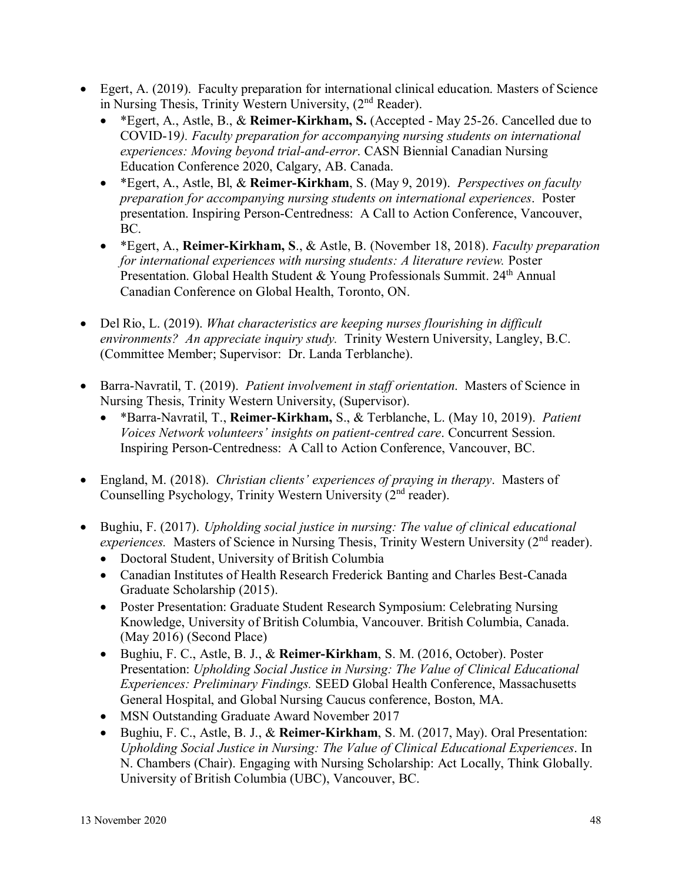- Egert, A. (2019). Faculty preparation for international clinical education. Masters of Science in Nursing Thesis, Trinity Western University, (2<sup>nd</sup> Reader).
	- \*Egert, A., Astle, B., & **Reimer-Kirkham, S.** (Accepted May 25-26. Cancelled due to COVID-19*). Faculty preparation for accompanying nursing students on international experiences: Moving beyond trial-and-error*. CASN Biennial Canadian Nursing Education Conference 2020, Calgary, AB. Canada.
	- \*Egert, A., Astle, Bl, & **Reimer-Kirkham**, S. (May 9, 2019). *Perspectives on faculty preparation for accompanying nursing students on international experiences*. Poster presentation. Inspiring Person-Centredness: A Call to Action Conference, Vancouver, BC.
	- \*Egert, A., **Reimer-Kirkham, S**., & Astle, B. (November 18, 2018). *Faculty preparation for international experiences with nursing students: A literature review. Poster* Presentation. Global Health Student & Young Professionals Summit. 24<sup>th</sup> Annual Canadian Conference on Global Health, Toronto, ON.
- Del Rio, L. (2019). *What characteristics are keeping nurses flourishing in difficult environments? An appreciate inquiry study.* Trinity Western University, Langley, B.C. (Committee Member; Supervisor: Dr. Landa Terblanche).
- Barra-Navratil, T. (2019). *Patient involvement in staff orientation*. Masters of Science in Nursing Thesis, Trinity Western University, (Supervisor).
	- \*Barra-Navratil, T., **Reimer-Kirkham,** S., & Terblanche, L. (May 10, 2019). *Patient Voices Network volunteers' insights on patient-centred care*. Concurrent Session. Inspiring Person-Centredness: A Call to Action Conference, Vancouver, BC.
- England, M. (2018). *Christian clients' experiences of praying in therapy*. Masters of Counselling Psychology, Trinity Western University (2<sup>nd</sup> reader).
- Bughiu, F. (2017). *Upholding social justice in nursing: The value of clinical educational experiences.* Masters of Science in Nursing Thesis, Trinity Western University (2<sup>nd</sup> reader).
	- Doctoral Student, University of British Columbia
	- Canadian Institutes of Health Research Frederick Banting and Charles Best-Canada Graduate Scholarship (2015).
	- Poster Presentation: Graduate Student Research Symposium: Celebrating Nursing Knowledge, University of British Columbia, Vancouver. British Columbia, Canada. (May 2016) (Second Place)
	- Bughiu, F. C., Astle, B. J., & **Reimer-Kirkham**, S. M. (2016, October). Poster Presentation: *Upholding Social Justice in Nursing: The Value of Clinical Educational Experiences: Preliminary Findings.* SEED Global Health Conference, Massachusetts General Hospital, and Global Nursing Caucus conference, Boston, MA.
	- MSN Outstanding Graduate Award November 2017
	- Bughiu, F. C., Astle, B. J., & **Reimer-Kirkham**, S. M. (2017, May). Oral Presentation: *Upholding Social Justice in Nursing: The Value of Clinical Educational Experiences*. In N. Chambers (Chair). Engaging with Nursing Scholarship: Act Locally, Think Globally. University of British Columbia (UBC), Vancouver, BC.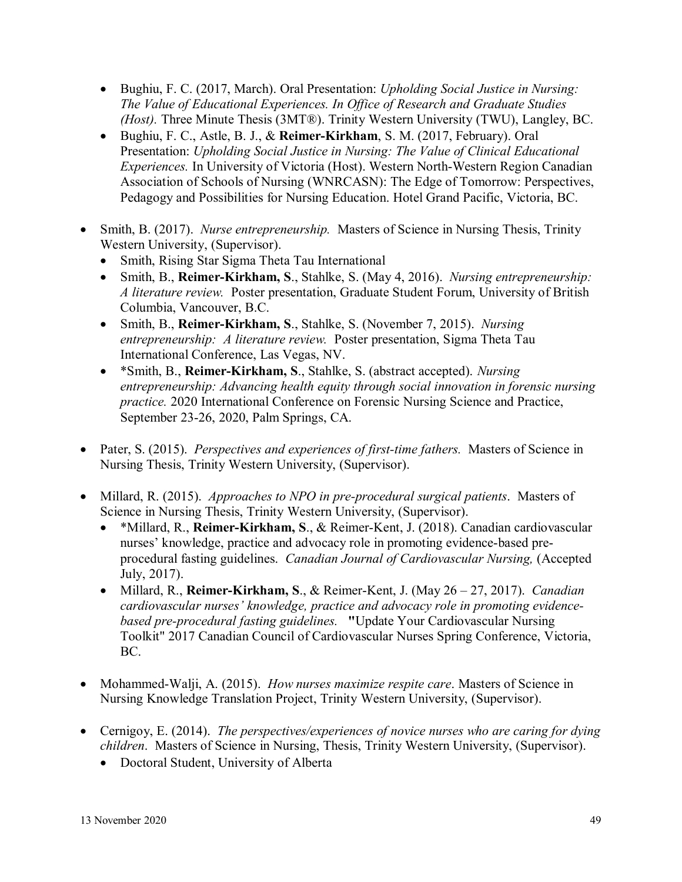- Bughiu, F. C. (2017, March). Oral Presentation: *Upholding Social Justice in Nursing: The Value of Educational Experiences. In Office of Research and Graduate Studies (Host).* Three Minute Thesis (3MT®). Trinity Western University (TWU), Langley, BC.
- Bughiu, F. C., Astle, B. J., & **Reimer-Kirkham**, S. M. (2017, February). Oral Presentation: *Upholding Social Justice in Nursing: The Value of Clinical Educational Experiences.* In University of Victoria (Host). Western North-Western Region Canadian Association of Schools of Nursing (WNRCASN): The Edge of Tomorrow: Perspectives, Pedagogy and Possibilities for Nursing Education. Hotel Grand Pacific, Victoria, BC.
- Smith, B. (2017). *Nurse entrepreneurship.* Masters of Science in Nursing Thesis, Trinity Western University, (Supervisor).
	- Smith, Rising Star Sigma Theta Tau International
	- Smith, B., **Reimer-Kirkham, S**., Stahlke, S. (May 4, 2016). *Nursing entrepreneurship: A literature review.* Poster presentation, Graduate Student Forum, University of British Columbia, Vancouver, B.C.
	- Smith, B., **Reimer-Kirkham, S**., Stahlke, S. (November 7, 2015). *Nursing entrepreneurship: A literature review.* Poster presentation, Sigma Theta Tau International Conference, Las Vegas, NV.
	- \*Smith, B., **Reimer-Kirkham, S**., Stahlke, S. (abstract accepted). *Nursing entrepreneurship: Advancing health equity through social innovation in forensic nursing practice.* 2020 International Conference on Forensic Nursing Science and Practice, September 23-26, 2020, Palm Springs, CA.
- Pater, S. (2015). *Perspectives and experiences of first-time fathers.* Masters of Science in Nursing Thesis, Trinity Western University, (Supervisor).
- Millard, R. (2015). *Approaches to NPO in pre-procedural surgical patients*. Masters of Science in Nursing Thesis, Trinity Western University, (Supervisor).
	- \*Millard, R., **Reimer-Kirkham, S**., & Reimer-Kent, J. (2018). Canadian cardiovascular nurses' knowledge, practice and advocacy role in promoting evidence-based preprocedural fasting guidelines. *Canadian Journal of Cardiovascular Nursing,* (Accepted July, 2017).
	- Millard, R., **Reimer-Kirkham, S**., & Reimer-Kent, J. (May 26 27, 2017). *Canadian cardiovascular nurses' knowledge, practice and advocacy role in promoting evidencebased pre-procedural fasting guidelines.* **"**Update Your Cardiovascular Nursing Toolkit" 2017 Canadian Council of Cardiovascular Nurses Spring Conference, Victoria, BC.
- Mohammed-Walji, A. (2015). *How nurses maximize respite care*. Masters of Science in Nursing Knowledge Translation Project, Trinity Western University, (Supervisor).
- Cernigoy, E. (2014). *The perspectives/experiences of novice nurses who are caring for dying children*. Masters of Science in Nursing, Thesis, Trinity Western University, (Supervisor).
	- Doctoral Student, University of Alberta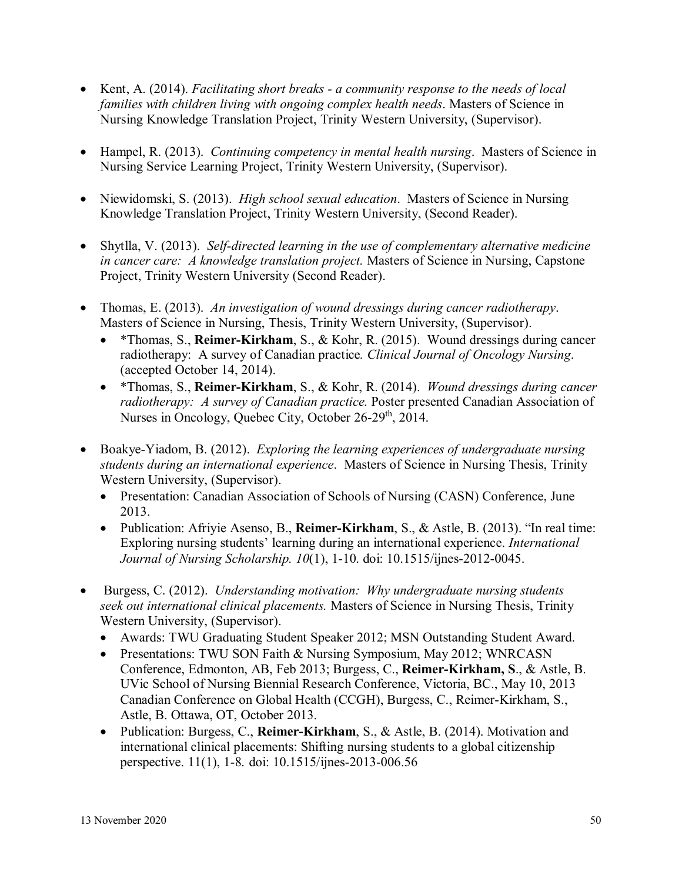- Kent, A. (2014). *Facilitating short breaks - a community response to the needs of local families with children living with ongoing complex health needs*. Masters of Science in Nursing Knowledge Translation Project, Trinity Western University, (Supervisor).
- Hampel, R. (2013). *Continuing competency in mental health nursing*. Masters of Science in Nursing Service Learning Project, Trinity Western University, (Supervisor).
- Niewidomski, S. (2013). *High school sexual education*. Masters of Science in Nursing Knowledge Translation Project, Trinity Western University, (Second Reader).
- Shytlla, V. (2013). *Self-directed learning in the use of complementary alternative medicine in cancer care: A knowledge translation project.* Masters of Science in Nursing, Capstone Project, Trinity Western University (Second Reader).
- Thomas, E. (2013). *An investigation of wound dressings during cancer radiotherapy*. Masters of Science in Nursing, Thesis, Trinity Western University, (Supervisor).
	- \*Thomas, S., **Reimer-Kirkham**, S., & Kohr, R. (2015). Wound dressings during cancer radiotherapy: A survey of Canadian practice*. Clinical Journal of Oncology Nursing*. (accepted October 14, 2014).
	- \*Thomas, S., **Reimer-Kirkham**, S., & Kohr, R. (2014). *Wound dressings during cancer radiotherapy: A survey of Canadian practice.* Poster presented Canadian Association of Nurses in Oncology, Ouebec City, October 26-29<sup>th</sup>, 2014.
- Boakye-Yiadom, B. (2012). *Exploring the learning experiences of undergraduate nursing students during an international experience*. Masters of Science in Nursing Thesis, Trinity Western University, (Supervisor).
	- Presentation: Canadian Association of Schools of Nursing (CASN) Conference, June 2013.
	- Publication: Afriyie Asenso, B., **Reimer-Kirkham**, S., & Astle, B. (2013). "In real time: Exploring nursing students' learning during an international experience. *International Journal of Nursing Scholarship. 10*(1), 1-10. doi: 10.1515/ijnes-2012-0045.
- Burgess, C. (2012). *Understanding motivation: Why undergraduate nursing students seek out international clinical placements.* Masters of Science in Nursing Thesis, Trinity Western University, (Supervisor).
	- Awards: TWU Graduating Student Speaker 2012; MSN Outstanding Student Award.
	- Presentations: TWU SON Faith & Nursing Symposium, May 2012; WNRCASN Conference, Edmonton, AB, Feb 2013; Burgess, C., **Reimer-Kirkham, S**., & Astle, B. UVic School of Nursing Biennial Research Conference, Victoria, BC., May 10, 2013 Canadian Conference on Global Health (CCGH), Burgess, C., Reimer-Kirkham, S., Astle, B. Ottawa, OT, October 2013.
	- Publication: Burgess, C., **Reimer-Kirkham**, S., & Astle, B. (2014). Motivation and international clinical placements: Shifting nursing students to a global citizenship perspective. 11(1), 1-8. doi: 10.1515/ijnes-2013-006.56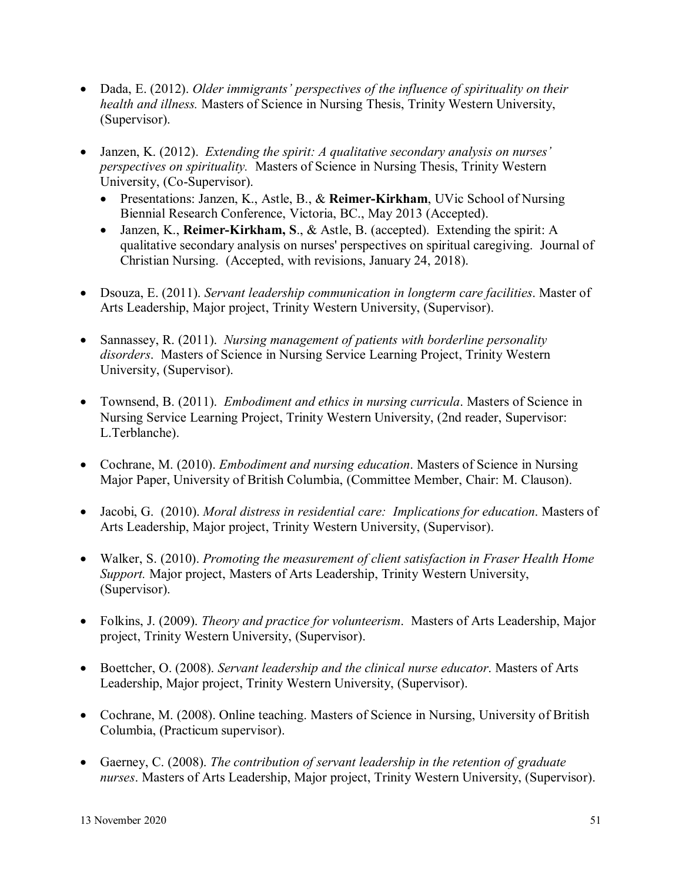- Dada, E. (2012). *Older immigrants' perspectives of the influence of spirituality on their health and illness.* Masters of Science in Nursing Thesis, Trinity Western University, (Supervisor).
- Janzen, K. (2012). *Extending the spirit: A qualitative secondary analysis on nurses' perspectives on spirituality.* Masters of Science in Nursing Thesis, Trinity Western University, (Co-Supervisor).
	- Presentations: Janzen, K., Astle, B., & **Reimer-Kirkham**, UVic School of Nursing Biennial Research Conference, Victoria, BC., May 2013 (Accepted).
	- Janzen, K., **Reimer-Kirkham, S**., & Astle, B. (accepted). Extending the spirit: A qualitative secondary analysis on nurses' perspectives on spiritual caregiving. Journal of Christian Nursing. (Accepted, with revisions, January 24, 2018).
- Dsouza, E. (2011). *Servant leadership communication in longterm care facilities*. Master of Arts Leadership, Major project, Trinity Western University, (Supervisor).
- Sannassey, R. (2011). *Nursing management of patients with borderline personality disorders*. Masters of Science in Nursing Service Learning Project, Trinity Western University, (Supervisor).
- Townsend, B. (2011). *Embodiment and ethics in nursing curricula*. Masters of Science in Nursing Service Learning Project, Trinity Western University, (2nd reader, Supervisor: L.Terblanche).
- Cochrane, M. (2010). *Embodiment and nursing education*. Masters of Science in Nursing Major Paper, University of British Columbia, (Committee Member, Chair: M. Clauson).
- Jacobi, G. (2010). *Moral distress in residential care: Implications for education*. Masters of Arts Leadership, Major project, Trinity Western University, (Supervisor).
- Walker, S. (2010). *Promoting the measurement of client satisfaction in Fraser Health Home Support.* Major project, Masters of Arts Leadership, Trinity Western University, (Supervisor).
- Folkins, J. (2009). *Theory and practice for volunteerism*. Masters of Arts Leadership, Major project, Trinity Western University, (Supervisor).
- Boettcher, O. (2008). *Servant leadership and the clinical nurse educator*. Masters of Arts Leadership, Major project, Trinity Western University, (Supervisor).
- Cochrane, M. (2008). Online teaching. Masters of Science in Nursing, University of British Columbia, (Practicum supervisor).
- Gaerney, C. (2008). *The contribution of servant leadership in the retention of graduate nurses*. Masters of Arts Leadership, Major project, Trinity Western University, (Supervisor).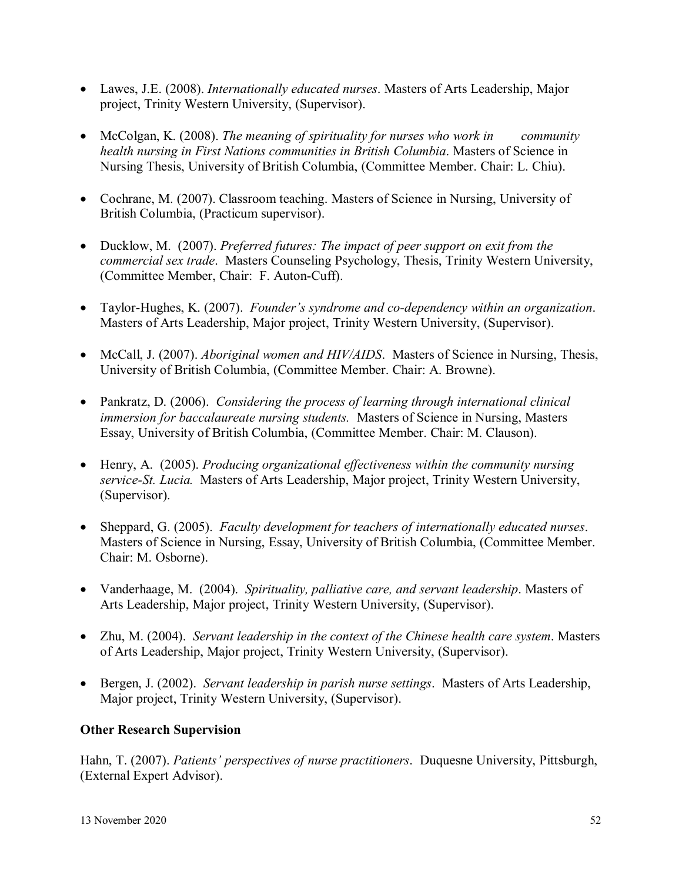- Lawes, J.E. (2008). *Internationally educated nurses*. Masters of Arts Leadership, Major project, Trinity Western University, (Supervisor).
- McColgan, K. (2008). *The meaning of spirituality for nurses who work in community health nursing in First Nations communities in British Columbia*. Masters of Science in Nursing Thesis, University of British Columbia, (Committee Member. Chair: L. Chiu).
- Cochrane, M. (2007). Classroom teaching. Masters of Science in Nursing, University of British Columbia, (Practicum supervisor).
- Ducklow, M. (2007). *Preferred futures: The impact of peer support on exit from the commercial sex trade*. Masters Counseling Psychology, Thesis, Trinity Western University, (Committee Member, Chair: F. Auton-Cuff).
- Taylor-Hughes, K. (2007). *Founder's syndrome and co-dependency within an organization*. Masters of Arts Leadership, Major project, Trinity Western University, (Supervisor).
- McCall, J. (2007). *Aboriginal women and HIV/AIDS*. Masters of Science in Nursing, Thesis, University of British Columbia, (Committee Member. Chair: A. Browne).
- Pankratz, D. (2006). *Considering the process of learning through international clinical immersion for baccalaureate nursing students.* Masters of Science in Nursing, Masters Essay, University of British Columbia, (Committee Member. Chair: M. Clauson).
- Henry, A. (2005). *Producing organizational effectiveness within the community nursing service-St. Lucia.* Masters of Arts Leadership, Major project, Trinity Western University, (Supervisor).
- Sheppard, G. (2005). *Faculty development for teachers of internationally educated nurses*. Masters of Science in Nursing, Essay, University of British Columbia, (Committee Member. Chair: M. Osborne).
- Vanderhaage, M. (2004). *Spirituality, palliative care, and servant leadership*. Masters of Arts Leadership, Major project, Trinity Western University, (Supervisor).
- Zhu, M. (2004). *Servant leadership in the context of the Chinese health care system*. Masters of Arts Leadership, Major project, Trinity Western University, (Supervisor).
- Bergen, J. (2002). *Servant leadership in parish nurse settings*. Masters of Arts Leadership, Major project, Trinity Western University, (Supervisor).

# **Other Research Supervision**

Hahn, T. (2007). *Patients' perspectives of nurse practitioners*. Duquesne University, Pittsburgh, (External Expert Advisor).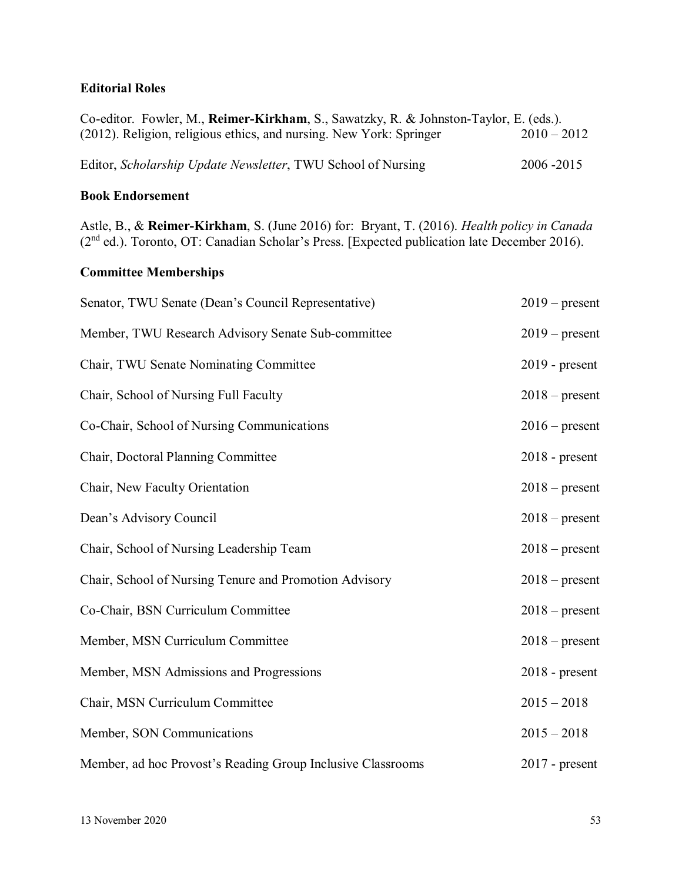## **Editorial Roles**

| Co-editor. Fowler, M., Reimer-Kirkham, S., Sawatzky, R. & Johnston-Taylor, E. (eds.). |               |
|---------------------------------------------------------------------------------------|---------------|
| (2012). Religion, religious ethics, and nursing. New York: Springer                   | $2010 - 2012$ |
| Editor, Scholarship Update Newsletter, TWU School of Nursing                          | 2006 - 2015   |

#### **Book Endorsement**

Astle, B., & **Reimer-Kirkham**, S. (June 2016) for: Bryant, T. (2016). *Health policy in Canada*  (2<sup>nd</sup> ed.). Toronto, OT: Canadian Scholar's Press. [Expected publication late December 2016).

# **Committee Memberships**

| Senator, TWU Senate (Dean's Council Representative)         | $2019$ – present |
|-------------------------------------------------------------|------------------|
| Member, TWU Research Advisory Senate Sub-committee          | $2019$ – present |
| Chair, TWU Senate Nominating Committee                      | $2019$ - present |
| Chair, School of Nursing Full Faculty                       | $2018$ – present |
| Co-Chair, School of Nursing Communications                  | $2016$ – present |
| Chair, Doctoral Planning Committee                          | 2018 - present   |
| Chair, New Faculty Orientation                              | $2018$ – present |
| Dean's Advisory Council                                     | $2018$ – present |
| Chair, School of Nursing Leadership Team                    | $2018$ – present |
| Chair, School of Nursing Tenure and Promotion Advisory      | $2018$ – present |
| Co-Chair, BSN Curriculum Committee                          | $2018$ – present |
| Member, MSN Curriculum Committee                            | $2018$ – present |
| Member, MSN Admissions and Progressions                     | $2018$ - present |
| Chair, MSN Curriculum Committee                             | $2015 - 2018$    |
| Member, SON Communications                                  | $2015 - 2018$    |
| Member, ad hoc Provost's Reading Group Inclusive Classrooms | $2017$ - present |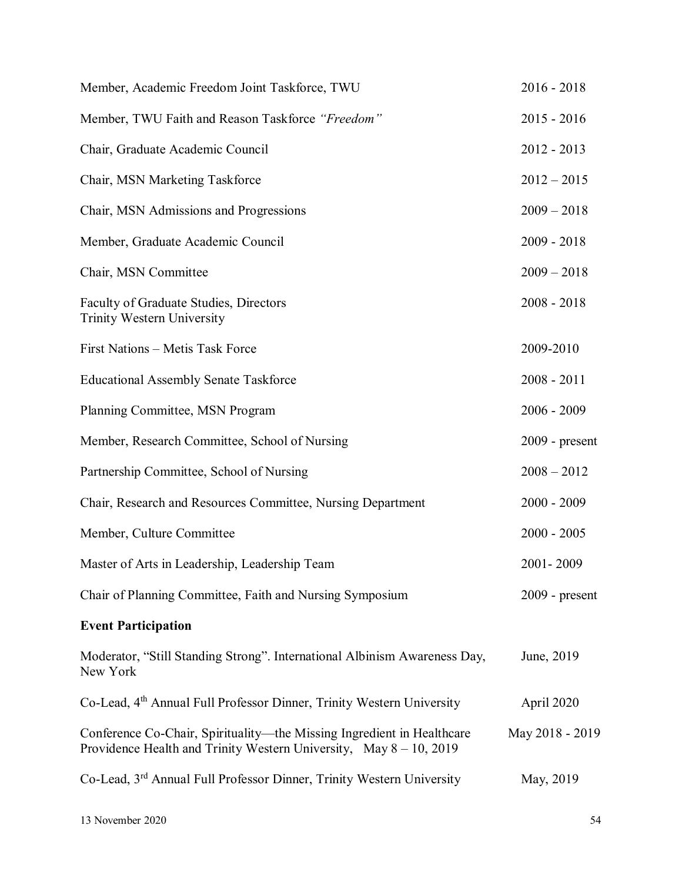| Member, Academic Freedom Joint Taskforce, TWU                                                                                                   | $2016 - 2018$    |
|-------------------------------------------------------------------------------------------------------------------------------------------------|------------------|
| Member, TWU Faith and Reason Taskforce "Freedom"                                                                                                | $2015 - 2016$    |
| Chair, Graduate Academic Council                                                                                                                | $2012 - 2013$    |
| Chair, MSN Marketing Taskforce                                                                                                                  | $2012 - 2015$    |
| Chair, MSN Admissions and Progressions                                                                                                          | $2009 - 2018$    |
| Member, Graduate Academic Council                                                                                                               | $2009 - 2018$    |
| Chair, MSN Committee                                                                                                                            | $2009 - 2018$    |
| Faculty of Graduate Studies, Directors<br><b>Trinity Western University</b>                                                                     | $2008 - 2018$    |
| First Nations - Metis Task Force                                                                                                                | 2009-2010        |
| <b>Educational Assembly Senate Taskforce</b>                                                                                                    | $2008 - 2011$    |
| Planning Committee, MSN Program                                                                                                                 | $2006 - 2009$    |
| Member, Research Committee, School of Nursing                                                                                                   | $2009$ - present |
| Partnership Committee, School of Nursing                                                                                                        | $2008 - 2012$    |
| Chair, Research and Resources Committee, Nursing Department                                                                                     | $2000 - 2009$    |
| Member, Culture Committee                                                                                                                       | $2000 - 2005$    |
| Master of Arts in Leadership, Leadership Team                                                                                                   | 2001-2009        |
| Chair of Planning Committee, Faith and Nursing Symposium                                                                                        | $2009$ - present |
| <b>Event Participation</b>                                                                                                                      |                  |
| Moderator, "Still Standing Strong". International Albinism Awareness Day,<br>New York                                                           | June, 2019       |
| Co-Lead, 4 <sup>th</sup> Annual Full Professor Dinner, Trinity Western University                                                               | April 2020       |
| Conference Co-Chair, Spirituality-the Missing Ingredient in Healthcare<br>Providence Health and Trinity Western University, May $8 - 10$ , 2019 | May 2018 - 2019  |
| Co-Lead, 3 <sup>rd</sup> Annual Full Professor Dinner, Trinity Western University                                                               | May, 2019        |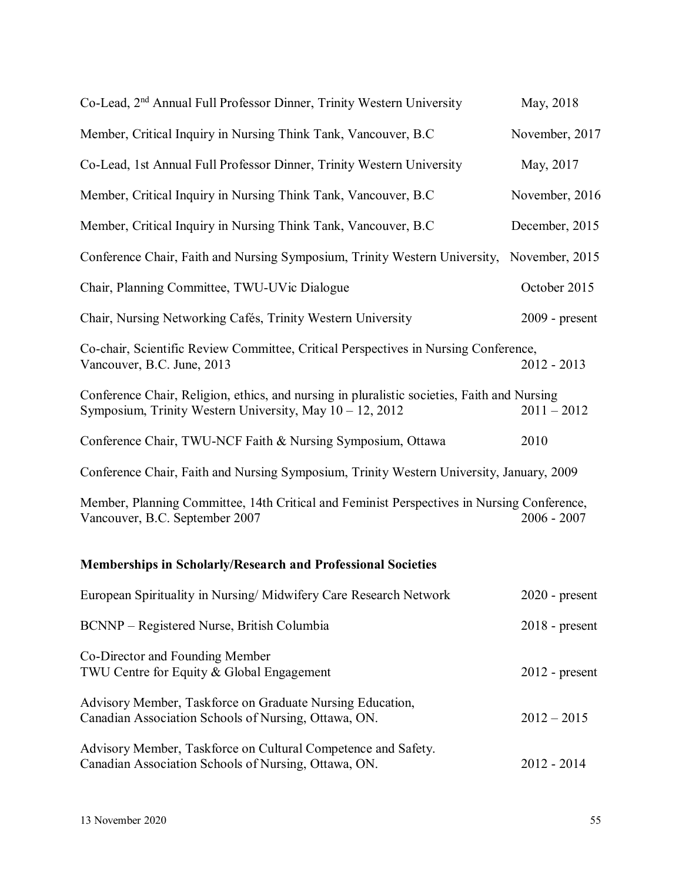| Co-Lead, 2 <sup>nd</sup> Annual Full Professor Dinner, Trinity Western University                                                                       | May, 2018        |
|---------------------------------------------------------------------------------------------------------------------------------------------------------|------------------|
| Member, Critical Inquiry in Nursing Think Tank, Vancouver, B.C.                                                                                         | November, 2017   |
| Co-Lead, 1st Annual Full Professor Dinner, Trinity Western University                                                                                   | May, 2017        |
| Member, Critical Inquiry in Nursing Think Tank, Vancouver, B.C.                                                                                         | November, 2016   |
| Member, Critical Inquiry in Nursing Think Tank, Vancouver, B.C.                                                                                         | December, 2015   |
| Conference Chair, Faith and Nursing Symposium, Trinity Western University, November, 2015                                                               |                  |
| Chair, Planning Committee, TWU-UVic Dialogue                                                                                                            | October 2015     |
| Chair, Nursing Networking Cafés, Trinity Western University                                                                                             | $2009$ - present |
| Co-chair, Scientific Review Committee, Critical Perspectives in Nursing Conference,<br>Vancouver, B.C. June, 2013                                       | 2012 - 2013      |
| Conference Chair, Religion, ethics, and nursing in pluralistic societies, Faith and Nursing<br>Symposium, Trinity Western University, May 10 – 12, 2012 | $2011 - 2012$    |
| Conference Chair, TWU-NCF Faith & Nursing Symposium, Ottawa                                                                                             | 2010             |
| Conference Chair, Faith and Nursing Symposium, Trinity Western University, January, 2009                                                                |                  |
| Member, Planning Committee, 14th Critical and Feminist Perspectives in Nursing Conference,<br>Vancouver, B.C. September 2007                            | $2006 - 2007$    |
| <b>Memberships in Scholarly/Research and Professional Societies</b>                                                                                     |                  |
| European Spirituality in Nursing/ Midwifery Care Research Network                                                                                       | $2020$ - present |
| BCNNP – Registered Nurse, British Columbia                                                                                                              | $2018$ - present |
| Co-Director and Founding Member<br>TWU Centre for Equity & Global Engagement                                                                            | $2012$ - present |
| Advisory Member, Taskforce on Graduate Nursing Education,<br>Canadian Association Schools of Nursing, Ottawa, ON.                                       | $2012 - 2015$    |
| Advisory Member, Taskforce on Cultural Competence and Safety.<br>Canadian Association Schools of Nursing, Ottawa, ON.                                   | $2012 - 2014$    |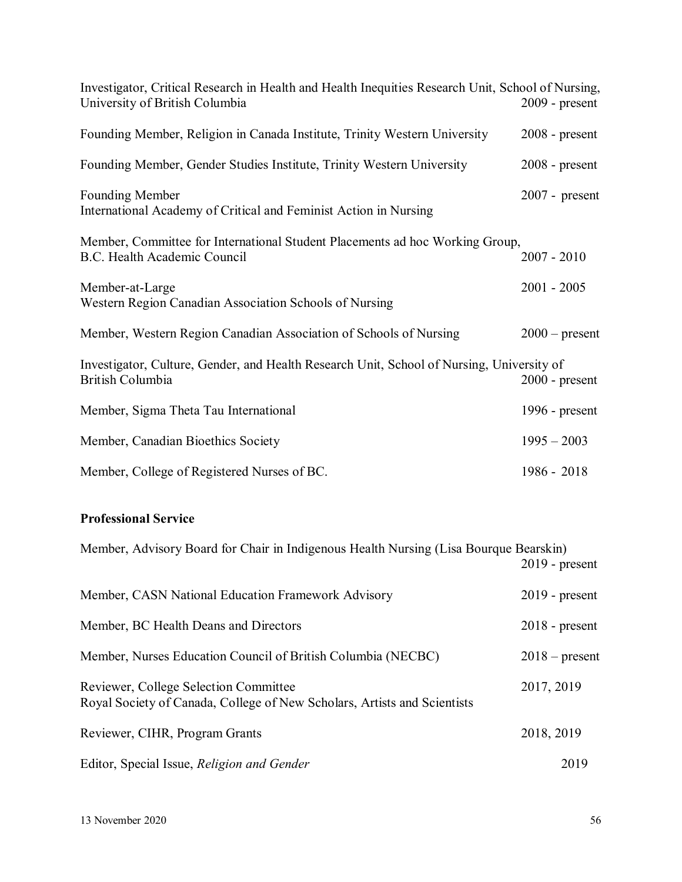| Investigator, Critical Research in Health and Health Inequities Research Unit, School of Nursing,<br>University of British Columbia | $2009$ - present |
|-------------------------------------------------------------------------------------------------------------------------------------|------------------|
| Founding Member, Religion in Canada Institute, Trinity Western University                                                           | $2008$ - present |
| Founding Member, Gender Studies Institute, Trinity Western University                                                               | $2008$ - present |
| <b>Founding Member</b><br>International Academy of Critical and Feminist Action in Nursing                                          | $2007$ - present |
| Member, Committee for International Student Placements ad hoc Working Group,<br>B.C. Health Academic Council                        | $2007 - 2010$    |
| Member-at-Large<br>Western Region Canadian Association Schools of Nursing                                                           | $2001 - 2005$    |
| Member, Western Region Canadian Association of Schools of Nursing                                                                   | $2000$ – present |
| Investigator, Culture, Gender, and Health Research Unit, School of Nursing, University of<br>British Columbia                       | $2000$ - present |
| Member, Sigma Theta Tau International                                                                                               | 1996 - $present$ |
| Member, Canadian Bioethics Society                                                                                                  | $1995 - 2003$    |
| Member, College of Registered Nurses of BC.                                                                                         | 1986 - 2018      |

# **Professional Service**

| Member, Advisory Board for Chair in Indigenous Health Nursing (Lisa Bourque Bearskin)                             | $2019$ - present |
|-------------------------------------------------------------------------------------------------------------------|------------------|
| Member, CASN National Education Framework Advisory                                                                | $2019$ - present |
| Member, BC Health Deans and Directors                                                                             | $2018$ - present |
| Member, Nurses Education Council of British Columbia (NECBC)                                                      | $2018$ – present |
| Reviewer, College Selection Committee<br>Royal Society of Canada, College of New Scholars, Artists and Scientists | 2017, 2019       |
| Reviewer, CIHR, Program Grants                                                                                    | 2018, 2019       |
| Editor, Special Issue, Religion and Gender                                                                        | 2019             |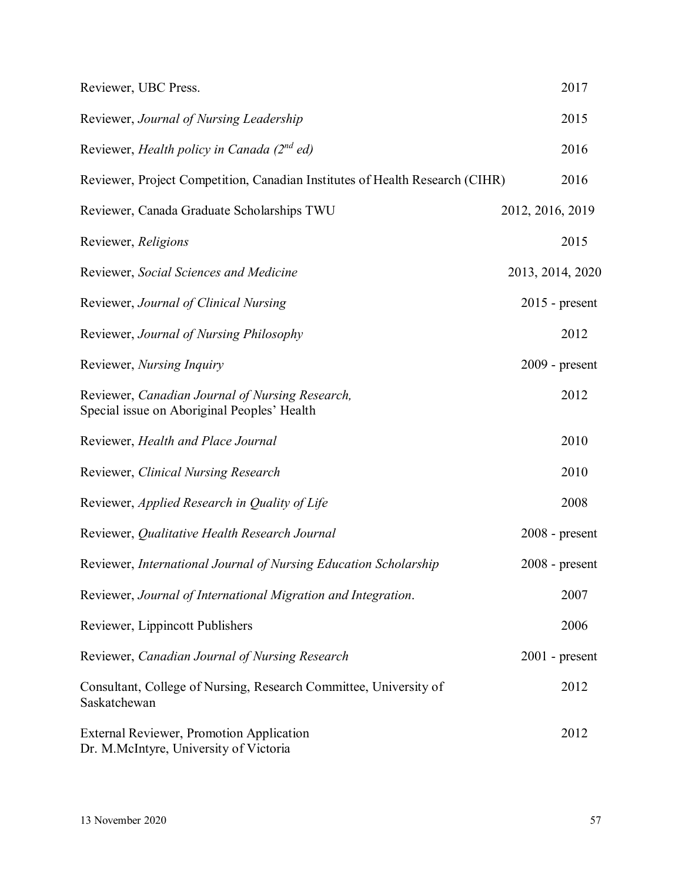| Reviewer, UBC Press.                                                                           | 2017             |
|------------------------------------------------------------------------------------------------|------------------|
| Reviewer, Journal of Nursing Leadership                                                        | 2015             |
| Reviewer, Health policy in Canada $(2^{nd}$ ed)                                                | 2016             |
| Reviewer, Project Competition, Canadian Institutes of Health Research (CIHR)                   | 2016             |
| Reviewer, Canada Graduate Scholarships TWU                                                     | 2012, 2016, 2019 |
| Reviewer, Religions                                                                            | 2015             |
| Reviewer, Social Sciences and Medicine                                                         | 2013, 2014, 2020 |
| Reviewer, Journal of Clinical Nursing                                                          | $2015$ - present |
| Reviewer, Journal of Nursing Philosophy                                                        | 2012             |
| Reviewer, <i>Nursing Inquiry</i>                                                               | $2009$ - present |
| Reviewer, Canadian Journal of Nursing Research,<br>Special issue on Aboriginal Peoples' Health | 2012             |
| Reviewer, Health and Place Journal                                                             | 2010             |
| Reviewer, Clinical Nursing Research                                                            | 2010             |
| Reviewer, Applied Research in Quality of Life                                                  | 2008             |
| Reviewer, Qualitative Health Research Journal                                                  | $2008$ - present |
| Reviewer, International Journal of Nursing Education Scholarship                               | $2008$ - present |
| Reviewer, Journal of International Migration and Integration.                                  | 2007             |
| Reviewer, Lippincott Publishers                                                                | 2006             |
| Reviewer, Canadian Journal of Nursing Research                                                 | $2001$ - present |
| Consultant, College of Nursing, Research Committee, University of<br>Saskatchewan              | 2012             |
| <b>External Reviewer, Promotion Application</b><br>Dr. M.McIntyre, University of Victoria      | 2012             |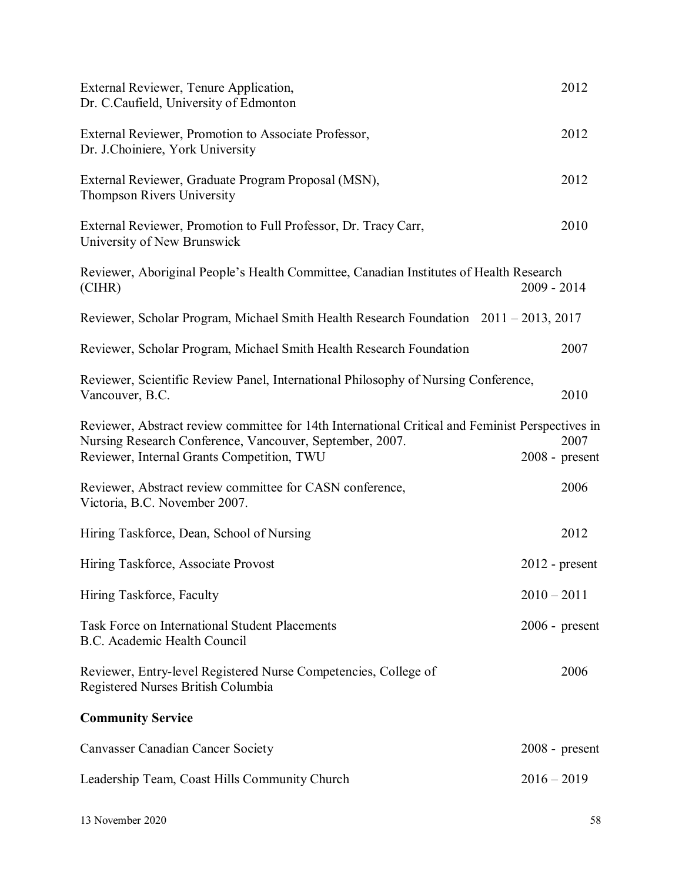| External Reviewer, Tenure Application,<br>Dr. C.Caufield, University of Edmonton                                                                                                                           | 2012                     |
|------------------------------------------------------------------------------------------------------------------------------------------------------------------------------------------------------------|--------------------------|
| External Reviewer, Promotion to Associate Professor,<br>Dr. J.Choiniere, York University                                                                                                                   | 2012                     |
| External Reviewer, Graduate Program Proposal (MSN),<br>Thompson Rivers University                                                                                                                          | 2012                     |
| External Reviewer, Promotion to Full Professor, Dr. Tracy Carr,<br>University of New Brunswick                                                                                                             | 2010                     |
| Reviewer, Aboriginal People's Health Committee, Canadian Institutes of Health Research<br>(CIHR)                                                                                                           | $2009 - 2014$            |
| Reviewer, Scholar Program, Michael Smith Health Research Foundation 2011 – 2013, 2017                                                                                                                      |                          |
| Reviewer, Scholar Program, Michael Smith Health Research Foundation                                                                                                                                        | 2007                     |
| Reviewer, Scientific Review Panel, International Philosophy of Nursing Conference,<br>Vancouver, B.C.                                                                                                      | 2010                     |
| Reviewer, Abstract review committee for 14th International Critical and Feminist Perspectives in<br>Nursing Research Conference, Vancouver, September, 2007.<br>Reviewer, Internal Grants Competition, TWU | 2007<br>$2008$ - present |
| Reviewer, Abstract review committee for CASN conference,<br>Victoria, B.C. November 2007.                                                                                                                  | 2006                     |
| Hiring Taskforce, Dean, School of Nursing                                                                                                                                                                  | 2012                     |
| Hiring Taskforce, Associate Provost                                                                                                                                                                        | $2012$ - present         |
| Hiring Taskforce, Faculty                                                                                                                                                                                  | $2010 - 2011$            |
| <b>Task Force on International Student Placements</b><br>B.C. Academic Health Council                                                                                                                      | $2006$ - present         |
| Reviewer, Entry-level Registered Nurse Competencies, College of<br>Registered Nurses British Columbia                                                                                                      | 2006                     |
| <b>Community Service</b>                                                                                                                                                                                   |                          |
| <b>Canvasser Canadian Cancer Society</b>                                                                                                                                                                   | $2008$ - present         |
| Leadership Team, Coast Hills Community Church                                                                                                                                                              | $2016 - 2019$            |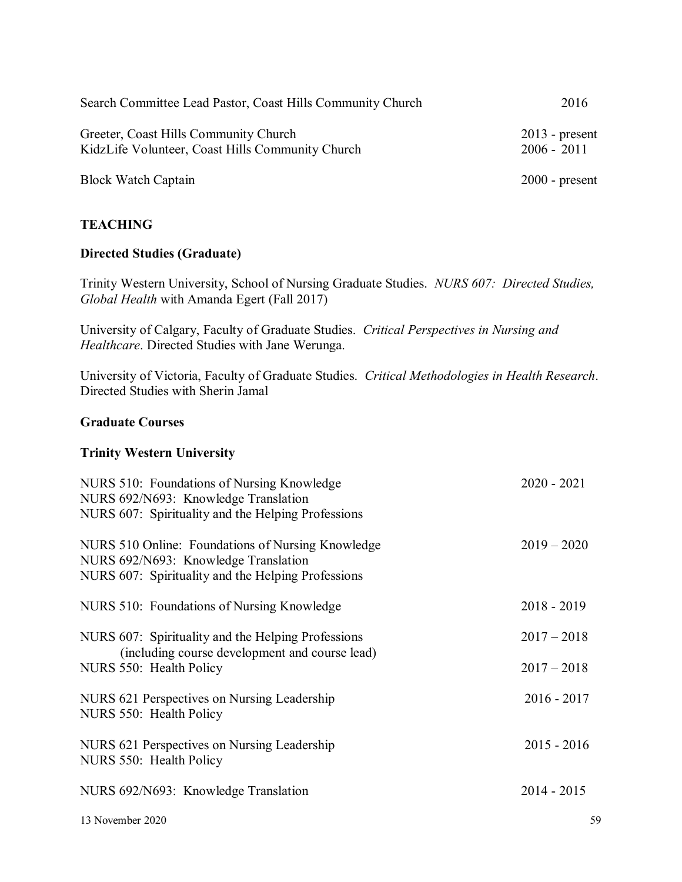| Search Committee Lead Pastor, Coast Hills Community Church                                | 2016                              |
|-------------------------------------------------------------------------------------------|-----------------------------------|
| Greeter, Coast Hills Community Church<br>KidzLife Volunteer, Coast Hills Community Church | $2013$ - present<br>$2006 - 2011$ |
| <b>Block Watch Captain</b>                                                                | $2000$ - present                  |

# **TEACHING**

# **Directed Studies (Graduate)**

Trinity Western University, School of Nursing Graduate Studies. *NURS 607: Directed Studies, Global Health* with Amanda Egert (Fall 2017)

University of Calgary, Faculty of Graduate Studies. *Critical Perspectives in Nursing and Healthcare*. Directed Studies with Jane Werunga.

University of Victoria, Faculty of Graduate Studies. *Critical Methodologies in Health Research*. Directed Studies with Sherin Jamal

## **Graduate Courses**

#### **Trinity Western University**

| NURS 510: Foundations of Nursing Knowledge<br>NURS 692/N693: Knowledge Translation<br>NURS 607: Spirituality and the Helping Professions        | $2020 - 2021$ |
|-------------------------------------------------------------------------------------------------------------------------------------------------|---------------|
| NURS 510 Online: Foundations of Nursing Knowledge<br>NURS 692/N693: Knowledge Translation<br>NURS 607: Spirituality and the Helping Professions | $2019 - 2020$ |
| NURS 510: Foundations of Nursing Knowledge                                                                                                      | $2018 - 2019$ |
| NURS 607: Spirituality and the Helping Professions<br>(including course development and course lead)                                            | $2017 - 2018$ |
| NURS 550: Health Policy                                                                                                                         | $2017 - 2018$ |
| NURS 621 Perspectives on Nursing Leadership<br>NURS 550: Health Policy                                                                          | $2016 - 2017$ |
| NURS 621 Perspectives on Nursing Leadership<br>NURS 550: Health Policy                                                                          | $2015 - 2016$ |
| NURS 692/N693: Knowledge Translation                                                                                                            | $2014 - 2015$ |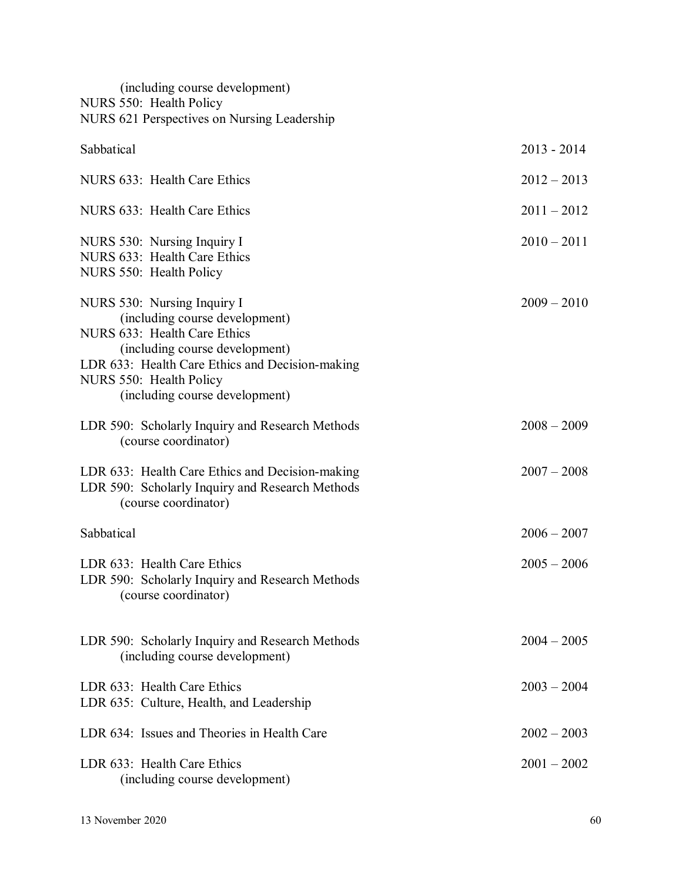| (including course development)<br>NURS 550: Health Policy<br>NURS 621 Perspectives on Nursing Leadership                                                                                                                                        |               |
|-------------------------------------------------------------------------------------------------------------------------------------------------------------------------------------------------------------------------------------------------|---------------|
| Sabbatical                                                                                                                                                                                                                                      | $2013 - 2014$ |
| NURS 633: Health Care Ethics                                                                                                                                                                                                                    | $2012 - 2013$ |
| NURS 633: Health Care Ethics                                                                                                                                                                                                                    | $2011 - 2012$ |
| NURS 530: Nursing Inquiry I<br>NURS 633: Health Care Ethics<br>NURS 550: Health Policy                                                                                                                                                          | $2010 - 2011$ |
| NURS 530: Nursing Inquiry I<br>(including course development)<br>NURS 633: Health Care Ethics<br>(including course development)<br>LDR 633: Health Care Ethics and Decision-making<br>NURS 550: Health Policy<br>(including course development) | $2009 - 2010$ |
| LDR 590: Scholarly Inquiry and Research Methods<br>(course coordinator)                                                                                                                                                                         | $2008 - 2009$ |
| LDR 633: Health Care Ethics and Decision-making<br>LDR 590: Scholarly Inquiry and Research Methods<br>(course coordinator)                                                                                                                      | $2007 - 2008$ |
| Sabbatical                                                                                                                                                                                                                                      | $2006 - 2007$ |
| LDR 633: Health Care Ethics<br>LDR 590: Scholarly Inquiry and Research Methods<br>(course coordinator)                                                                                                                                          | $2005 - 2006$ |
| LDR 590: Scholarly Inquiry and Research Methods<br>(including course development)                                                                                                                                                               | $2004 - 2005$ |
| LDR 633: Health Care Ethics<br>LDR 635: Culture, Health, and Leadership                                                                                                                                                                         | $2003 - 2004$ |
| LDR 634: Issues and Theories in Health Care                                                                                                                                                                                                     | $2002 - 2003$ |
| LDR 633: Health Care Ethics<br>(including course development)                                                                                                                                                                                   | $2001 - 2002$ |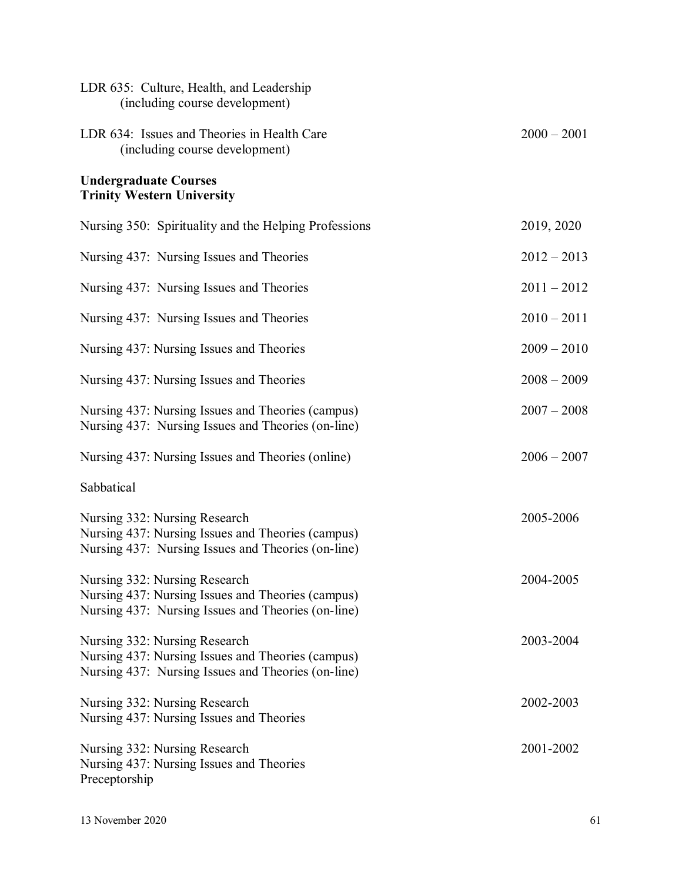| LDR 635: Culture, Health, and Leadership<br>(including course development)                                                               |               |
|------------------------------------------------------------------------------------------------------------------------------------------|---------------|
| LDR 634: Issues and Theories in Health Care<br>(including course development)                                                            | $2000 - 2001$ |
| <b>Undergraduate Courses</b><br><b>Trinity Western University</b>                                                                        |               |
| Nursing 350: Spirituality and the Helping Professions                                                                                    | 2019, 2020    |
| Nursing 437: Nursing Issues and Theories                                                                                                 | $2012 - 2013$ |
| Nursing 437: Nursing Issues and Theories                                                                                                 | $2011 - 2012$ |
| Nursing 437: Nursing Issues and Theories                                                                                                 | $2010 - 2011$ |
| Nursing 437: Nursing Issues and Theories                                                                                                 | $2009 - 2010$ |
| Nursing 437: Nursing Issues and Theories                                                                                                 | $2008 - 2009$ |
| Nursing 437: Nursing Issues and Theories (campus)<br>Nursing 437: Nursing Issues and Theories (on-line)                                  | $2007 - 2008$ |
| Nursing 437: Nursing Issues and Theories (online)                                                                                        | $2006 - 2007$ |
| Sabbatical                                                                                                                               |               |
| Nursing 332: Nursing Research<br>Nursing 437: Nursing Issues and Theories (campus)<br>Nursing 437: Nursing Issues and Theories (on-line) | 2005-2006     |
| Nursing 332: Nursing Research<br>Nursing 437: Nursing Issues and Theories (campus)<br>Nursing 437: Nursing Issues and Theories (on-line) | 2004-2005     |
| Nursing 332: Nursing Research<br>Nursing 437: Nursing Issues and Theories (campus)<br>Nursing 437: Nursing Issues and Theories (on-line) | 2003-2004     |
| Nursing 332: Nursing Research<br>Nursing 437: Nursing Issues and Theories                                                                | 2002-2003     |
| Nursing 332: Nursing Research<br>Nursing 437: Nursing Issues and Theories<br>Preceptorship                                               | 2001-2002     |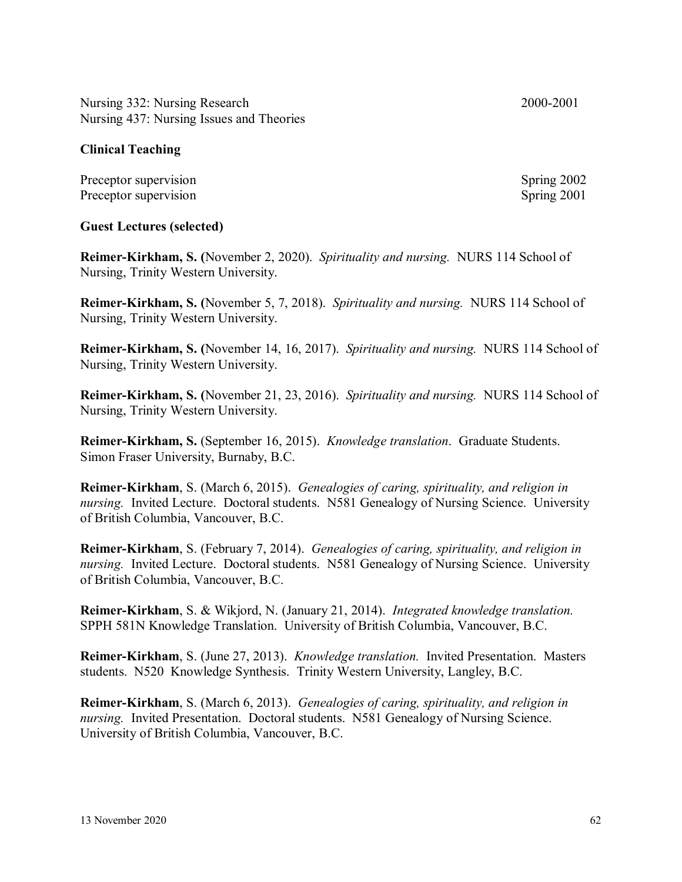Nursing 332: Nursing Research 2000-2001 Nursing 437: Nursing Issues and Theories

## **Clinical Teaching**

Preceptor supervision Spring 2002 Preceptor supervision Spring 2001

**Guest Lectures (selected)**

**Reimer-Kirkham, S. (**November 2, 2020). *Spirituality and nursing.* NURS 114 School of Nursing, Trinity Western University.

**Reimer-Kirkham, S. (**November 5, 7, 2018). *Spirituality and nursing.* NURS 114 School of Nursing, Trinity Western University.

**Reimer-Kirkham, S. (**November 14, 16, 2017). *Spirituality and nursing.* NURS 114 School of Nursing, Trinity Western University.

**Reimer-Kirkham, S. (**November 21, 23, 2016). *Spirituality and nursing.* NURS 114 School of Nursing, Trinity Western University.

**Reimer-Kirkham, S.** (September 16, 2015). *Knowledge translation*. Graduate Students. Simon Fraser University, Burnaby, B.C.

**Reimer-Kirkham**, S. (March 6, 2015). *Genealogies of caring, spirituality, and religion in nursing.* Invited Lecture. Doctoral students. N581 Genealogy of Nursing Science. University of British Columbia, Vancouver, B.C.

**Reimer-Kirkham**, S. (February 7, 2014). *Genealogies of caring, spirituality, and religion in nursing.* Invited Lecture. Doctoral students. N581 Genealogy of Nursing Science. University of British Columbia, Vancouver, B.C.

**Reimer-Kirkham**, S. & Wikjord, N. (January 21, 2014). *Integrated knowledge translation.*  SPPH 581N Knowledge Translation. University of British Columbia, Vancouver, B.C.

**Reimer-Kirkham**, S. (June 27, 2013). *Knowledge translation.* Invited Presentation. Masters students. N520 Knowledge Synthesis. Trinity Western University, Langley, B.C.

**Reimer-Kirkham**, S. (March 6, 2013). *Genealogies of caring, spirituality, and religion in nursing.* Invited Presentation. Doctoral students. N581 Genealogy of Nursing Science. University of British Columbia, Vancouver, B.C.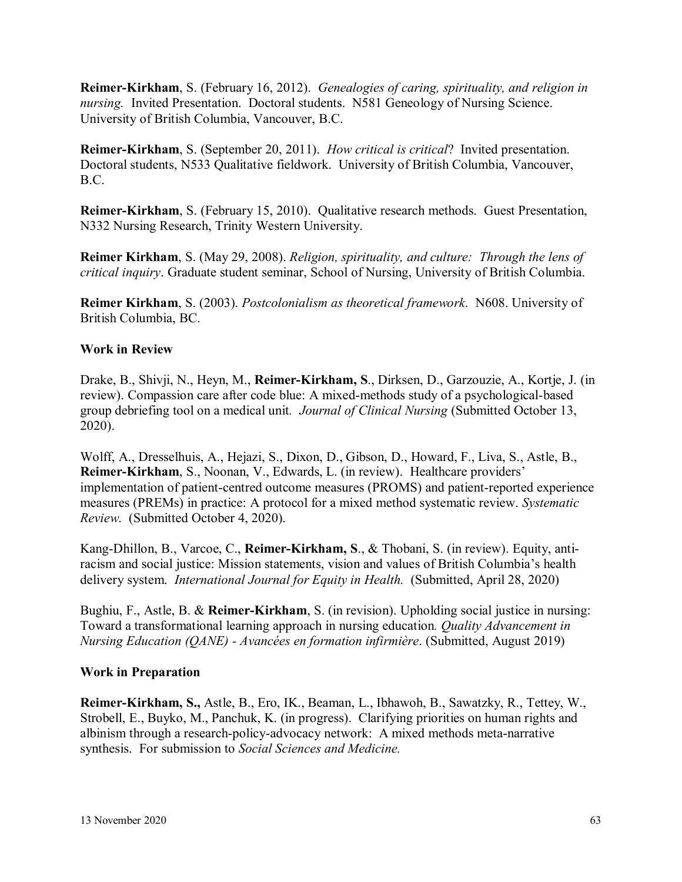**Reimer-Kirkham**, S. (February 16, 2012). *Genealogies of caring, spirituality, and religion in nursing.* Invited Presentation. Doctoral students. N581 Geneology of Nursing Science. University of British Columbia, Vancouver, B.C.

**Reimer-Kirkham**, S. (September 20, 2011). *How critical is critical*? Invited presentation. Doctoral students, N533 Qualitative fieldwork. University of British Columbia, Vancouver, B.C.

**Reimer-Kirkham**, S. (February 15, 2010). Qualitative research methods. Guest Presentation, N332 Nursing Research, Trinity Western University.

**Reimer Kirkham**, S. (May 29, 2008). *Religion, spirituality, and culture: Through the lens of critical inquiry*. Graduate student seminar, School of Nursing, University of British Columbia.

**Reimer Kirkham**, S. (2003). *Postcolonialism as theoretical framework*. N608. University of British Columbia, BC.

## **Work in Review**

Drake, B., Shivji, N., Heyn, M., **Reimer-Kirkham, S**., Dirksen, D., Garzouzie, A., Kortje, J. (in review). Compassion care after code blue: A mixed-methods study of a psychological-based group debriefing tool on a medical unit*. Journal of Clinical Nursing* (Submitted October 13, 2020).

Wolff, A., Dresselhuis, A., Hejazi, S., Dixon, D., Gibson, D., Howard, F., Liva, S., Astle, B., **Reimer-Kirkham**, S., Noonan, V., Edwards, L. (in review). Healthcare providers' implementation of patient-centred outcome measures (PROMS) and patient-reported experience measures (PREMs) in practice: A protocol for a mixed method systematic review. *Systematic Review*. (Submitted October 4, 2020).

Kang-Dhillon, B., Varcoe, C., **Reimer-Kirkham, S**., & Thobani, S. (in review). Equity, antiracism and social justice: Mission statements, vision and values of British Columbia's health delivery system. *International Journal for Equity in Health.* (Submitted, April 28, 2020)

Bughiu, F., Astle, B. & **Reimer-Kirkham**, S. (in revision). Upholding social justice in nursing: Toward a transformational learning approach in nursing education*. Quality Advancement in Nursing Education (QANE) - Avancées en formation infirmière*. (Submitted, August 2019)

#### **Work in Preparation**

**Reimer-Kirkham, S.,** Astle, B., Ero, IK., Beaman, L., Ibhawoh, B., Sawatzky, R., Tettey, W., Strobell, E., Buyko, M., Panchuk, K. (in progress). Clarifying priorities on human rights and albinism through a research-policy-advocacy network: A mixed methods meta-narrative synthesis. For submission to *Social Sciences and Medicine.*